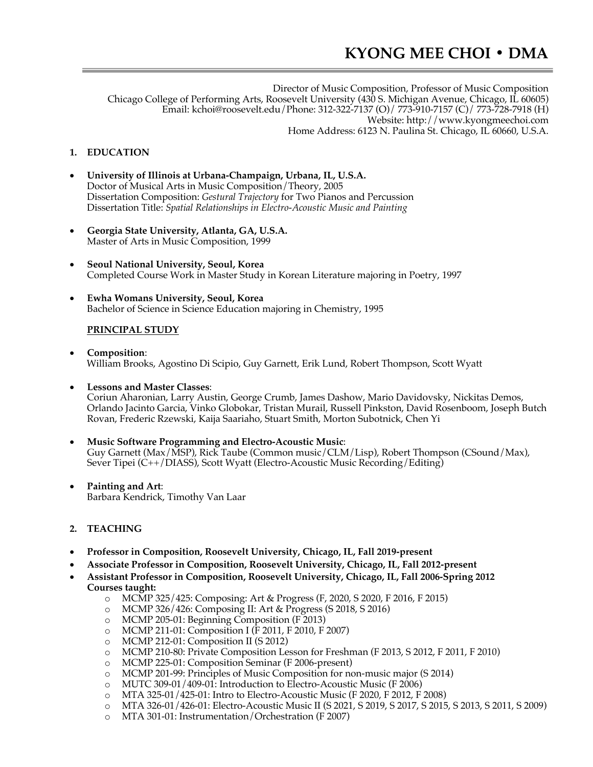Director of Music Composition, Professor of Music Composition Chicago College of Performing Arts, Roosevelt University (430 S. Michigan Avenue, Chicago, IL 60605) Email: kchoi@roosevelt.edu/Phone: 312-322-7137 (O)/ 773-910-7157 (C)/ 773-728-7918 (H) Website: http://www.kyongmeechoi.com Home Address: 6123 N. Paulina St. Chicago, IL 60660, U.S.A.

## **1. EDUCATION**

- **University of Illinois at Urbana-Champaign, Urbana, IL, U.S.A.** Doctor of Musical Arts in Music Composition/Theory, 2005 Dissertation Composition: *Gestural Trajectory* for Two Pianos and Percussion Dissertation Title: *Spatial Relationships in Electro-Acoustic Music and Painting*
- **Georgia State University, Atlanta, GA, U.S.A.** Master of Arts in Music Composition, 1999
- **Seoul National University, Seoul, Korea** Completed Course Work in Master Study in Korean Literature majoring in Poetry, 1997
- **Ewha Womans University, Seoul, Korea** Bachelor of Science in Science Education majoring in Chemistry, 1995

### **PRINCIPAL STUDY**

- **Composition**: William Brooks, Agostino Di Scipio, Guy Garnett, Erik Lund, Robert Thompson, Scott Wyatt
- **Lessons and Master Classes**:

Coriun Aharonian, Larry Austin, George Crumb, James Dashow, Mario Davidovsky, Nickitas Demos, Orlando Jacinto Garcia, Vinko Globokar, Tristan Murail, Russell Pinkston, David Rosenboom, Joseph Butch Rovan, Frederic Rzewski, Kaija Saariaho, Stuart Smith, Morton Subotnick, Chen Yi

- **Music Software Programming and Electro-Acoustic Music**: Guy Garnett (Max/MSP), Rick Taube (Common music/CLM/Lisp), Robert Thompson (CSound/Max), Sever Tipei (C++/DIASS), Scott Wyatt (Electro-Acoustic Music Recording/Editing)
- **Painting and Art**: Barbara Kendrick, Timothy Van Laar
- **2. TEACHING**
- **Professor in Composition, Roosevelt University, Chicago, IL, Fall 2019-present**
- **Associate Professor in Composition, Roosevelt University, Chicago, IL, Fall 2012-present**
- **Assistant Professor in Composition, Roosevelt University, Chicago, IL, Fall 2006-Spring 2012 Courses taught:**
	- o MCMP 325/425: Composing: Art & Progress (F, 2020, S 2020, F 2016, F 2015)
	- o MCMP 326/426: Composing II: Art & Progress (S 2018, S 2016)
	- o MCMP 205-01: Beginning Composition (F 2013)
	- o MCMP 211-01: Composition I (F 2011, F 2010, F 2007)
	- o MCMP 212-01: Composition II (S 2012)
	- o MCMP 210-80: Private Composition Lesson for Freshman (F 2013, S 2012, F 2011, F 2010)
	-
	- o MCMP 225-01: Composition Seminar (F 2006-present) MCMP 201-99: Principles of Music Composition for non-music major (S 2014)
	- o MUTC 309-01/409-01: Introduction to Electro-Acoustic Music (F 2006)
	- o MTA 325-01/425-01: Intro to Electro-Acoustic Music (F 2020, F 2012, F 2008)
	- o MTA 326-01/426-01: Electro-Acoustic Music II (S 2021, S 2019, S 2017, S 2015, S 2013, S 2011, S 2009)
	- o MTA 301-01: Instrumentation/Orchestration (F 2007)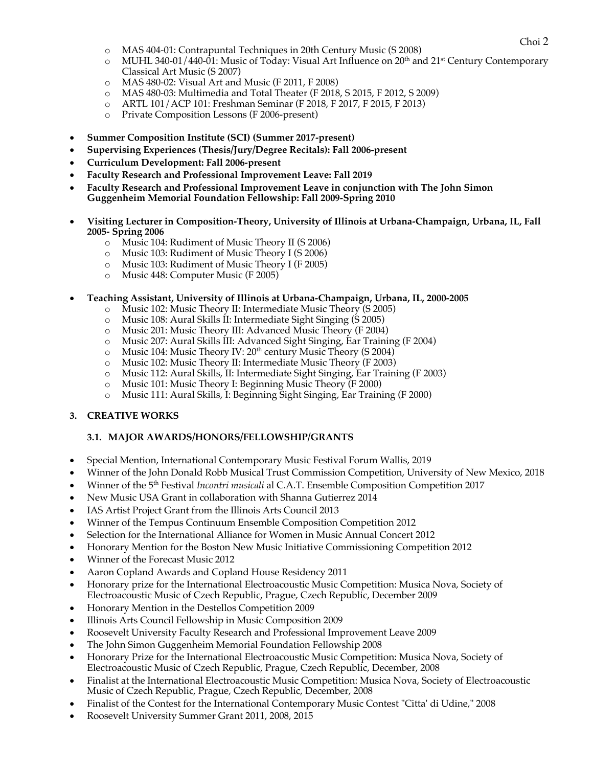- o MAS 404-01: Contrapuntal Techniques in 20th Century Music (S 2008)
- $\circ$  MUHL 340-01/440-01: Music of Today: Visual Art Influence on 20<sup>th</sup> and 21<sup>st</sup> Century Contemporary Classical Art Music (S 2007)
- o MAS 480-02: Visual Art and Music (F 2011, F 2008)
- o MAS 480-03: Multimedia and Total Theater (F 2018, S 2015, F 2012, S 2009)
- o ARTL 101/ACP 101: Freshman Seminar (F 2018, F 2017, F 2015, F 2013)
- o Private Composition Lessons (F 2006-present)
- **Summer Composition Institute (SCI) (Summer 2017-present)**
- **Supervising Experiences (Thesis/Jury/Degree Recitals): Fall 2006-present**
- **Curriculum Development: Fall 2006-present**
- **Faculty Research and Professional Improvement Leave: Fall 2019**
- **Faculty Research and Professional Improvement Leave in conjunction with The John Simon Guggenheim Memorial Foundation Fellowship: Fall 2009-Spring 2010**
- **Visiting Lecturer in Composition-Theory, University of Illinois at Urbana-Champaign, Urbana, IL, Fall 2005- Spring 2006**
	- o Music 104: Rudiment of Music Theory II (S 2006)
	- o Music 103: Rudiment of Music Theory I (S 2006)
	- o Music 103: Rudiment of Music Theory I (F 2005)
	- o Music 448: Computer Music (F 2005)
- **Teaching Assistant, University of Illinois at Urbana-Champaign, Urbana, IL, 2000-2005**
	- o Music 102: Music Theory II: Intermediate Music Theory (S 2005)
	- o Music 108: Aural Skills II: Intermediate Sight Singing (S 2005)
	- o Music 201: Music Theory III: Advanced Music Theory (F 2004)
	- Music 207: Aural Skills III: Advanced Sight Singing, Ear Training (F 2004)
	- o Music 104: Music Theory IV: 20<sup>th</sup> century Music Theory (S 2004)
	- o Music 102: Music Theory II: Intermediate Music Theory (F 2003)
	- o Music 112: Aural Skills, II: Intermediate Sight Singing, Ear Training (F 2003)
	- o Music 101: Music Theory I: Beginning Music Theory (F 2000)
	- o Music 111: Aural Skills, I: Beginning Sight Singing, Ear Training (F 2000)

### **3. CREATIVE WORKS**

### **3.1. MAJOR AWARDS/HONORS/FELLOWSHIP/GRANTS**

- Special Mention, International Contemporary Music Festival Forum Wallis, 2019
- Winner of the John Donald Robb Musical Trust Commission Competition, University of New Mexico, 2018
- Winner of the 5th Festival *Incontri musicali* al C.A.T. Ensemble Composition Competition 2017
- New Music USA Grant in collaboration with Shanna Gutierrez 2014
- IAS Artist Project Grant from the Illinois Arts Council 2013
- Winner of the Tempus Continuum Ensemble Composition Competition 2012
- Selection for the International Alliance for Women in Music Annual Concert 2012
- Honorary Mention for the Boston New Music Initiative Commissioning Competition 2012
- Winner of the Forecast Music 2012
- Aaron Copland Awards and Copland House Residency 2011
- Honorary prize for the International Electroacoustic Music Competition: Musica Nova, Society of Electroacoustic Music of Czech Republic, Prague, Czech Republic, December 2009
- Honorary Mention in the Destellos Competition 2009
- Illinois Arts Council Fellowship in Music Composition 2009
- Roosevelt University Faculty Research and Professional Improvement Leave 2009
- The John Simon Guggenheim Memorial Foundation Fellowship 2008
- Honorary Prize for the International Electroacoustic Music Competition: Musica Nova, Society of Electroacoustic Music of Czech Republic, Prague, Czech Republic, December, 2008
- Finalist at the International Electroacoustic Music Competition: Musica Nova, Society of Electroacoustic Music of Czech Republic, Prague, Czech Republic, December, 2008
- Finalist of the Contest for the International Contemporary Music Contest "Citta' di Udine," 2008
- Roosevelt University Summer Grant 2011, 2008, 2015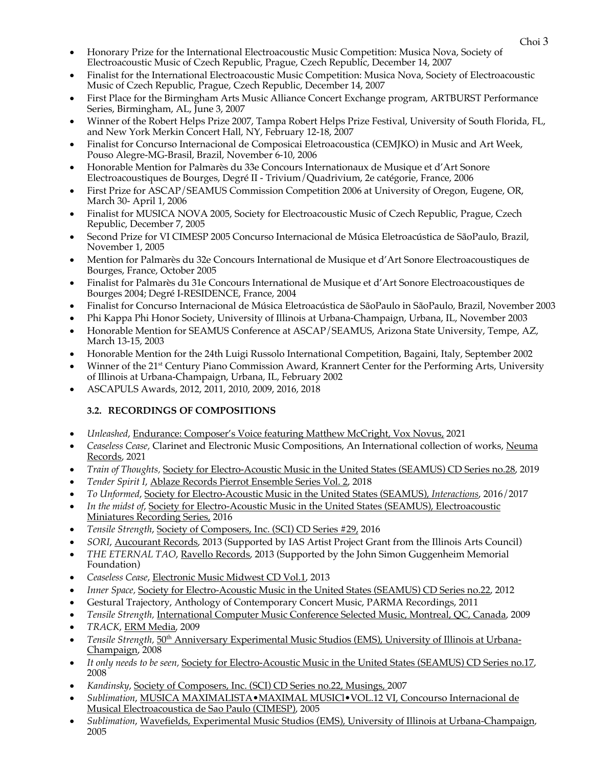- Choi <sup>3</sup> Honorary Prize for the International Electroacoustic Music Competition: Musica Nova, Society of Electroacoustic Music of Czech Republic, Prague, Czech Republic, December 14, 2007
- Finalist for the International Electroacoustic Music Competition: Musica Nova, Society of Electroacoustic Music of Czech Republic, Prague, Czech Republic, December 14, 2007
- First Place for the Birmingham Arts Music Alliance Concert Exchange program, ARTBURST Performance Series, Birmingham, AL, June 3, 2007
- Winner of the Robert Helps Prize 2007, Tampa Robert Helps Prize Festival, University of South Florida, FL, and New York Merkin Concert Hall, NY, February 12-18, 2007
- Finalist for Concurso Internacional de Composicai Eletroacoustica (CEMJKO) in Music and Art Week, Pouso Alegre-MG-Brasil, Brazil, November 6-10, 2006
- Honorable Mention for Palmarès du 33e Concours Internationaux de Musique et d'Art Sonore Electroacoustiques de Bourges, Degré II - Trivium/Quadrivium, 2e catégorie, France, 2006
- First Prize for ASCAP/SEAMUS Commission Competition 2006 at University of Oregon, Eugene, OR, March 30- April 1, 2006
- Finalist for MUSICA NOVA 2005, Society for Electroacoustic Music of Czech Republic, Prague, Czech Republic, December 7, 2005
- Second Prize for VI CIMESP 2005 Concurso Internacional de Música Eletroacústica de SãoPaulo, Brazil, November 1, 2005
- Mention for Palmarès du 32e Concours International de Musique et d'Art Sonore Electroacoustiques de Bourges, France, October 2005
- Finalist for Palmarès du 31e Concours International de Musique et d'Art Sonore Electroacoustiques de Bourges 2004; Degré I-RESIDENCE, France, 2004
- Finalist for Concurso Internacional de Música Eletroacústica de SãoPaulo in SãoPaulo, Brazil, November 2003
- Phi Kappa Phi Honor Society, University of Illinois at Urbana-Champaign, Urbana, IL, November 2003
- Honorable Mention for SEAMUS Conference at ASCAP/SEAMUS, Arizona State University, Tempe, AZ, March 13-15, 2003
- Honorable Mention for the 24th Luigi Russolo International Competition, Bagaini, Italy, September 2002
- Winner of the 21<sup>st</sup> Century Piano Commission Award, Krannert Center for the Performing Arts, University of Illinois at Urbana-Champaign, Urbana, IL, February 2002
- ASCAPULS Awards, 2012, 2011, 2010, 2009, 2016, 2018

# **3.2. RECORDINGS OF COMPOSITIONS**

- *Unleashed*, Endurance: Composer's Voice featuring Matthew McCright, Vox Novus, 2021
- *Ceaseless Cease, Clarinet and Electronic Music Compositions, An International collection of works, Neuma* Records, 2021
- *Train of Thoughts,* Society for Electro-Acoustic Music in the United States (SEAMUS) CD Series no.28, 2019
- *Tender Spirit I*, Ablaze Records Pierrot Ensemble Series Vol. 2, 2018
- *To Unformed*, Society for Electro-Acoustic Music in the United States (SEAMUS), *Interactions*, 2016/2017
- *In the midst of*, Society for Electro-Acoustic Music in the United States (SEAMUS), Electroacoustic Miniatures Recording Series, 2016
- *Tensile Strength*, Society of Composers, Inc. (SCI) CD Series #29, 2016
- *SORI*, Aucourant Records, 2013 (Supported by IAS Artist Project Grant from the Illinois Arts Council)
- *THE ETERNAL TAO*, Ravello Records, 2013 (Supported by the John Simon Guggenheim Memorial Foundation)
- *Ceaseless Cease*, Electronic Music Midwest CD Vol.1, 2013
- *Inner Space,* Society for Electro-Acoustic Music in the United States (SEAMUS) CD Series no.22, 2012
- Gestural Trajectory, Anthology of Contemporary Concert Music, PARMA Recordings, 2011
- *Tensile Strength,* International Computer Music Conference Selected Music, Montreal, QC, Canada, 2009
- *TRACK*, ERM Media, 2009
- *Tensile Strength,* 50th Anniversary Experimental Music Studios (EMS), University of Illinois at Urbana-Champaign, 2008
- *It only needs to be seen,* Society for Electro-Acoustic Music in the United States (SEAMUS) CD Series no.17, 2008
- *Kandinsky*, Society of Composers, Inc. (SCI) CD Series no.22, Musings, 2007
- *Sublimation*, MUSICA MAXIMALISTA•MAXIMAL MUSICl•VOL.12 VI, Concourso Internacional de Musical Electroacoustica de Sao Paulo (CIMESP), 2005
- *Sublimation*, Wavefields, Experimental Music Studios (EMS), University of Illinois at Urbana-Champaign, 2005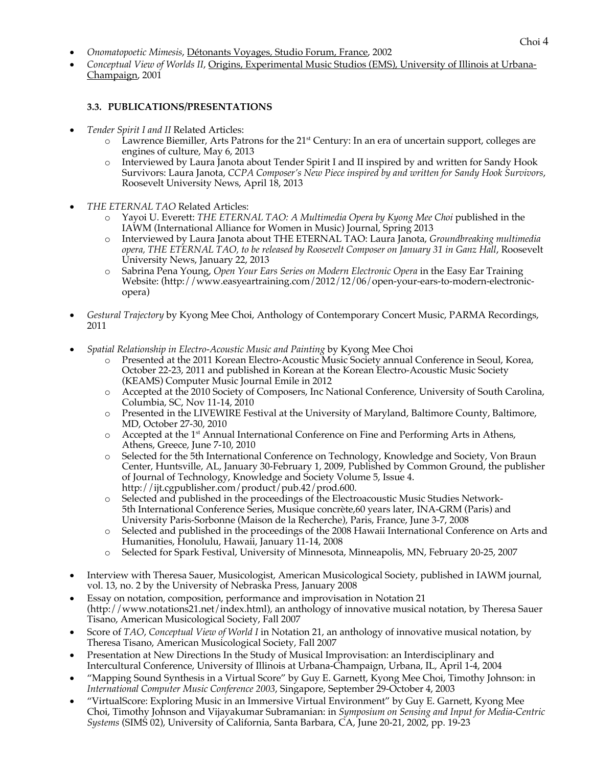- Choi <sup>4</sup> *Onomatopoetic Mimesis*, Détonants Voyages*,* Studio Forum, France, 2002
- *Conceptual View of Worlds II*, Origins, Experimental Music Studios (EMS), University of Illinois at Urbana-Champaign, 2001

### **3.3. PUBLICATIONS/PRESENTATIONS**

- *Tender Spirit I and II* Related Articles:
	- $\circ$  Lawrence Biemiller, Arts Patrons for the 21<sup>st</sup> Century: In an era of uncertain support, colleges are engines of culture, May 6, 2013
	- o Interviewed by Laura Janota about Tender Spirit I and II inspired by and written for Sandy Hook Survivors: Laura Janota, *CCPA Composer's New Piece inspired by and written for Sandy Hook Survivors*, Roosevelt University News, April 18, 2013
- *THE ETERNAL TAO* Related Articles:
	- o Yayoi U. Everett: *THE ETERNAL TAO: A Multimedia Opera by Kyong Mee Choi* published in the IAWM (International Alliance for Women in Music) Journal, Spring 2013
	- o Interviewed by Laura Janota about THE ETERNAL TAO: Laura Janota, *Groundbreaking multimedia opera, THE ETERNAL TAO, to be released by Roosevelt Composer on January 31 in Ganz Hall*, Roosevelt University News, January 22, 2013
	- o Sabrina Pena Young, *Open Your Ears Series on Modern Electronic Opera* in the Easy Ear Training Website: (http://www.easyeartraining.com/2012/12/06/open-your-ears-to-modern-electronicopera)
- *Gestural Trajectory* by Kyong Mee Choi, Anthology of Contemporary Concert Music, PARMA Recordings, 2011
- *Spatial Relationship in Electro-Acoustic Music and Painting* by Kyong Mee Choi
	- o Presented at the 2011 Korean Electro-Acoustic Music Society annual Conference in Seoul, Korea, October 22-23, 2011 and published in Korean at the Korean Electro-Acoustic Music Society (KEAMS) Computer Music Journal Emile in 2012
	- o Accepted at the 2010 Society of Composers, Inc National Conference, University of South Carolina, Columbia, SC, Nov 11-14, 2010
	- o Presented in the LIVEWIRE Festival at the University of Maryland, Baltimore County, Baltimore, MD, October 27-30, 2010
	- $\circ$  Accepted at the 1<sup>st</sup> Annual International Conference on Fine and Performing Arts in Athens, Athens, Greece, June 7-10, 2010
	- o Selected for the 5th International Conference on Technology, Knowledge and Society, Von Braun Center, Huntsville, AL, January 30-February 1, 2009, Published by Common Ground, the publisher of Journal of Technology, Knowledge and Society Volume 5, Issue 4. http://ijt.cgpublisher.com/product/pub.42/prod.600.
	- o Selected and published in the proceedings of the Electroacoustic Music Studies Network-5th International Conference Series, Musique concrète,60 years later, INA-GRM (Paris) and University Paris-Sorbonne (Maison de la Recherche), Paris, France, June 3-7, 2008
	- o Selected and published in the proceedings of the 2008 Hawaii International Conference on Arts and Humanities, Honolulu, Hawaii, January 11-14, 2008
	- o Selected for Spark Festival, University of Minnesota, Minneapolis, MN, February 20-25, 2007
- Interview with Theresa Sauer, Musicologist, American Musicological Society, published in IAWM journal, vol. 13, no. 2 by the University of Nebraska Press, January 2008
- Essay on notation, composition, performance and improvisation in Notation 21 (http://www.notations21.net/index.html), an anthology of innovative musical notation, by Theresa Sauer Tisano, American Musicological Society, Fall 2007
- Score of *TAO*, *Conceptual View of World I* in Notation 21, an anthology of innovative musical notation, by Theresa Tisano, American Musicological Society, Fall 2007
- Presentation at New Directions In the Study of Musical Improvisation: an Interdisciplinary and Intercultural Conference, University of Illinois at Urbana-Champaign, Urbana, IL, April 1-4, 2004
- "Mapping Sound Synthesis in a Virtual Score" by Guy E. Garnett, Kyong Mee Choi, Timothy Johnson: in *International Computer Music Conference 2003*, Singapore, September 29-October 4, 2003
- "VirtualScore: Exploring Music in an Immersive Virtual Environment" by Guy E. Garnett, Kyong Mee Choi, Timothy Johnson and Vijayakumar Subramanian: in *Symposium on Sensing and Input for Media-Centric Systems* (SIMS 02), University of California, Santa Barbara, CA, June 20-21, 2002, pp. 19-23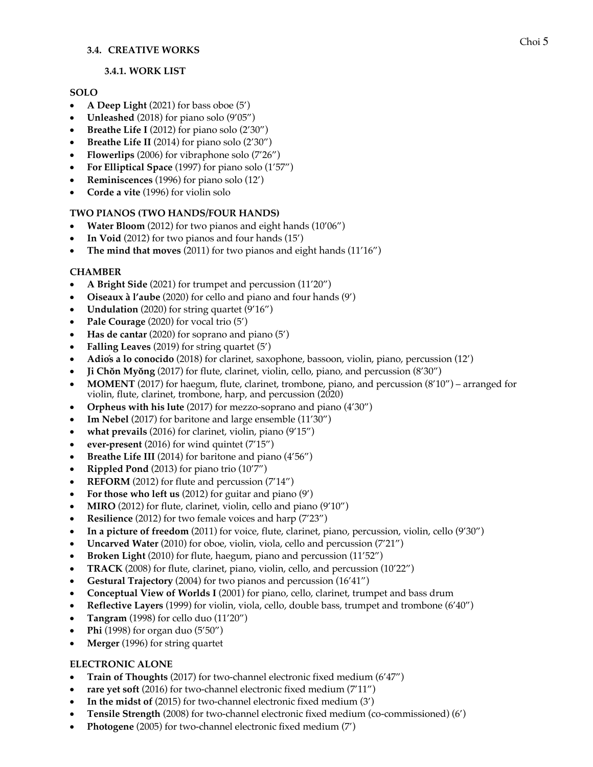#### **3.4. CREATIVE WORKS**

#### **3.4.1. WORK LIST**

#### **SOLO**

- **A Deep Light** (2021) for bass oboe (5')
- **Unleashed** (2018) for piano solo (9'05")
- **Breathe Life I** (2012) for piano solo (2'30")
- **Breathe Life II** (2014) for piano solo (2'30")
- **Flowerlips** (2006) for vibraphone solo (7'26")
- **For Elliptical Space** (1997) for piano solo (1'57")
- **Reminiscences** (1996) for piano solo (12')
- **Corde a vite** (1996) for violin solo

### **TWO PIANOS (TWO HANDS/FOUR HANDS)**

- **Water Bloom** (2012) for two pianos and eight hands (10'06")
- **In Void** (2012) for two pianos and four hands (15')
- **The mind that moves** (2011) for two pianos and eight hands (11'16")

## **CHAMBER**

- **A Bright Side** (2021) for trumpet and percussion (11'20")
- **Oiseaux à l'aube** (2020) for cello and piano and four hands (9')
- **Undulation** (2020) for string quartet (9'16")
- **Pale Courage** (2020) for vocal trio (5')
- **Has de cantar** (2020) for soprano and piano (5')
- **Falling Leaves** (2019) for string quartet (5')
- **Adiós a lo conocido** (2018) for clarinet, saxophone, bassoon, violin, piano, percussion (12')
- **Ji Chŏn Myŏng** (2017) for flute, clarinet, violin, cello, piano, and percussion (8'30")
- **MOMENT** (2017) for haegum, flute, clarinet, trombone, piano, and percussion (8'10") arranged for violin, flute, clarinet, trombone, harp, and percussion (2020)
- **Orpheus with his lute** (2017) for mezzo-soprano and piano (4'30")
- **Im Nebel** (2017) for baritone and large ensemble (11'30")
- what prevails (2016) for clarinet, violin, piano (9'15")
- **ever-present** (2016) for wind quintet (7'15")
- **Breathe Life III** (2014) for baritone and piano (4'56")
- **Rippled Pond** (2013) for piano trio (10'7")
- **REFORM** (2012) for flute and percussion (7'14")
- **For those who left us** (2012) for guitar and piano (9')
- **MIRO** (2012) for flute, clarinet, violin, cello and piano (9'10")
- **Resilience** (2012) for two female voices and harp (7'23")
- **In a picture of freedom** (2011) for voice, flute, clarinet, piano, percussion, violin, cello (9'30")
- **Uncarved Water** (2010) for oboe, violin, viola, cello and percussion (7'21")
- **Broken Light** (2010) for flute, haegum, piano and percussion (11'52")
- **TRACK** (2008) for flute, clarinet, piano, violin, cello, and percussion (10'22")
- **Gestural Trajectory** (2004) for two pianos and percussion (16'41")
- **Conceptual View of Worlds I** (2001) for piano, cello, clarinet, trumpet and bass drum
- **Reflective Layers** (1999) for violin, viola, cello, double bass, trumpet and trombone (6'40")
- **Tangram** (1998) for cello duo (11'20")
- **Phi** (1998) for organ duo (5'50")
- **Merger** (1996) for string quartet

### **ELECTRONIC ALONE**

- **Train of Thoughts** (2017) for two-channel electronic fixed medium (6'47")
- **rare yet soft** (2016) for two-channel electronic fixed medium (7'11")
- **In the midst of** (2015) for two-channel electronic fixed medium (3')
- **Tensile Strength** (2008) for two-channel electronic fixed medium (co-commissioned) (6')
- **Photogene** (2005) for two-channel electronic fixed medium (7')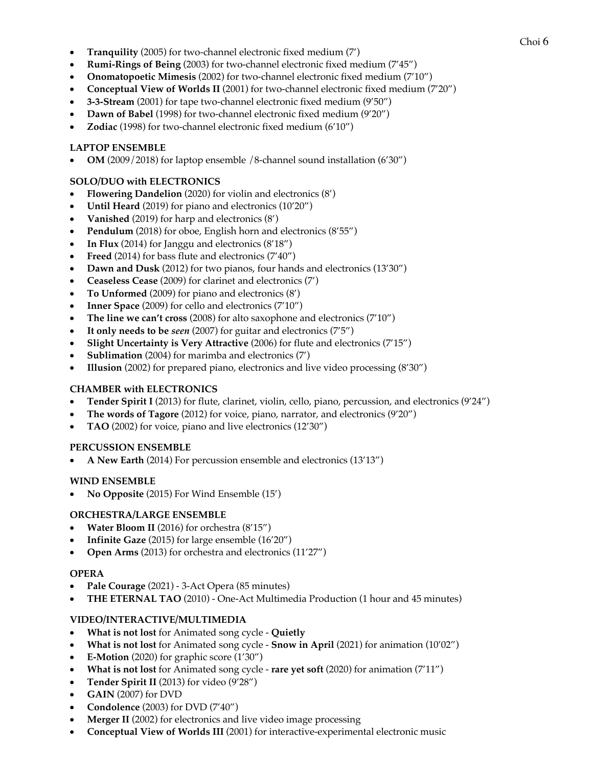- Choi <sup>6</sup> **Tranquility** (2005) for two-channel electronic fixed medium (7')
- **Rumi-Rings of Being** (2003) for two-channel electronic fixed medium (7'45")
- **Onomatopoetic Mimesis** (2002) for two-channel electronic fixed medium (7'10")
- **Conceptual View of Worlds II** (2001) for two-channel electronic fixed medium (7'20")
- **3-3-Stream** (2001) for tape two-channel electronic fixed medium (9'50")
- **Dawn of Babel** (1998) for two-channel electronic fixed medium (9'20")
- **Zodiac** (1998) for two-channel electronic fixed medium (6'10")

### **LAPTOP ENSEMBLE**

• **OM** (2009/2018) for laptop ensemble /8-channel sound installation (6'30")

## **SOLO/DUO with ELECTRONICS**

- **Flowering Dandelion** (2020) for violin and electronics (8')
- **Until Heard** (2019) for piano and electronics (10'20")
- **Vanished** (2019) for harp and electronics (8')
- **Pendulum** (2018) for oboe, English horn and electronics (8'55")
- **In Flux** (2014) for Janggu and electronics (8'18")
- **Freed** (2014) for bass flute and electronics (7'40")
- **Dawn and Dusk** (2012) for two pianos, four hands and electronics (13'30")
- **Ceaseless Cease** (2009) for clarinet and electronics (7')
- **To Unformed** (2009) for piano and electronics (8')
- **Inner Space** (2009) for cello and electronics (7'10")
- **The line we can't cross** (2008) for alto saxophone and electronics (7'10")
- **It only needs to be** *seen* (2007) for guitar and electronics (7'5")
- **Slight Uncertainty is Very Attractive** (2006) for flute and electronics (7'15")
- **Sublimation** (2004) for marimba and electronics (7')
- **Illusion** (2002) for prepared piano, electronics and live video processing (8'30")

### **CHAMBER with ELECTRONICS**

- **Tender Spirit I** (2013) for flute, clarinet, violin, cello, piano, percussion, and electronics (9'24")
- **The words of Tagore** (2012) for voice, piano, narrator, and electronics (9'20")
- **TAO** (2002) for voice, piano and live electronics (12'30")

### **PERCUSSION ENSEMBLE**

• **A New Earth** (2014) For percussion ensemble and electronics (13'13")

### **WIND ENSEMBLE**

• **No Opposite** (2015) For Wind Ensemble (15')

### **ORCHESTRA/LARGE ENSEMBLE**

- **Water Bloom II** (2016) for orchestra (8'15")
- **Infinite Gaze** (2015) for large ensemble (16'20")
- **Open Arms** (2013) for orchestra and electronics (11'27")

### **OPERA**

- **Pale Courage** (2021) 3-Act Opera (85 minutes)
- **THE ETERNAL TAO** (2010) One-Act Multimedia Production (1 hour and 45 minutes)

### **VIDEO/INTERACTIVE/MULTIMEDIA**

- **What is not lost** for Animated song cycle **Quietly**
- **What is not lost** for Animated song cycle **Snow in April** (2021) for animation (10'02")
- **E-Motion** (2020) for graphic score (1'30")
- **What is not lost** for Animated song cycle **rare yet soft** (2020) for animation (7'11")
- **Tender Spirit II** (2013) for video (9'28")
- **GAIN** (2007) for DVD
- **Condolence** (2003) for DVD (7'40")
- **Merger II** (2002) for electronics and live video image processing
- **Conceptual View of Worlds III** (2001) for interactive-experimental electronic music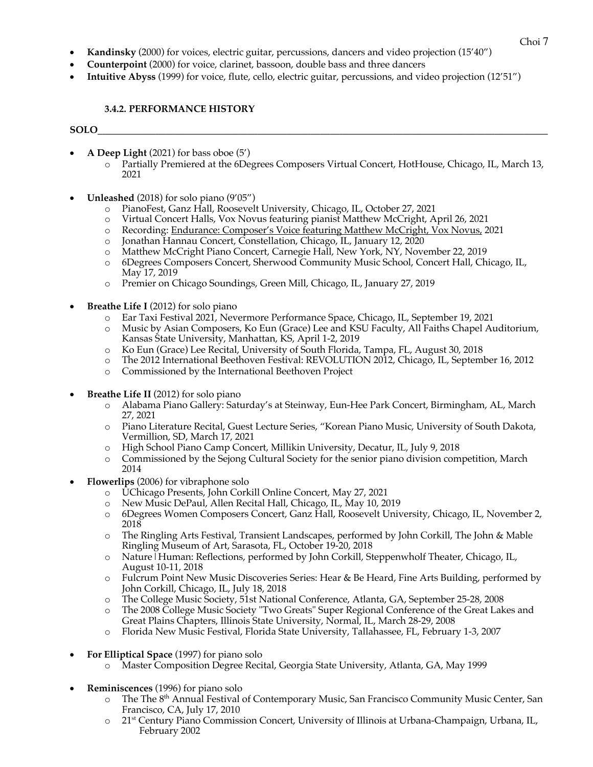- Choi <sup>7</sup> **Kandinsky** (2000) for voices, electric guitar, percussions, dancers and video projection (15'40")
- **Counterpoint** (2000) for voice, clarinet, bassoon, double bass and three dancers
- **Intuitive Abyss** (1999) for voice, flute, cello, electric guitar, percussions, and video projection (12'51")

## **3.4.2. PERFORMANCE HISTORY**

## **SOLO\_\_\_\_\_\_\_\_\_\_\_\_\_\_\_\_\_\_\_\_\_\_\_\_\_\_\_\_\_\_\_\_\_\_\_\_\_\_\_\_\_\_\_\_\_\_\_\_\_\_\_\_\_\_\_\_\_\_\_\_\_\_\_\_\_\_\_\_\_\_\_\_\_\_\_\_\_\_\_\_\_\_\_\_\_\_\_\_\_\_\_\_\_**

- **A Deep Light** (2021) for bass oboe (5')
	- o Partially Premiered at the 6Degrees Composers Virtual Concert, HotHouse, Chicago, IL, March 13, 2021
- **Unleashed** (2018) for solo piano (9'05")
	- o PianoFest, Ganz Hall, Roosevelt University, Chicago, IL, October 27, 2021
	- o Virtual Concert Halls, Vox Novus featuring pianist Matthew McCright, April 26, 2021
	- o Recording: Endurance: Composer's Voice featuring Matthew McCright, Vox Novus, 2021
	- o Jonathan Hannau Concert, Constellation, Chicago, IL, January 12, 2020
	- o Matthew McCright Piano Concert, Carnegie Hall, New York, NY, November 22, 2019
	- o 6Degrees Composers Concert, Sherwood Community Music School, Concert Hall, Chicago, IL, May 17, 2019
	- o Premier on Chicago Soundings, Green Mill, Chicago, IL, January 27, 2019
- **Breathe Life I** (2012) for solo piano
	- o Ear Taxi Festival 2021, Nevermore Performance Space, Chicago, IL, September 19, 2021
	- o Music by Asian Composers, Ko Eun (Grace) Lee and KSU Faculty, All Faiths Chapel Auditorium, Kansas State University, Manhattan, KS, April 1-2, 2019
	- o Ko Eun (Grace) Lee Recital, University of South Florida, Tampa, FL, August 30, 2018
	- o The 2012 International Beethoven Festival: REVOLUTION 2012, Chicago, IL, September 16, 2012
	- o Commissioned by the International Beethoven Project
- **Breathe Life II** (2012) for solo piano
	- o Alabama Piano Gallery: Saturday's at Steinway, Eun-Hee Park Concert, Birmingham, AL, March 27, 2021
	- o Piano Literature Recital, Guest Lecture Series, "Korean Piano Music, University of South Dakota, Vermillion, SD, March 17, 2021
	-
	- o High School Piano Camp Concert, Millikin University, Decatur, IL, July 9, 2018 Commissioned by the Sejong Cultural Society for the senior piano division competition, March 2014
- **Flowerlips** (2006) for vibraphone solo
	- o UChicago Presents, John Corkill Online Concert, May 27, 2021
	- o New Music DePaul, Allen Recital Hall, Chicago, IL, May 10, 2019
	- o 6Degrees Women Composers Concert, Ganz Hall, Roosevelt University, Chicago, IL, November 2, 2018
	- o The Ringling Arts Festival, Transient Landscapes, performed by John Corkill, The John & Mable Ringling Museum of Art, Sarasota, FL, October 19-20, 2018
	- o Nature|Human: Reflections, performed by John Corkill, Steppenwholf Theater, Chicago, IL, August 10-11, 2018
	- o Fulcrum Point New Music Discoveries Series: Hear & Be Heard, Fine Arts Building, performed by John Corkill, Chicago, IL, July 18, 2018
	- o The College Music Society, 51st National Conference, Atlanta, GA, September 25-28, 2008
	- o The 2008 College Music Society "Two Greats" Super Regional Conference of the Great Lakes and Great Plains Chapters, Illinois State University, Normal, IL, March 28-29, 2008
	- o Florida New Music Festival, Florida State University, Tallahassee, FL, February 1-3, 2007
- **For Elliptical Space** (1997) for piano solo
	- o Master Composition Degree Recital, Georgia State University, Atlanta, GA, May 1999
- **Reminiscences** (1996) for piano solo
	- o The The 8<sup>th</sup> Annual Festival of Contemporary Music, San Francisco Community Music Center, San Francisco, CA, July 17, 2010
	- $\circ$  21<sup>st</sup> Century Piano Commission Concert, University of Illinois at Urbana-Champaign, Urbana, IL, February 2002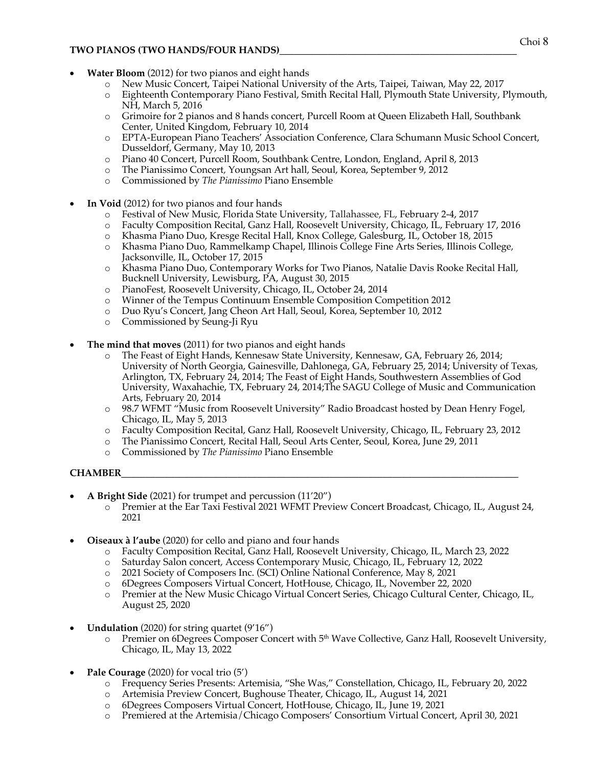### **TWO PIANOS (TWO HANDS/FOUR HANDS)**

- **Water Bloom** (2012) for two pianos and eight hands
	- o New Music Concert, Taipei National University of the Arts, Taipei, Taiwan, May 22, 2017
	- o Eighteenth Contemporary Piano Festival, Smith Recital Hall, Plymouth State University, Plymouth, NH, March 5, 2016
	- o Grimoire for 2 pianos and 8 hands concert, Purcell Room at Queen Elizabeth Hall, Southbank Center, United Kingdom, February 10, 2014
	- o EPTA-European Piano Teachers' Association Conference, Clara Schumann Music School Concert, Dusseldorf, Germany, May 10, 2013
	- o Piano 40 Concert, Purcell Room, Southbank Centre, London, England, April 8, 2013
	- o The Pianissimo Concert*,* Youngsan Art hall, Seoul, Korea, September 9, 2012
	- o Commissioned by *The Pianissimo* Piano Ensemble
- **In Void** (2012) for two pianos and four hands
	- o Festival of New Music, Florida State University, Tallahassee, FL, February 2-4, 2017
	- o Faculty Composition Recital, Ganz Hall, Roosevelt University, Chicago, IL, February 17, 2016
	- o Khasma Piano Duo, Kresge Recital Hall, Knox College, Galesburg, IL, October 18, 2015
	- o Khasma Piano Duo, Rammelkamp Chapel, Illinois College Fine Arts Series, Illinois College, Jacksonville, IL, October 17, 2015
	- o Khasma Piano Duo, Contemporary Works for Two Pianos, Natalie Davis Rooke Recital Hall, Bucknell University, Lewisburg, PA, August 30, 2015
	- o PianoFest, Roosevelt University, Chicago, IL, October 24, 2014
	- o Winner of the Tempus Continuum Ensemble Composition Competition 2012
	- o Duo Ryu's Concert, Jang Cheon Art Hall, Seoul, Korea, September 10, 2012
	- o Commissioned by Seung-Ji Ryu
- **The mind that moves** (2011) for two pianos and eight hands
	- The Feast of Eight Hands, Kennesaw State University, Kennesaw, GA, February 26, 2014; University of North Georgia, Gainesville, Dahlonega, GA, February 25, 2014; University of Texas, Arlington, TX, February 24, 2014; The Feast of Eight Hands, Southwestern Assemblies of God University, Waxahachie, TX, February 24, 2014;The SAGU College of Music and Communication Arts, February 20, 2014
	- o 98.7 WFMT "Music from Roosevelt University" Radio Broadcast hosted by Dean Henry Fogel, Chicago, IL, May 5, 2013
	- o Faculty Composition Recital, Ganz Hall, Roosevelt University, Chicago, IL, February 23, 2012
	- o The Pianissimo Concert, Recital Hall, Seoul Arts Center, Seoul, Korea, June 29, 2011
	- o Commissioned by *The Pianissimo* Piano Ensemble

### **CHAMBER\_\_\_\_\_\_\_\_\_\_\_\_\_\_\_\_\_\_\_\_\_\_\_\_\_\_\_\_\_\_\_\_\_\_\_\_\_\_\_\_\_\_\_\_\_\_\_\_\_\_\_\_\_\_\_\_\_\_\_\_\_\_\_\_\_\_\_\_\_\_\_\_\_\_\_\_\_\_\_\_\_\_**

- **A Bright Side** (2021) for trumpet and percussion (11'20")
	- o Premier at the Ear Taxi Festival 2021 WFMT Preview Concert Broadcast, Chicago, IL, August 24, 2021
- **Oiseaux à l'aube** (2020) for cello and piano and four hands
	- o Faculty Composition Recital, Ganz Hall, Roosevelt University, Chicago, IL, March 23, 2022
	- o Saturday Salon concert, Access Contemporary Music, Chicago, IL, February 12, 2022
	- o 2021 Society of Composers Inc. (SCI) Online National Conference, May 8, 2021
	- o 6Degrees Composers Virtual Concert, HotHouse, Chicago, IL, November 22, 2020
	- o Premier at the New Music Chicago Virtual Concert Series, Chicago Cultural Center, Chicago, IL, August 25, 2020
- **Undulation** (2020) for string quartet (9'16")
	- Premier on 6Degrees Composer Concert with 5<sup>th</sup> Wave Collective, Ganz Hall, Roosevelt University, Chicago, IL, May 13, 2022
- **Pale Courage** (2020) for vocal trio (5')
	- o Frequency Series Presents: Artemisia, "She Was," Constellation, Chicago, IL, February 20, 2022
	- o Artemisia Preview Concert, Bughouse Theater, Chicago, IL, August 14, 2021
	- o 6Degrees Composers Virtual Concert, HotHouse, Chicago, IL, June 19, 2021
	- o Premiered at the Artemisia/Chicago Composers' Consortium Virtual Concert, April 30, 2021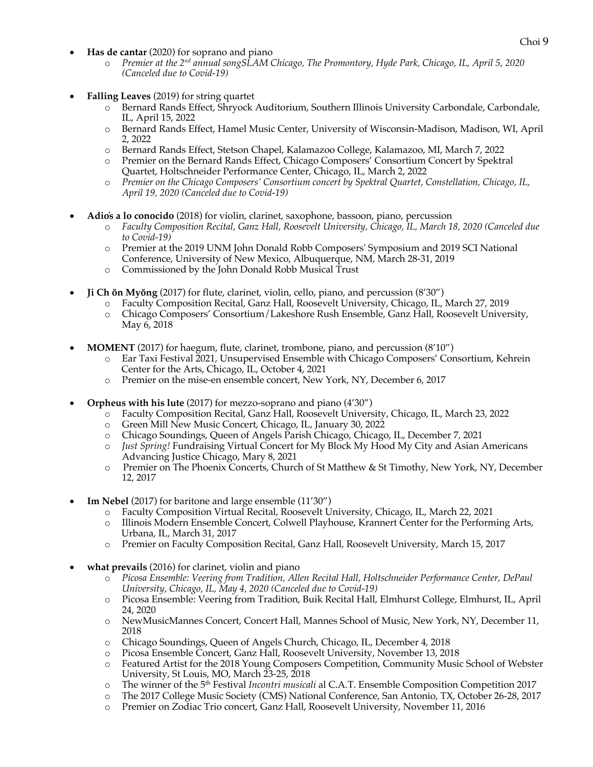- **Has de cantar** (2020) for soprano and piano *Has* de cantar (2020) for soprano and piano
	- o *Premier at the 2nd annual songSLAM Chicago, The Promontory, Hyde Park, Chicago, IL, April 5, 2020 (Canceled due to Covid-19)*
- **Falling Leaves** (2019) for string quartet
	- o Bernard Rands Effect, Shryock Auditorium, Southern Illinois University Carbondale, Carbondale, IL, April 15, 2022
	- o Bernard Rands Effect, Hamel Music Center, University of Wisconsin-Madison, Madison, WI, April 2, 2022
	- o Bernard Rands Effect, Stetson Chapel, Kalamazoo College, Kalamazoo, MI, March 7, 2022
	- o Premier on the Bernard Rands Effect, Chicago Composers' Consortium Concert by Spektral Quartet, Holtschneider Performance Center, Chicago, IL, March 2, 2022
	- o *Premier on the Chicago Composers' Consortium concert by Spektral Quartet, Constellation, Chicago, IL, April 19, 2020 (Canceled due to Covid-19)*
- **Adiós a lo conocido** (2018) for violin, clarinet, saxophone, bassoon, piano, percussion
	- o *Faculty Composition Recital, Ganz Hall, Roosevelt University, Chicago, IL, March 18, 2020 (Canceled due to Covid-19)*
	- o Premier at the 2019 UNM John Donald Robb Composers' Symposium and 2019 SCI National Conference, University of New Mexico, Albuquerque, NM, March 28-31, 2019
	- o Commissioned by the John Donald Robb Musical Trust
- **Ji Ch ŏn Myŏng** (2017) for flute, clarinet, violin, cello, piano, and percussion (8'30")
	- o Faculty Composition Recital, Ganz Hall, Roosevelt University, Chicago, IL, March 27, 2019
	- o Chicago Composers' Consortium/Lakeshore Rush Ensemble, Ganz Hall, Roosevelt University, May 6, 2018
- **MOMENT** (2017) for haegum, flute, clarinet, trombone, piano, and percussion (8'10")
	- o Ear Taxi Festival 2021, Unsupervised Ensemble with Chicago Composers' Consortium, Kehrein Center for the Arts, Chicago, IL, October 4, 2021
	- o Premier on the mise-en ensemble concert, New York, NY, December 6, 2017
- **Orpheus with his lute** (2017) for mezzo-soprano and piano (4'30")
	- o Faculty Composition Recital, Ganz Hall, Roosevelt University, Chicago, IL, March 23, 2022
	- o Green Mill New Music Concert, Chicago, IL, January 30, 2022
	- o Chicago Soundings, Queen of Angels Parish Chicago, Chicago, IL, December 7, 2021
	- o *Just Spring!* Fundraising Virtual Concert for My Block My Hood My City and Asian Americans Advancing Justice Chicago, Mary 8, 2021
	- o Premier on The Phoenix Concerts, Church of St Matthew & St Timothy, New York, NY, December 12, 2017
- **Im Nebel** (2017) for baritone and large ensemble (11'30")
	- o Faculty Composition Virtual Recital, Roosevelt University, Chicago, IL, March 22, 2021
	- o Illinois Modern Ensemble Concert, Colwell Playhouse, Krannert Center for the Performing Arts, Urbana, IL, March 31, 2017
	- o Premier on Faculty Composition Recital, Ganz Hall, Roosevelt University, March 15, 2017
- **what prevails** (2016) for clarinet, violin and piano
	- o *Picosa Ensemble: Veering from Tradition, Allen Recital Hall, Holtschneider Performance Center, DePaul University, Chicago, IL, May 4, 2020 (Canceled due to Covid-19)*
	- o Picosa Ensemble: Veering from Tradition, Buik Recital Hall, Elmhurst College, Elmhurst, IL, April 24, 2020
	- o NewMusicMannes Concert, Concert Hall, Mannes School of Music, New York, NY, December 11, 2018
	- o Chicago Soundings, Queen of Angels Church, Chicago, IL, December 4, 2018
	- o Picosa Ensemble Concert, Ganz Hall, Roosevelt University, November 13, 2018
	- o Featured Artist for the 2018 Young Composers Competition, Community Music School of Webster University, St Louis, MO, March 23-25, 2018
	- o The winner of the 5th Festival *Incontri musicali* al C.A.T. Ensemble Composition Competition 2017
	- o The 2017 College Music Society (CMS) National Conference, San Antonio, TX, October 26-28, 2017
	- o Premier on Zodiac Trio concert, Ganz Hall, Roosevelt University, November 11, 2016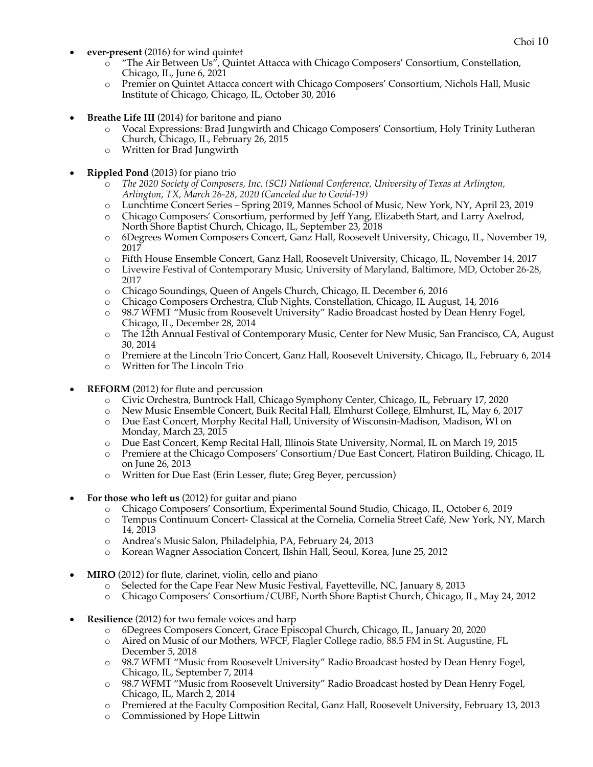- **ever-present** (2016) for wind quintet **Exercise 2016** Choi 10
	- o "The Air Between Us", Quintet Attacca with Chicago Composers' Consortium, Constellation, Chicago, IL, June 6, 2021
	- o Premier on Quintet Attacca concert with Chicago Composers' Consortium, Nichols Hall, Music Institute of Chicago, Chicago, IL, October 30, 2016
- **Breathe Life III** (2014) for baritone and piano
	- Vocal Expressions: Brad Jungwirth and Chicago Composers' Consortium, Holy Trinity Lutheran Church, Chicago, IL, February 26, 2015
	- o Written for Brad Jungwirth
- **Rippled Pond** (2013) for piano trio
	- o *The 2020 Society of Composers, Inc. (SCI) National Conference, University of Texas at Arlington, Arlington, TX, March 26-28, 2020 (Canceled due to Covid-19)*
	- o Lunchtime Concert Series Spring 2019, Mannes School of Music, New York, NY, April 23, 2019
	- o Chicago Composers' Consortium, performed by Jeff Yang, Elizabeth Start, and Larry Axelrod, North Shore Baptist Church, Chicago, IL, September 23, 2018
	- o 6Degrees Women Composers Concert, Ganz Hall, Roosevelt University, Chicago, IL, November 19, 2017
	- o Fifth House Ensemble Concert, Ganz Hall, Roosevelt University, Chicago, IL, November 14, 2017
	- o Livewire Festival of Contemporary Music, University of Maryland, Baltimore, MD, October 26-28, 2017
	- o Chicago Soundings, Queen of Angels Church, Chicago, IL December 6, 2016
	- o Chicago Composers Orchestra, Club Nights, Constellation, Chicago, IL August, 14, 2016
	- o 98.7 WFMT "Music from Roosevelt University" Radio Broadcast hosted by Dean Henry Fogel, Chicago, IL, December 28, 2014
	- o The 12th Annual Festival of Contemporary Music, Center for New Music, San Francisco, CA, August 30, 2014
	- o Premiere at the Lincoln Trio Concert, Ganz Hall, Roosevelt University, Chicago, IL, February 6, 2014
	- o Written for The Lincoln Trio
- **REFORM** (2012) for flute and percussion
	- o Civic Orchestra, Buntrock Hall, Chicago Symphony Center, Chicago, IL, February 17, 2020
	- o New Music Ensemble Concert, Buik Recital Hall, Elmhurst College, Elmhurst, IL, May 6, 2017
	- o Due East Concert, Morphy Recital Hall, University of Wisconsin-Madison, Madison, WI on Monday, March 23, 2015
	- o Due East Concert, Kemp Recital Hall, Illinois State University, Normal, IL on March 19, 2015
	- o Premiere at the Chicago Composers' Consortium/Due East Concert, Flatiron Building, Chicago, IL on June 26, 2013
	- o Written for Due East (Erin Lesser, flute; Greg Beyer, percussion)
- **For those who left us** (2012) for guitar and piano
	- o Chicago Composers' Consortium, Experimental Sound Studio, Chicago, IL, October 6, 2019
	- o Tempus Continuum Concert- Classical at the Cornelia, Cornelia Street Café, New York, NY, March 14, 2013
	- o Andrea's Music Salon, Philadelphia, PA, February 24, 2013
	- o Korean Wagner Association Concert, Ilshin Hall, Seoul, Korea, June 25, 2012
- **MIRO** (2012) for flute, clarinet, violin, cello and piano
	- o Selected for the Cape Fear New Music Festival, Fayetteville, NC, January 8, 2013
	- o Chicago Composers' Consortium/CUBE, North Shore Baptist Church, Chicago, IL, May 24, 2012
- **Resilience** (2012) for two female voices and harp
	- o 6Degrees Composers Concert, Grace Episcopal Church, Chicago, IL, January 20, 2020
	- o Aired on Music of our Mothers, WFCF, Flagler College radio, 88.5 FM in St. Augustine, FL December 5, 2018
	- o 98.7 WFMT "Music from Roosevelt University" Radio Broadcast hosted by Dean Henry Fogel, Chicago, IL, September 7, 2014
	- o 98.7 WFMT "Music from Roosevelt University" Radio Broadcast hosted by Dean Henry Fogel, Chicago, IL, March 2, 2014
	- o Premiered at the Faculty Composition Recital, Ganz Hall, Roosevelt University, February 13, 2013
	- o Commissioned by Hope Littwin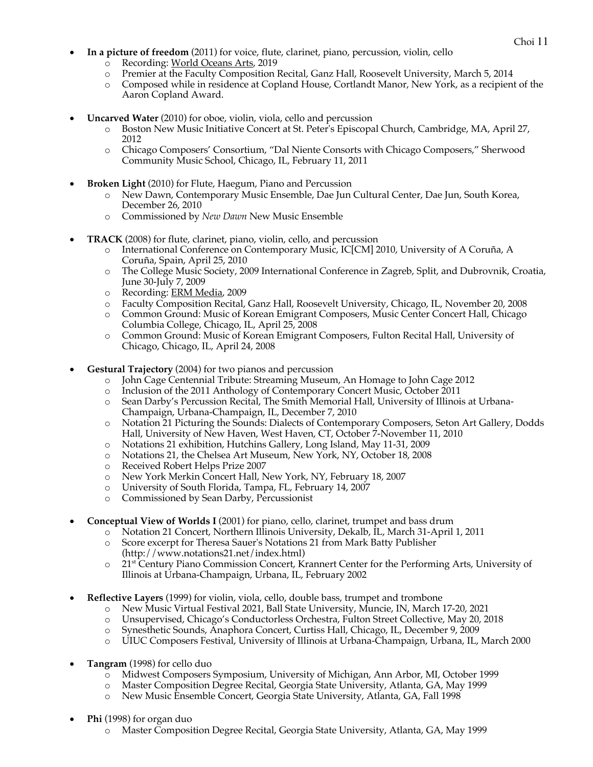- Choi <sup>11</sup> **In a picture of freedom** (2011) for voice, flute, clarinet, piano, percussion, violin, cello
	- o Recording: World Oceans Arts, 2019
	- o Premier at the Faculty Composition Recital, Ganz Hall, Roosevelt University, March 5, 2014
	- o Composed while in residence at Copland House, Cortlandt Manor, New York, as a recipient of the Aaron Copland Award.
- **Uncarved Water** (2010) for oboe, violin, viola, cello and percussion
	- o Boston New Music Initiative Concert at St. Peter's Episcopal Church, Cambridge, MA, April 27, 2012
	- o Chicago Composers' Consortium, "Dal Niente Consorts with Chicago Composers," Sherwood Community Music School, Chicago, IL, February 11, 2011
- **Broken Light** (2010) for Flute, Haegum, Piano and Percussion
	- o New Dawn, Contemporary Music Ensemble, Dae Jun Cultural Center, Dae Jun, South Korea, December 26, 2010
	- o Commissioned by *New Dawn* New Music Ensemble
- **TRACK** (2008) for flute, clarinet, piano, violin, cello, and percussion
	- International Conference on Contemporary Music, IC[CM] 2010, University of A Coruña, A Coruña, Spain, April 25, 2010
	- o The College Music Society, 2009 International Conference in Zagreb, Split, and Dubrovnik, Croatia, June 30-July 7, 2009
	- o Recording: ERM Media, 2009
	- o Faculty Composition Recital, Ganz Hall, Roosevelt University, Chicago, IL, November 20, 2008
	- o Common Ground: Music of Korean Emigrant Composers, Music Center Concert Hall, Chicago Columbia College, Chicago, IL, April 25, 2008
	- o Common Ground: Music of Korean Emigrant Composers, Fulton Recital Hall, University of Chicago, Chicago, IL, April 24, 2008
- **Gestural Trajectory** (2004) for two pianos and percussion
	- o John Cage Centennial Tribute: Streaming Museum, An Homage to John Cage 2012
	- o Inclusion of the 2011 Anthology of Contemporary Concert Music, October 2011
	- o Sean Darby's Percussion Recital, The Smith Memorial Hall, University of Illinois at Urbana-Champaign, Urbana-Champaign, IL, December 7, 2010
	- o Notation 21 Picturing the Sounds: Dialects of Contemporary Composers, Seton Art Gallery, Dodds Hall, University of New Haven, West Haven, CT, October 7-November 11, 2010
	- o Notations 21 exhibition, Hutchins Gallery, Long Island, May 11-31, 2009
	- o Notations 21, the Chelsea Art Museum, New York, NY, October 18, 2008
	- o Received Robert Helps Prize 2007
	- o New York Merkin Concert Hall, New York, NY, February 18, 2007
	- o University of South Florida, Tampa, FL, February 14, 2007
	- o Commissioned by Sean Darby, Percussionist
- **Conceptual View of Worlds I** (2001) for piano, cello, clarinet, trumpet and bass drum
	- o Notation 21 Concert, Northern Illinois University, Dekalb, IL, March 31-April 1, 2011
	- o Score excerpt for Theresa Sauer's Notations 21 from Mark Batty Publisher (http://www.notations21.net/index.html)
	- o 21st Century Piano Commission Concert, Krannert Center for the Performing Arts, University of Illinois at Urbana-Champaign, Urbana, IL, February 2002
- **Reflective Layers** (1999) for violin, viola, cello, double bass, trumpet and trombone
	- o New Music Virtual Festival 2021, Ball State University, Muncie, IN, March 17-20, 2021
	- o Unsupervised, Chicago's Conductorless Orchestra, Fulton Street Collective, May 20, 2018
	- o Synesthetic Sounds, Anaphora Concert, Curtiss Hall, Chicago, IL, December 9, 2009
	- o UIUC Composers Festival, University of Illinois at Urbana-Champaign, Urbana, IL, March 2000
- **Tangram** (1998) for cello duo
	- o Midwest Composers Symposium, University of Michigan, Ann Arbor, MI, October 1999
	- o Master Composition Degree Recital, Georgia State University, Atlanta, GA, May 1999
	- o New Music Ensemble Concert, Georgia State University, Atlanta, GA, Fall 1998
- **Phi** (1998) for organ duo
	- o Master Composition Degree Recital, Georgia State University, Atlanta, GA, May 1999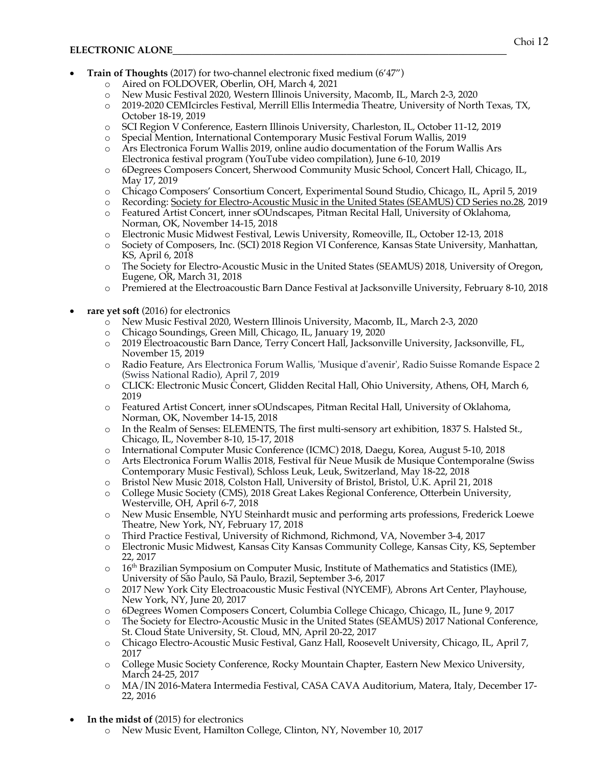- **Train of Thoughts** (2017) for two-channel electronic fixed medium (6'47")
	- o Aired on FOLDOVER, Oberlin, OH, March 4, 2021
	- o New Music Festival 2020, Western Illinois University, Macomb, IL, March 2-3, 2020
	- o 2019-2020 CEMIcircles Festival, Merrill Ellis Intermedia Theatre, University of North Texas, TX, October 18-19, 2019
	- o SCI Region V Conference, Eastern Illinois University, Charleston, IL, October 11-12, 2019
	- o Special Mention, International Contemporary Music Festival Forum Wallis, 2019
	- o Ars Electronica Forum Wallis 2019, online audio documentation of the Forum Wallis Ars Electronica festival program (YouTube video compilation), June 6-10, 2019
	- o 6Degrees Composers Concert, Sherwood Community Music School, Concert Hall, Chicago, IL, May 17, 2019
	- o Chicago Composers' Consortium Concert, Experimental Sound Studio, Chicago, IL, April 5, 2019
	- o Recording: Society for Electro-Acoustic Music in the United States (SEAMUS) CD Series no.28, 2019
	- o Featured Artist Concert, inner sOUndscapes, Pitman Recital Hall, University of Oklahoma, Norman, OK, November 14-15, 2018
	- o Electronic Music Midwest Festival, Lewis University, Romeoville, IL, October 12-13, 2018
	- o Society of Composers, Inc. (SCI) 2018 Region VI Conference, Kansas State University, Manhattan, KS, April 6, 2018
	- o The Society for Electro-Acoustic Music in the United States (SEAMUS) 2018, University of Oregon, Eugene, OR, March 31, 2018
	- o Premiered at the Electroacoustic Barn Dance Festival at Jacksonville University, February 8-10, 2018
- rare yet soft (2016) for electronics
	- o New Music Festival 2020, Western Illinois University, Macomb, IL, March 2-3, 2020
	- o Chicago Soundings, Green Mill, Chicago, IL, January 19, 2020
	- o 2019 Electroacoustic Barn Dance, Terry Concert Hall, Jacksonville University, Jacksonville, FL, November 15, 2019
	- o Radio Feature, Ars Electronica Forum Wallis, 'Musique d'avenir', Radio Suisse Romande Espace 2 (Swiss National Radio), April 7, 2019
	- o CLICK: Electronic Music Concert, Glidden Recital Hall, Ohio University, Athens, OH, March 6, 2019
	- o Featured Artist Concert, inner sOUndscapes, Pitman Recital Hall, University of Oklahoma, Norman, OK, November 14-15, 2018
	- o In the Realm of Senses: ELEMENTS, The first multi-sensory art exhibition, 1837 S. Halsted St., Chicago, IL, November 8-10, 15-17, 2018
	- o International Computer Music Conference (ICMC) 2018, Daegu, Korea, August 5-10, 2018
	- o Arts Electronica Forum Wallis 2018, Festival für Neue Musik de Musique Contemporalne (Swiss Contemporary Music Festival), Schloss Leuk, Leuk, Switzerland, May 18-22, 2018
	- o Bristol New Music 2018, Colston Hall, University of Bristol, Bristol, U.K. April 21, 2018
	- o College Music Society (CMS), 2018 Great Lakes Regional Conference, Otterbein University, Westerville, OH, April 6-7, 2018
	- o New Music Ensemble, NYU Steinhardt music and performing arts professions, Frederick Loewe Theatre, New York, NY, February 17, 2018
	- o Third Practice Festival, University of Richmond, Richmond, VA, November 3-4, 2017
	- o Electronic Music Midwest, Kansas City Kansas Community College, Kansas City, KS, September 22, 2017
	- $\circ$  16<sup>th</sup> Brazilian Symposium on Computer Music, Institute of Mathematics and Statistics (IME), University of São Paulo, Sã Paulo, Brazil, September 3-6, 2017
	- o 2017 New York City Electroacoustic Music Festival (NYCEMF), Abrons Art Center, Playhouse, New York, NY, June 20, 2017
	- o 6Degrees Women Composers Concert, Columbia College Chicago, Chicago, IL, June 9, 2017
	- o The Society for Electro-Acoustic Music in the United States (SEAMUS) 2017 National Conference, St. Cloud State University, St. Cloud, MN, April 20-22, 2017
	- o Chicago Electro-Acoustic Music Festival, Ganz Hall, Roosevelt University, Chicago, IL, April 7, 2017
	- o College Music Society Conference, Rocky Mountain Chapter, Eastern New Mexico University, March 24-25, 2017
	- o MA/IN 2016-Matera Intermedia Festival, CASA CAVA Auditorium, Matera, Italy, December 17- 22, 2016
- **In the midst of** (2015) for electronics
	- o New Music Event, Hamilton College, Clinton, NY, November 10, 2017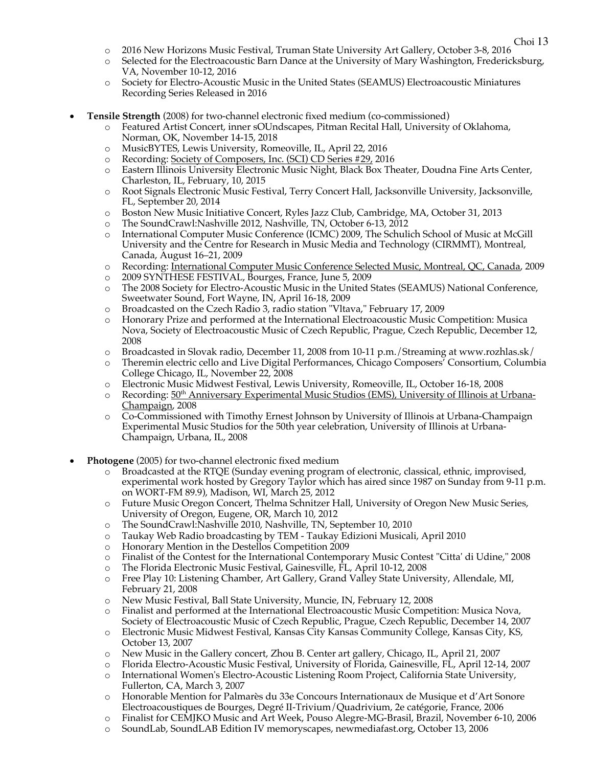- o 2016 New Horizons Music Festival, Truman State University Art Gallery, October 3-8, 2016
- o Selected for the Electroacoustic Barn Dance at the University of Mary Washington, Fredericksburg, VA, November 10-12, 2016
- o Society for Electro-Acoustic Music in the United States (SEAMUS) Electroacoustic Miniatures Recording Series Released in 2016
- **Tensile Strength** (2008) for two-channel electronic fixed medium (co-commissioned)
	- o Featured Artist Concert, inner sOUndscapes, Pitman Recital Hall, University of Oklahoma, Norman, OK, November 14-15, 2018
	- o MusicBYTES, Lewis University, Romeoville, IL, April 22, 2016
	- o Recording: Society of Composers, Inc. (SCI) CD Series #29, 2016
	- o Eastern Illinois University Electronic Music Night, Black Box Theater, Doudna Fine Arts Center, Charleston, IL, February, 10, 2015
	- o Root Signals Electronic Music Festival, Terry Concert Hall, Jacksonville University, Jacksonville, FL, September 20, 2014
	- o Boston New Music Initiative Concert, Ryles Jazz Club, Cambridge, MA, October 31, 2013
	-
	- o The SoundCrawl:Nashville 2012, Nashville, TN, October 6-13, 2012 International Computer Music Conference (ICMC) 2009, The Schulich School of Music at McGill University and the Centre for Research in Music Media and Technology (CIRMMT), Montreal, Canada, August 16–21, 2009
	- o Recording: International Computer Music Conference Selected Music, Montreal, QC, Canada, 2009
	- o 2009 SYNTHESE FESTIVAL, Bourges, France, June 5, 2009
	- o The 2008 Society for Electro-Acoustic Music in the United States (SEAMUS) National Conference, Sweetwater Sound, Fort Wayne, IN, April 16-18, 2009
	- o Broadcasted on the Czech Radio 3, radio station "Vltava," February 17, 2009
	- o Honorary Prize and performed at the International Electroacoustic Music Competition: Musica Nova, Society of Electroacoustic Music of Czech Republic, Prague, Czech Republic, December 12, 2008
	- o Broadcasted in Slovak radio, December 11, 2008 from 10-11 p.m./Streaming at www.rozhlas.sk/
	- o Theremin electric cello and Live Digital Performances, Chicago Composers' Consortium, Columbia College Chicago, IL, November 22, 2008
	- o Electronic Music Midwest Festival, Lewis University, Romeoville, IL, October 16-18, 2008
	- $\circ$  Recording:  $50<sup>th</sup>$  Anniversary Experimental Music Studios (EMS), University of Illinois at Urbana-Champaign, 2008
	- o Co-Commissioned with Timothy Ernest Johnson by University of Illinois at Urbana-Champaign Experimental Music Studios for the 50th year celebration, University of Illinois at Urbana-Champaign, Urbana, IL, 2008
- **Photogene** (2005) for two-channel electronic fixed medium
	- o Broadcasted at the RTQE (Sunday evening program of electronic, classical, ethnic, improvised, experimental work hosted by Gregory Taylor which has aired since 1987 on Sunday from 9-11 p.m. on WORT-FM 89.9), Madison, WI, March 25, 2012
	- o Future Music Oregon Concert, Thelma Schnitzer Hall, University of Oregon New Music Series, University of Oregon, Eugene, OR, March 10, 2012
	- o The SoundCrawl:Nashville 2010, Nashville, TN, September 10, 2010
	- o Taukay Web Radio broadcasting by TEM Taukay Edizioni Musicali, April 2010
	- o Honorary Mention in the Destellos Competition 2009
	- o Finalist of the Contest for the International Contemporary Music Contest "Citta' di Udine," 2008
	- o The Florida Electronic Music Festival, Gainesville, FL, April 10-12, 2008
	- o Free Play 10: Listening Chamber, Art Gallery, Grand Valley State University, Allendale, MI, February 21, 2008
	- o New Music Festival, Ball State University, Muncie, IN, February 12, 2008
	- o Finalist and performed at the International Electroacoustic Music Competition: Musica Nova, Society of Electroacoustic Music of Czech Republic, Prague, Czech Republic, December 14, 2007
	- o Electronic Music Midwest Festival, Kansas City Kansas Community College, Kansas City, KS, October 13, 2007
	- o New Music in the Gallery concert, Zhou B. Center art gallery, Chicago, IL, April 21, 2007
	- o Florida Electro-Acoustic Music Festival, University of Florida, Gainesville, FL, April 12-14, 2007
	- o International Women's Electro-Acoustic Listening Room Project, California State University, Fullerton, CA, March 3, 2007
	- o Honorable Mention for Palmarès du 33e Concours Internationaux de Musique et d'Art Sonore Electroacoustiques de Bourges, Degré II-Trivium/Quadrivium, 2e catégorie, France, 2006
	- o Finalist for CEMJKO Music and Art Week, Pouso Alegre-MG-Brasil, Brazil, November 6-10, 2006
	- o SoundLab, SoundLAB Edition IV memoryscapes, newmediafast.org, October 13, 2006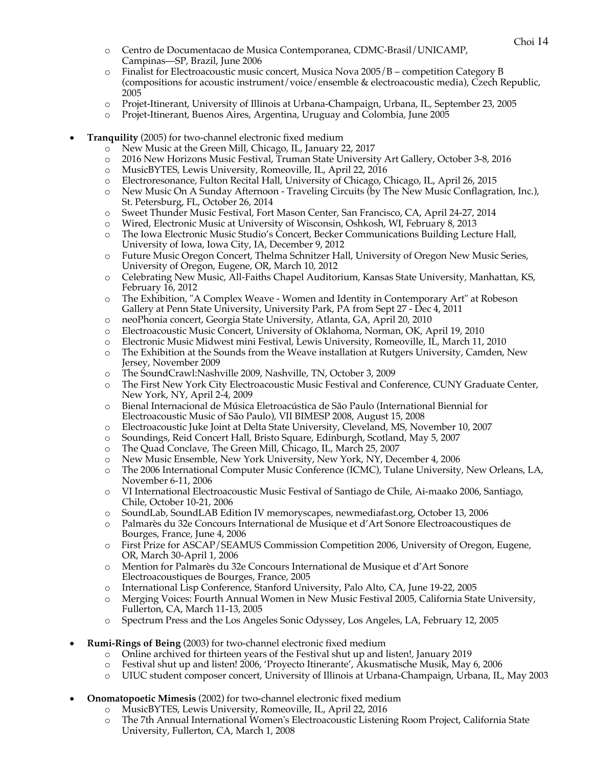- o Centro de Documentacao de Musica Contemporanea, CDMC-Brasil/UNICAMP, Campinas—SP, Brazil, June 2006
- o Finalist for Electroacoustic music concert, Musica Nova 2005/B competition Category B (compositions for acoustic instrument/voice/ensemble & electroacoustic media), Czech Republic, 2005
- o Projet-Itinerant, University of Illinois at Urbana-Champaign, Urbana, IL, September 23, 2005
- o Projet-Itinerant, Buenos Aires, Argentina, Uruguay and Colombia, June 2005
- **Tranquility** (2005) for two-channel electronic fixed medium
	- o New Music at the Green Mill, Chicago, IL, January 22, 2017
	- o 2016 New Horizons Music Festival, Truman State University Art Gallery, October 3-8, 2016
	- o MusicBYTES, Lewis University, Romeoville, IL, April 22, 2016
	- o Electroresonance, Fulton Recital Hall, University of Chicago, Chicago, IL, April 26, 2015
	- o New Music On A Sunday Afternoon Traveling Circuits (by The New Music Conflagration, Inc.), St. Petersburg, FL, October 26, 2014
	- o Sweet Thunder Music Festival, Fort Mason Center, San Francisco, CA, April 24-27, 2014
	- o Wired, Electronic Music at University of Wisconsin, Oshkosh, WI, February 8, 2013
	- o The Iowa Electronic Music Studio's Concert, Becker Communications Building Lecture Hall, University of Iowa, Iowa City, IA, December 9, 2012
	- o Future Music Oregon Concert, Thelma Schnitzer Hall, University of Oregon New Music Series, University of Oregon, Eugene, OR, March 10, 2012
	- o Celebrating New Music, All-Faiths Chapel Auditorium, Kansas State University, Manhattan, KS, February 16, 2012
	- o The Exhibition, "A Complex Weave Women and Identity in Contemporary Art" at Robeson Gallery at Penn State University, University Park, PA from Sept 27 - Dec 4, 2011
	- o neoPhonia concert, Georgia State University, Atlanta, GA, April 20, 2010
	- o Electroacoustic Music Concert, University of Oklahoma, Norman, OK, April 19, 2010
	- o Electronic Music Midwest mini Festival, Lewis University, Romeoville, IL, March 11, 2010
	- o The Exhibition at the Sounds from the Weave installation at Rutgers University, Camden, New Jersey, November 2009
	- o The SoundCrawl:Nashville 2009, Nashville, TN, October 3, 2009
	- o The First New York City Electroacoustic Music Festival and Conference, CUNY Graduate Center, New York, NY, April 2-4, 2009
	- o Bienal Internacional de Música Eletroacústica de São Paulo (International Biennial for Electroacoustic Music of São Paulo), VII BIMESP 2008, August 15, 2008
	- o Electroacoustic Juke Joint at Delta State University, Cleveland, MS, November 10, 2007
	- o Soundings, Reid Concert Hall, Bristo Square, Edinburgh, Scotland, May 5, 2007
	- o The Quad Conclave, The Green Mill, Chicago, IL, March 25, 2007
	- o New Music Ensemble, New York University, New York, NY, December 4, 2006
	- o The 2006 International Computer Music Conference (ICMC), Tulane University, New Orleans, LA, November 6-11, 2006
	- o VI International Electroacoustic Music Festival of Santiago de Chile, Ai-maako 2006, Santiago, Chile, October 10-21, 2006
	- o SoundLab, SoundLAB Edition IV memoryscapes, newmediafast.org, October 13, 2006
	- o Palmarès du 32e Concours International de Musique et d'Art Sonore Electroacoustiques de Bourges, France, June 4, 2006
	- o First Prize for ASCAP/SEAMUS Commission Competition 2006, University of Oregon, Eugene, OR, March 30-April 1, 2006
	- o Mention for Palmarès du 32e Concours International de Musique et d'Art Sonore Electroacoustiques de Bourges, France, 2005
	- o International Lisp Conference, Stanford University, Palo Alto, CA, June 19-22, 2005
	- o Merging Voices: Fourth Annual Women in New Music Festival 2005, California State University, Fullerton, CA, March 11-13, 2005
	- o Spectrum Press and the Los Angeles Sonic Odyssey, Los Angeles, LA, February 12, 2005
- **Rumi-Rings of Being** (2003) for two-channel electronic fixed medium
	- o Online archived for thirteen years of the Festival shut up and listen!, January 2019
	- o Festival shut up and listen! 2006, 'Proyecto Itinerante', Akusmatische Musik, May 6, 2006
	- o UIUC student composer concert, University of Illinois at Urbana-Champaign, Urbana, IL, May 2003
- **Onomatopoetic Mimesis** (2002) for two-channel electronic fixed medium
	- o MusicBYTES, Lewis University, Romeoville, IL, April 22, 2016
	- o The 7th Annual International Women's Electroacoustic Listening Room Project, California State University, Fullerton, CA, March 1, 2008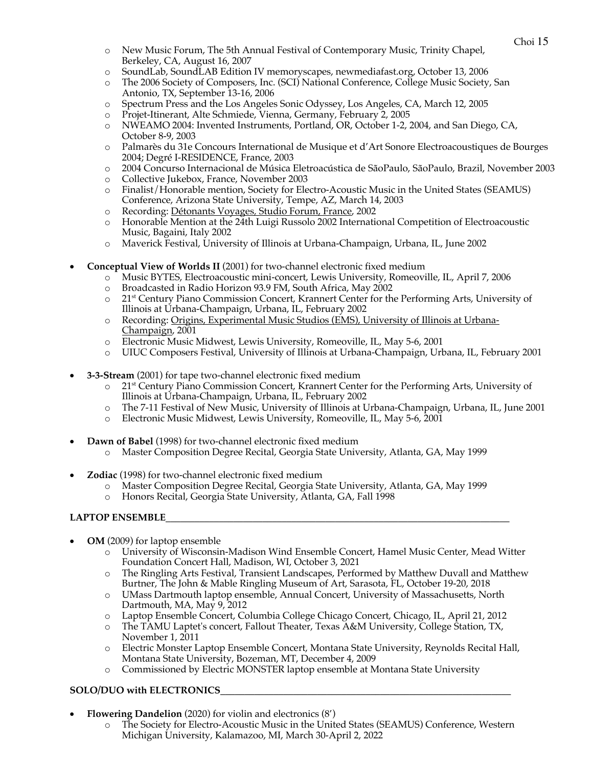- o New Music Forum, The 5th Annual Festival of Contemporary Music, Trinity Chapel, Berkeley, CA, August 16, 2007
- o SoundLab, SoundLAB Edition IV memoryscapes, newmediafast.org, October 13, 2006
- o The 2006 Society of Composers, Inc. (SCI) National Conference, College Music Society, San Antonio, TX, September 13-16, 2006
- o Spectrum Press and the Los Angeles Sonic Odyssey, Los Angeles, CA, March 12, 2005
- o Projet-Itinerant, Alte Schmiede, Vienna, Germany, February 2, 2005
- o NWEAMO 2004: Invented Instruments, Portland, OR, October 1-2, 2004, and San Diego, CA, October 8-9, 2003
- o Palmarès du 31e Concours International de Musique et d'Art Sonore Electroacoustiques de Bourges 2004; Degré I-RESIDENCE, France, 2003
- o 2004 Concurso Internacional de Música Eletroacústica de SãoPaulo, SãoPaulo, Brazil, November 2003
- o Collective Jukebox, France, November 2003
- o Finalist/Honorable mention, Society for Electro-Acoustic Music in the United States (SEAMUS) Conference, Arizona State University, Tempe, AZ, March 14, 2003
- o Recording: Détonants Voyages*,* Studio Forum, France, 2002
- o Honorable Mention at the 24th Luigi Russolo 2002 International Competition of Electroacoustic Music, Bagaini, Italy 2002
- o Maverick Festival, University of Illinois at Urbana-Champaign, Urbana, IL, June 2002
- **Conceptual View of Worlds II** (2001) for two-channel electronic fixed medium
	- o Music BYTES, Electroacoustic mini-concert, Lewis University, Romeoville, IL, April 7, 2006
	- o Broadcasted in Radio Horizon 93.9 FM, South Africa, May 2002
	- o 21st Century Piano Commission Concert, Krannert Center for the Performing Arts, University of Illinois at Urbana-Champaign, Urbana, IL, February 2002
	- o Recording: Origins, Experimental Music Studios (EMS), University of Illinois at Urbana-Champaign, 2001
	- o Electronic Music Midwest, Lewis University, Romeoville, IL, May 5-6, 2001
	- o UIUC Composers Festival, University of Illinois at Urbana-Champaign, Urbana, IL, February 2001
- **3-3-Stream** (2001) for tape two-channel electronic fixed medium
	- $\circ$  21<sup>st</sup> Century Piano Commission Concert, Krannert Center for the Performing Arts, University of Illinois at Urbana-Champaign, Urbana, IL, February 2002
	- o The 7-11 Festival of New Music, University of Illinois at Urbana-Champaign, Urbana, IL, June 2001
	- o Electronic Music Midwest, Lewis University, Romeoville, IL, May 5-6, 2001
- **Dawn of Babel** (1998) for two-channel electronic fixed medium
	- o Master Composition Degree Recital, Georgia State University, Atlanta, GA, May 1999
- **Zodiac** (1998) for two-channel electronic fixed medium
	- o Master Composition Degree Recital, Georgia State University, Atlanta, GA, May 1999
	- o Honors Recital, Georgia State University, Atlanta, GA, Fall 1998

### **LAPTOP ENSEMBLE\_\_\_\_\_\_\_\_\_\_\_\_\_\_\_\_\_\_\_\_\_\_\_\_\_\_\_\_\_\_\_\_\_\_\_\_\_\_\_\_\_\_\_\_\_\_\_\_\_\_\_\_\_\_\_\_\_\_\_\_\_\_\_\_\_\_\_\_\_\_\_**

- **OM** (2009) for laptop ensemble
	- o University of Wisconsin-Madison Wind Ensemble Concert, Hamel Music Center, Mead Witter Foundation Concert Hall, Madison, WI, October 3, 2021
	- o The Ringling Arts Festival, Transient Landscapes, Performed by Matthew Duvall and Matthew Burtner, The John & Mable Ringling Museum of Art, Sarasota, FL, October 19-20, 2018
	- o UMass Dartmouth laptop ensemble, Annual Concert, University of Massachusetts, North Dartmouth, MA, May 9, 2012
	- o Laptop Ensemble Concert, Columbia College Chicago Concert, Chicago, IL, April 21, 2012
	- o The TAMU Laptet's concert, Fallout Theater, Texas A&M University, College Station, TX, November 1, 2011
	- o Electric Monster Laptop Ensemble Concert, Montana State University, Reynolds Recital Hall, Montana State University, Bozeman, MT, December 4, 2009
	- o Commissioned by Electric MONSTER laptop ensemble at Montana State University

# SOLO/DUO with ELECTRONICS

- **Flowering Dandelion** (2020) for violin and electronics (8')
	- o The Society for Electro-Acoustic Music in the United States (SEAMUS) Conference, Western Michigan University, Kalamazoo, MI, March 30-April 2, 2022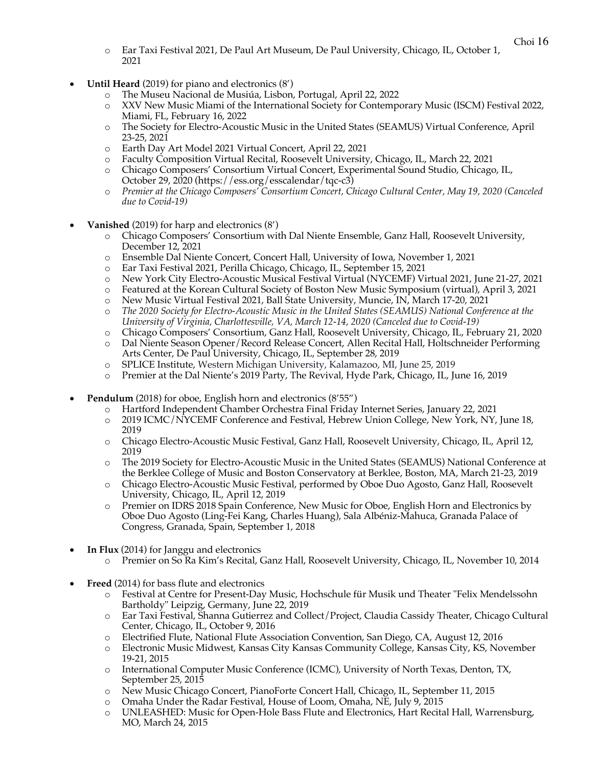- o Ear Taxi Festival 2021, De Paul Art Museum, De Paul University, Chicago, IL, October 1, 2021
- **Until Heard** (2019) for piano and electronics (8')
	- o The Museu Nacional de Musiúa, Lisbon, Portugal, April 22, 2022
	- o XXV New Music Miami of the International Society for Contemporary Music (ISCM) Festival 2022, Miami, FL, February 16, 2022
	- o The Society for Electro-Acoustic Music in the United States (SEAMUS) Virtual Conference, April 23-25, 2021
	- o Earth Day Art Model 2021 Virtual Concert, April 22, 2021
	- o Faculty Composition Virtual Recital, Roosevelt University, Chicago, IL, March 22, 2021
	- o Chicago Composers' Consortium Virtual Concert, Experimental Sound Studio, Chicago, IL, October 29, 2020 (https://ess.org/esscalendar/tqc-c3)
	- o *Premier at the Chicago Composers' Consortium Concert, Chicago Cultural Center, May 19, 2020 (Canceled due to Covid-19)*
- **Vanished** (2019) for harp and electronics (8')
	- o Chicago Composers' Consortium with Dal Niente Ensemble, Ganz Hall, Roosevelt University, December 12, 2021
	- o Ensemble Dal Niente Concert, Concert Hall, University of Iowa, November 1, 2021
	- o Ear Taxi Festival 2021, Perilla Chicago, Chicago, IL, September 15, 2021
	- o New York City Electro-Acoustic Musical Festival Virtual (NYCEMF) Virtual 2021, June 21-27, 2021
	- o Featured at the Korean Cultural Society of Boston New Music Symposium (virtual), April 3, 2021
	- o New Music Virtual Festival 2021, Ball State University, Muncie, IN, March 17-20, 2021
	- o *The 2020 Society for Electro-Acoustic Music in the United States (SEAMUS) National Conference at the University of Virginia, Charlottesville, VA, March 12-14, 2020 (Canceled due to Covid-19)*
	- o Chicago Composers' Consortium, Ganz Hall, Roosevelt University, Chicago, IL, February 21, 2020
	- o Dal Niente Season Opener/Record Release Concert, Allen Recital Hall, Holtschneider Performing Arts Center, De Paul University, Chicago, IL, September 28, 2019
	- o SPLICE Institute, Western Michigan University, Kalamazoo, MI, June 25, 2019
	- o Premier at the Dal Niente's 2019 Party, The Revival, Hyde Park, Chicago, IL, June 16, 2019
- **Pendulum** (2018) for oboe, English horn and electronics (8'55")
	- o Hartford Independent Chamber Orchestra Final Friday Internet Series, January 22, 2021
	- o 2019 ICMC/NYCEMF Conference and Festival, Hebrew Union College, New York, NY, June 18, 2019
	- o Chicago Electro-Acoustic Music Festival, Ganz Hall, Roosevelt University, Chicago, IL, April 12, 2019
	- o The 2019 Society for Electro-Acoustic Music in the United States (SEAMUS) National Conference at the Berklee College of Music and Boston Conservatory at Berklee, Boston, MA, March 21-23, 2019
	- o Chicago Electro-Acoustic Music Festival, performed by Oboe Duo Agosto, Ganz Hall, Roosevelt University, Chicago, IL, April 12, 2019
	- o Premier on IDRS 2018 Spain Conference, New Music for Oboe, English Horn and Electronics by Oboe Duo Agosto (Ling-Fei Kang, Charles Huang), Sala Albéniz-Mahuca, Granada Palace of Congress, Granada, Spain, September 1, 2018
- **In Flux** (2014) for Janggu and electronics
	- o Premier on So Ra Kim's Recital, Ganz Hall, Roosevelt University, Chicago, IL, November 10, 2014
- **Freed** (2014) for bass flute and electronics
	- o Festival at Centre for Present-Day Music, Hochschule für Musik und Theater "Felix Mendelssohn Bartholdy" Leipzig, Germany, June 22, 2019
	- o Ear Taxi Festival, Shanna Gutierrez and Collect/Project, Claudia Cassidy Theater, Chicago Cultural Center, Chicago, IL, October 9, 2016
	- o Electrified Flute, National Flute Association Convention, San Diego, CA, August 12, 2016
	- Electronic Music Midwest, Kansas City Kansas Community College, Kansas City, KS, November 19-21, 2015
	- o International Computer Music Conference (ICMC), University of North Texas, Denton, TX, September 25, 2015
	- o New Music Chicago Concert, PianoForte Concert Hall, Chicago, IL, September 11, 2015
	- o Omaha Under the Radar Festival, House of Loom, Omaha, NE, July 9, 2015
	- o UNLEASHED: Music for Open-Hole Bass Flute and Electronics, Hart Recital Hall, Warrensburg, MO, March 24, 2015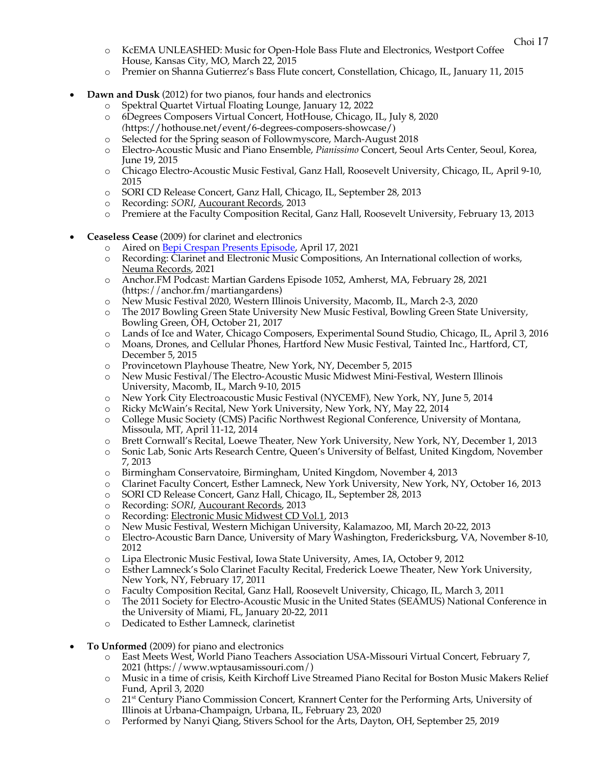- o KcEMA UNLEASHED: Music for Open-Hole Bass Flute and Electronics, Westport Coffee House, Kansas City, MO, March 22, 2015
- o Premier on Shanna Gutierrez's Bass Flute concert, Constellation, Chicago, IL, January 11, 2015
- **Dawn and Dusk** (2012) for two pianos, four hands and electronics
	- o Spektral Quartet Virtual Floating Lounge, January 12, 2022
	- o 6Degrees Composers Virtual Concert, HotHouse, Chicago, IL, July 8, 2020 *(*https://hothouse.net/event/6-degrees-composers-showcase/)
	- o Selected for the Spring season of Followmyscore, March-August 2018
	- o Electro-Acoustic Music and Piano Ensemble, *Pianissimo* Concert, Seoul Arts Center, Seoul, Korea, June 19, 2015
	- o Chicago Electro-Acoustic Music Festival, Ganz Hall, Roosevelt University, Chicago, IL, April 9-10, 2015
	- o SORI CD Release Concert, Ganz Hall, Chicago, IL, September 28, 2013
	- Recording: *SORI*, **Aucourant Records**, 2013
	- o Premiere at the Faculty Composition Recital, Ganz Hall, Roosevelt University, February 13, 2013
- **Ceaseless Cease** (2009) for clarinet and electronics
	- o Aired on **Bepi Crespan Presents Episode**, April 17, 2021
	- o Recording: Clarinet and Electronic Music Compositions, An International collection of works, Neuma Records, 2021
	- o Anchor.FM Podcast: Martian Gardens Episode 1052, Amherst, MA, February 28, 2021 (https://anchor.fm/martiangardens)
	- o New Music Festival 2020, Western Illinois University, Macomb, IL, March 2-3, 2020
	- o The 2017 Bowling Green State University New Music Festival, Bowling Green State University, Bowling Green, OH, October 21, 2017
	- o Lands of Ice and Water, Chicago Composers, Experimental Sound Studio, Chicago, IL, April 3, 2016
	- o Moans, Drones, and Cellular Phones, Hartford New Music Festival, Tainted Inc., Hartford, CT, December 5, 2015
	- o Provincetown Playhouse Theatre, New York, NY, December 5, 2015
	- o New Music Festival/The Electro-Acoustic Music Midwest Mini-Festival, Western Illinois University, Macomb, IL, March 9-10, 2015
	- o New York City Electroacoustic Music Festival (NYCEMF), New York, NY, June 5, 2014
	- o Ricky McWain's Recital, New York University, New York, NY, May 22, 2014
	- o College Music Society (CMS) Pacific Northwest Regional Conference, University of Montana, Missoula, MT, April 11-12, 2014
	- o Brett Cornwall's Recital, Loewe Theater, New York University, New York, NY, December 1, 2013
	- o Sonic Lab, Sonic Arts Research Centre, Queen's University of Belfast, United Kingdom, November 7, 2013
	- o Birmingham Conservatoire, Birmingham, United Kingdom, November 4, 2013
	- o Clarinet Faculty Concert, Esther Lamneck, New York University, New York, NY, October 16, 2013
	- o SORI CD Release Concert, Ganz Hall, Chicago, IL, September 28, 2013
	- o Recording: *SORI*, Aucourant Records, 2013
	- o Recording: Electronic Music Midwest CD Vol.1, 2013
	- o New Music Festival, Western Michigan University, Kalamazoo, MI, March 20-22, 2013
	- o Electro-Acoustic Barn Dance, University of Mary Washington, Fredericksburg, VA, November 8-10, 2012
	- o Lipa Electronic Music Festival, Iowa State University, Ames, IA, October 9, 2012
	- o Esther Lamneck's Solo Clarinet Faculty Recital, Frederick Loewe Theater, New York University, New York, NY, February 17, 2011
	- o Faculty Composition Recital, Ganz Hall, Roosevelt University, Chicago, IL, March 3, 2011
	- o The 2011 Society for Electro-Acoustic Music in the United States (SEAMUS) National Conference in the University of Miami, FL, January 20-22, 2011
	- o Dedicated to Esther Lamneck, clarinetist
- **To Unformed** (2009) for piano and electronics
	- o East Meets West, World Piano Teachers Association USA-Missouri Virtual Concert, February 7, 2021 (https://www.wptausamissouri.com/)
	- o Music in a time of crisis, Keith Kirchoff Live Streamed Piano Recital for Boston Music Makers Relief Fund, April 3, 2020
	- o 21st Century Piano Commission Concert, Krannert Center for the Performing Arts, University of Illinois at Urbana-Champaign, Urbana, IL, February 23, 2020
	- o Performed by Nanyi Qiang, Stivers School for the Arts, Dayton, OH, September 25, 2019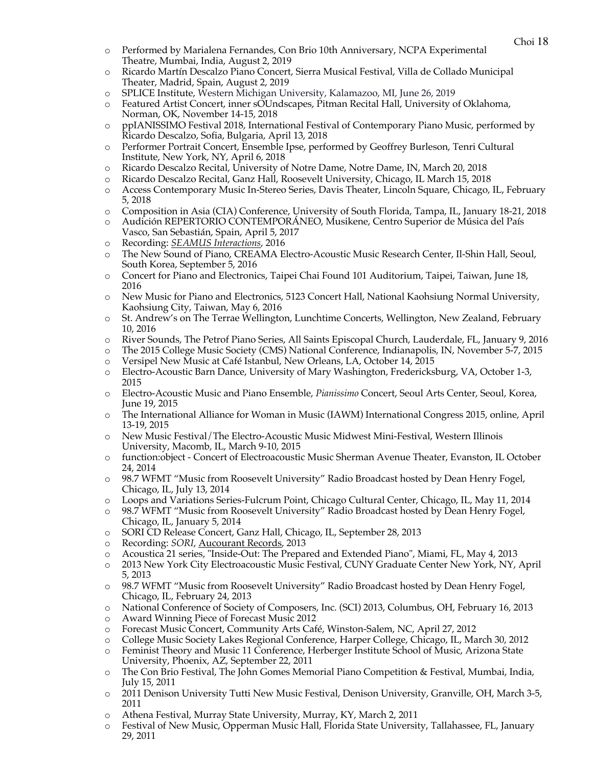- o Performed by Marialena Fernandes, Con Brio 10th Anniversary, NCPA Experimental Theatre, Mumbai, India, August 2, 2019
- o Ricardo Martín Descalzo Piano Concert, Sierra Musical Festival, Villa de Collado Municipal Theater, Madrid, Spain, August 2, 2019
- o SPLICE Institute, Western Michigan University, Kalamazoo, MI, June 26, 2019
- o Featured Artist Concert, inner sOUndscapes, Pitman Recital Hall, University of Oklahoma, Norman, OK, November 14-15, 2018
- o ppIANISSIMO Festival 2018, International Festival of Contemporary Piano Music, performed by Ricardo Descalzo, Sofia, Bulgaria, April 13, 2018
- o Performer Portrait Concert, Ensemble Ipse, performed by Geoffrey Burleson, Tenri Cultural Institute, New York, NY, April 6, 2018
- o Ricardo Descalzo Recital, University of Notre Dame, Notre Dame, IN, March 20, 2018
- o Ricardo Descalzo Recital, Ganz Hall, Roosevelt University, Chicago, IL March 15, 2018
- o Access Contemporary Music In-Stereo Series, Davis Theater, Lincoln Square, Chicago, IL, February 5, 2018
- o Composition in Asia (CIA) Conference, University of South Florida, Tampa, IL, January 18-21, 2018
- o Audición REPERTORIO CONTEMPORÁNEO, Musikene, Centro Superior de Música del País Vasco, San Sebastián, Spain, April 5, 2017
- o Recording: *SEAMUS Interactions*, 2016
- o The New Sound of Piano, CREAMA Electro-Acoustic Music Research Center, Il-Shin Hall, Seoul, South Korea, September 5, 2016
- o Concert for Piano and Electronics, Taipei Chai Found 101 Auditorium, Taipei, Taiwan, June 18, 2016
- o New Music for Piano and Electronics, 5123 Concert Hall, National Kaohsiung Normal University, Kaohsiung City, Taiwan, May 6, 2016
- o St. Andrew's on The Terrae Wellington, Lunchtime Concerts, Wellington, New Zealand, February 10, 2016
- o River Sounds, The Petrof Piano Series, All Saints Episcopal Church, Lauderdale, FL, January 9, 2016
- o The 2015 College Music Society (CMS) National Conference, Indianapolis, IN, November 5-7, 2015
- o Versipel New Music at Café Istanbul, New Orleans, LA, October 14, 2015
- o Electro-Acoustic Barn Dance, University of Mary Washington, Fredericksburg, VA, October 1-3, 2015
- o Electro-Acoustic Music and Piano Ensemble, *Pianissimo* Concert, Seoul Arts Center, Seoul, Korea, June 19, 2015
- o The International Alliance for Woman in Music (IAWM) International Congress 2015, online, April 13-19, 2015
- o New Music Festival/The Electro-Acoustic Music Midwest Mini-Festival, Western Illinois University, Macomb, IL, March 9-10, 2015
- o function:object Concert of Electroacoustic Music Sherman Avenue Theater, Evanston, IL October 24, 2014
- o 98.7 WFMT "Music from Roosevelt University" Radio Broadcast hosted by Dean Henry Fogel, Chicago, IL, July 13, 2014
- o Loops and Variations Series-Fulcrum Point, Chicago Cultural Center, Chicago, IL, May 11, 2014
- o 98.7 WFMT "Music from Roosevelt University" Radio Broadcast hosted by Dean Henry Fogel, Chicago, IL, January 5, 2014
- o SORI CD Release Concert, Ganz Hall, Chicago, IL, September 28, 2013
- o Recording: *SORI*, Aucourant Records, 2013
- o Acoustica 21 series, "Inside-Out: The Prepared and Extended Piano", Miami, FL, May 4, 2013
- o 2013 New York City Electroacoustic Music Festival, CUNY Graduate Center New York, NY, April 5, 2013
- o 98.7 WFMT "Music from Roosevelt University" Radio Broadcast hosted by Dean Henry Fogel, Chicago, IL, February 24, 2013
- o National Conference of Society of Composers, Inc. (SCI) 2013, Columbus, OH, February 16, 2013
- o Award Winning Piece of Forecast Music 2012
- o Forecast Music Concert, Community Arts Café, Winston-Salem, NC, April 27, 2012
- o College Music Society Lakes Regional Conference, Harper College, Chicago, IL, March 30, 2012
- o Feminist Theory and Music 11 Conference, Herberger Institute School of Music, Arizona State University, Phoenix, AZ, September 22, 2011
- o The Con Brio Festival, The John Gomes Memorial Piano Competition & Festival, Mumbai, India, July 15, 2011
- o 2011 Denison University Tutti New Music Festival, Denison University, Granville, OH, March 3-5, 2011
- o Athena Festival, Murray State University, Murray, KY, March 2, 2011
- o Festival of New Music, Opperman Music Hall, Florida State University, Tallahassee, FL, January 29, 2011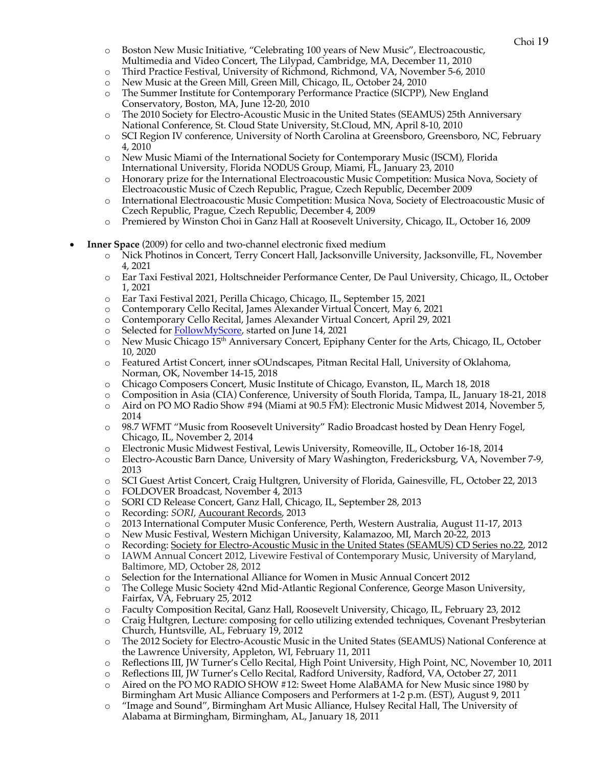- o Boston New Music Initiative, "Celebrating 100 years of New Music", Electroacoustic, Multimedia and Video Concert, The Lilypad, Cambridge, MA, December 11, 2010
- o Third Practice Festival, University of Richmond, Richmond, VA, November 5-6, 2010
- o New Music at the Green Mill, Green Mill, Chicago, IL, October 24, 2010
- o The Summer Institute for Contemporary Performance Practice (SICPP), New England Conservatory, Boston, MA, June 12-20, 2010
- o The 2010 Society for Electro-Acoustic Music in the United States (SEAMUS) 25th Anniversary National Conference, St. Cloud State University, St.Cloud, MN, April 8-10, 2010
- o SCI Region IV conference, University of North Carolina at Greensboro, Greensboro, NC, February 4, 2010
- o New Music Miami of the International Society for Contemporary Music (ISCM), Florida International University, Florida NODUS Group, Miami, FL, January 23, 2010
- o Honorary prize for the International Electroacoustic Music Competition: Musica Nova, Society of Electroacoustic Music of Czech Republic, Prague, Czech Republic, December 2009
- o International Electroacoustic Music Competition: Musica Nova, Society of Electroacoustic Music of Czech Republic, Prague, Czech Republic, December 4, 2009
- o Premiered by Winston Choi in Ganz Hall at Roosevelt University, Chicago, IL, October 16, 2009
- **Inner Space** (2009) for cello and two-channel electronic fixed medium
	- o Nick Photinos in Concert, Terry Concert Hall, Jacksonville University, Jacksonville, FL, November 4, 2021
	- o Ear Taxi Festival 2021, Holtschneider Performance Center, De Paul University, Chicago, IL, October 1, 2021
	- o Ear Taxi Festival 2021, Perilla Chicago, Chicago, IL, September 15, 2021
	- o Contemporary Cello Recital, James Alexander Virtual Concert, May 6, 2021
	- o Contemporary Cello Recital, James Alexander Virtual Concert, April 29, 2021
	- o Selected for FollowMyScore, started on June 14, 2021
	- o New Music Chicago 15th Anniversary Concert, Epiphany Center for the Arts, Chicago, IL, October 10, 2020
	- o Featured Artist Concert, inner sOUndscapes, Pitman Recital Hall, University of Oklahoma, Norman, OK, November 14-15, 2018
	- o Chicago Composers Concert, Music Institute of Chicago, Evanston, IL, March 18, 2018
	- o Composition in Asia (CIA) Conference, University of South Florida, Tampa, IL, January 18-21, 2018
	- o Aird on PO MO Radio Show #94 (Miami at 90.5 FM): Electronic Music Midwest 2014, November 5, 2014
	- o 98.7 WFMT "Music from Roosevelt University" Radio Broadcast hosted by Dean Henry Fogel, Chicago, IL, November 2, 2014
	- o Electronic Music Midwest Festival, Lewis University, Romeoville, IL, October 16-18, 2014
	- o Electro-Acoustic Barn Dance, University of Mary Washington, Fredericksburg, VA, November 7-9, 2013
	- o SCI Guest Artist Concert, Craig Hultgren, University of Florida, Gainesville, FL, October 22, 2013
	- o FOLDOVER Broadcast, November 4, 2013
	- o SORI CD Release Concert, Ganz Hall, Chicago, IL, September 28, 2013
	- o Recording: *SORI*, Aucourant Records, 2013
	- o 2013 International Computer Music Conference, Perth, Western Australia, August 11-17, 2013
	- o New Music Festival, Western Michigan University, Kalamazoo, MI, March 20-22, 2013
	- o Recording: Society for Electro-Acoustic Music in the United States (SEAMUS) CD Series no.22, 2012
	- o IAWM Annual Concert 2012, Livewire Festival of Contemporary Music, University of Maryland, Baltimore, MD, October 28, 2012
	- o Selection for the International Alliance for Women in Music Annual Concert 2012
	- o The College Music Society 42nd Mid-Atlantic Regional Conference, George Mason University, Fairfax, VA, February 25, 2012
	- o Faculty Composition Recital, Ganz Hall, Roosevelt University, Chicago, IL, February 23, 2012
	- o Craig Hultgren, Lecture: composing for cello utilizing extended techniques, Covenant Presbyterian Church, Huntsville, AL, February 19, 2012
	- o The 2012 Society for Electro-Acoustic Music in the United States (SEAMUS) National Conference at the Lawrence University, Appleton, WI, February 11, 2011
	- o Reflections III, JW Turner's Cello Recital, High Point University, High Point, NC, November 10, 2011
	- o Reflections III, JW Turner's Cello Recital, Radford University, Radford, VA, October 27, 2011
	- o Aired on the PO MO RADIO SHOW #12: Sweet Home AlaBAMA for New Music since 1980 by Birmingham Art Music Alliance Composers and Performers at 1-2 p.m. (EST), August 9, 2011
	- o "Image and Sound", Birmingham Art Music Alliance, Hulsey Recital Hall, The University of Alabama at Birmingham, Birmingham, AL, January 18, 2011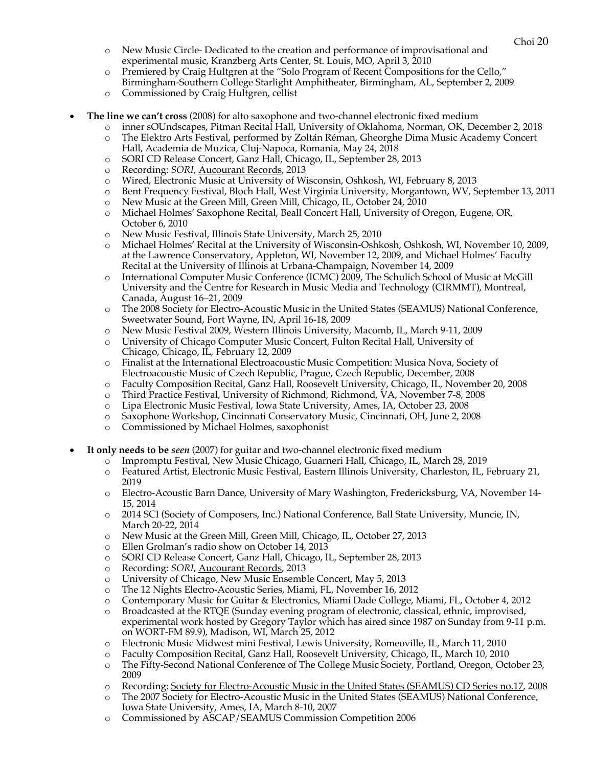- o New Music Circle- Dedicated to the creation and performance of improvisational and experimental music, Kranzberg Arts Center, St. Louis, MO, April 3, 2010
- o Premiered by Craig Hultgren at the "Solo Program of Recent Compositions for the Cello," Birmingham-Southern College Starlight Amphitheater, Birmingham, AL, September 2, 2009
- o Commissioned by Craig Hultgren, cellist
- **The line we can't cross** (2008) for alto saxophone and two-channel electronic fixed medium
	- o inner sOUndscapes, Pitman Recital Hall, University of Oklahoma, Norman, OK, December 2, 2018
	- o The Elektro Arts Festival, performed by Zoltán Réman, Gheorghe Dima Music Academy Concert Hall, Academia de Muzica, Cluj-Napoca, Romania, May 24, 2018
	- o SORI CD Release Concert, Ganz Hall, Chicago, IL, September 28, 2013
	- o Recording: *SORI*, Aucourant Records, 2013
	- o Wired, Electronic Music at University of Wisconsin, Oshkosh, WI, February 8, 2013
	- o Bent Frequency Festival, Bloch Hall, West Virginia University, Morgantown, WV, September 13, 2011
	- o New Music at the Green Mill, Green Mill, Chicago, IL, October 24, 2010
	- o Michael Holmes' Saxophone Recital, Beall Concert Hall, University of Oregon, Eugene, OR, October 6, 2010
	- o New Music Festival, Illinois State University, March 25, 2010
	- o Michael Holmes' Recital at the University of Wisconsin-Oshkosh, Oshkosh, WI, November 10, 2009, at the Lawrence Conservatory, Appleton, WI, November 12, 2009, and Michael Holmes' Faculty Recital at the University of Illinois at Urbana-Champaign, November 14, 2009
	- o International Computer Music Conference (ICMC) 2009, The Schulich School of Music at McGill University and the Centre for Research in Music Media and Technology (CIRMMT), Montreal, Canada, August 16–21, 2009
	- o The 2008 Society for Electro-Acoustic Music in the United States (SEAMUS) National Conference, Sweetwater Sound, Fort Wayne, IN, April 16-18, 2009
	- o New Music Festival 2009, Western Illinois University, Macomb, IL, March 9-11, 2009
	- o University of Chicago Computer Music Concert, Fulton Recital Hall, University of Chicago, Chicago, IL, February 12, 2009
	- o Finalist at the International Electroacoustic Music Competition: Musica Nova, Society of Electroacoustic Music of Czech Republic, Prague, Czech Republic, December, 2008
	- o Faculty Composition Recital, Ganz Hall, Roosevelt University, Chicago, IL, November 20, 2008
	- o Third Practice Festival, University of Richmond, Richmond, VA, November 7-8, 2008
	- o Lipa Electronic Music Festival, Iowa State University, Ames, IA, October 23, 2008
	- o Saxophone Workshop, Cincinnati Conservatory Music, Cincinnati, OH, June 2, 2008
	- o Commissioned by Michael Holmes, saxophonist
- **It only needs to be** *seen* (2007) for guitar and two-channel electronic fixed medium
	- o Impromptu Festival, New Music Chicago, Guarneri Hall, Chicago, IL, March 28, 2019
	- o Featured Artist, Electronic Music Festival, Eastern Illinois University, Charleston, IL, February 21, 2019
	- o Electro-Acoustic Barn Dance, University of Mary Washington, Fredericksburg, VA, November 14- 15, 2014
	- o 2014 SCI (Society of Composers, Inc.) National Conference, Ball State University, Muncie, IN, March 20-22, 2014
	- o New Music at the Green Mill, Green Mill, Chicago, IL, October 27, 2013
	- o Ellen Grolman's radio show on October 14, 2013
	- o SORI CD Release Concert, Ganz Hall, Chicago, IL, September 28, 2013
	- o Recording: *SORI*, Aucourant Records, 2013
	- o University of Chicago, New Music Ensemble Concert, May 5, 2013
	- o The 12 Nights Electro-Acoustic Series, Miami, FL, November 16, 2012
	- o Contemporary Music for Guitar & Electronics, Miami Dade College, Miami, FL, October 4, 2012
	- o Broadcasted at the RTQE (Sunday evening program of electronic, classical, ethnic, improvised, experimental work hosted by Gregory Taylor which has aired since 1987 on Sunday from 9-11 p.m. on WORT-FM 89.9), Madison, WI, March 25, 2012
	- o Electronic Music Midwest mini Festival, Lewis University, Romeoville, IL, March 11, 2010
	- o Faculty Composition Recital, Ganz Hall, Roosevelt University, Chicago, IL, March 10, 2010
	- o The Fifty-Second National Conference of The College Music Society, Portland, Oregon, October 23, 2009
	- o Recording: Society for Electro-Acoustic Music in the United States (SEAMUS) CD Series no.17, 2008
	- o The 2007 Society for Electro-Acoustic Music in the United States (SEAMUS) National Conference, Iowa State University, Ames, IA, March 8-10, 2007
	- o Commissioned by ASCAP/SEAMUS Commission Competition 2006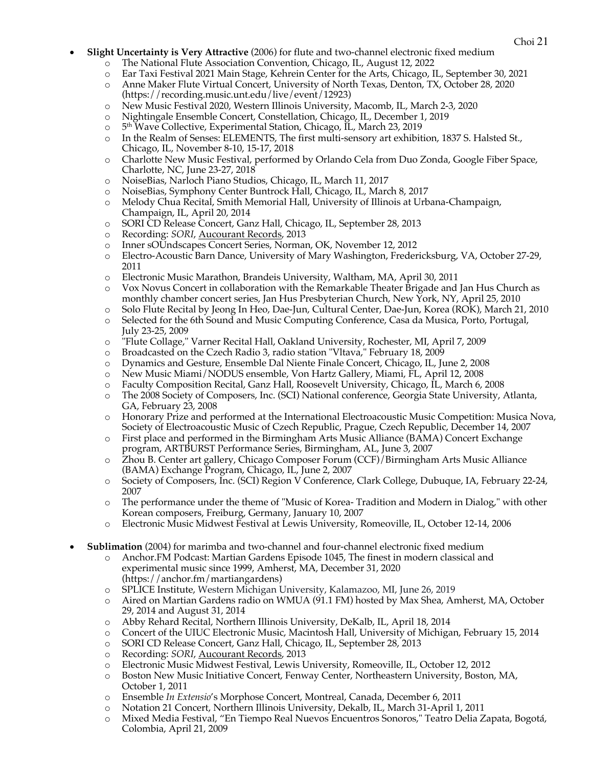- Choi <sup>21</sup> **Slight Uncertainty is Very Attractive** (2006) for flute and two-channel electronic fixed medium
	- o The National Flute Association Convention, Chicago, IL, August 12, 2022
	- o Ear Taxi Festival 2021 Main Stage, Kehrein Center for the Arts, Chicago, IL, September 30, 2021
	- o Anne Maker Flute Virtual Concert, University of North Texas, Denton, TX, October 28, 2020 (https://recording.music.unt.edu/live/event/12923)
	- o New Music Festival 2020, Western Illinois University, Macomb, IL, March 2-3, 2020
	- o Nightingale Ensemble Concert, Constellation, Chicago, IL, December 1, 2019
	- o 5th Wave Collective, Experimental Station, Chicago, IL, March 23, 2019
	- o In the Realm of Senses: ELEMENTS, The first multi-sensory art exhibition, 1837 S. Halsted St., Chicago, IL, November 8-10, 15-17, 2018
	- o Charlotte New Music Festival, performed by Orlando Cela from Duo Zonda, Google Fiber Space, Charlotte, NC, June 23-27, 2018
	- o NoiseBias, Narloch Piano Studios, Chicago, IL, March 11, 2017
	- o NoiseBias, Symphony Center Buntrock Hall, Chicago, IL, March 8, 2017
	- o Melody Chua Recital, Smith Memorial Hall, University of Illinois at Urbana-Champaign, Champaign, IL, April 20, 2014
	- o SORI CD Release Concert, Ganz Hall, Chicago, IL, September 28, 2013
	- o Recording: *SORI*, Aucourant Records, 2013
	- o Inner sOUndscapes Concert Series, Norman, OK, November 12, 2012
	- o Electro-Acoustic Barn Dance, University of Mary Washington, Fredericksburg, VA, October 27-29, 2011
	- o Electronic Music Marathon, Brandeis University, Waltham, MA, April 30, 2011
	- o Vox Novus Concert in collaboration with the Remarkable Theater Brigade and Jan Hus Church as monthly chamber concert series, Jan Hus Presbyterian Church, New York, NY, April 25, 2010
	- o Solo Flute Recital by Jeong In Heo, Dae-Jun, Cultural Center, Dae-Jun, Korea (ROK), March 21, 2010
	- o Selected for the 6th Sound and Music Computing Conference, Casa da Musica, Porto, Portugal, July 23-25, 2009
	- o "Flute Collage," Varner Recital Hall, Oakland University, Rochester, MI, April 7, 2009
	- o Broadcasted on the Czech Radio 3, radio station "Vltava," February 18, 2009
	- o Dynamics and Gesture, Ensemble Dal Niente Finale Concert, Chicago, IL, June 2, 2008
	- o New Music Miami/NODUS ensemble, Von Hartz Gallery, Miami, FL, April 12, 2008
	- o Faculty Composition Recital, Ganz Hall, Roosevelt University, Chicago, IL, March 6, 2008
	- o The 2008 Society of Composers, Inc. (SCI) National conference, Georgia State University, Atlanta, GA, February 23, 2008
	- o Honorary Prize and performed at the International Electroacoustic Music Competition: Musica Nova, Society of Electroacoustic Music of Czech Republic, Prague, Czech Republic, December 14, 2007
	- o First place and performed in the Birmingham Arts Music Alliance (BAMA) Concert Exchange program, ARTBURST Performance Series, Birmingham, AL, June 3, 2007
	- o Zhou B. Center art gallery, Chicago Composer Forum (CCF)/Birmingham Arts Music Alliance (BAMA) Exchange Program, Chicago, IL, June 2, 2007
	- o Society of Composers, Inc. (SCI) Region V Conference, Clark College, Dubuque, IA, February 22-24, 2007
	- o The performance under the theme of "Music of Korea- Tradition and Modern in Dialog," with other Korean composers, Freiburg, Germany, January 10, 2007
	- o Electronic Music Midwest Festival at Lewis University, Romeoville, IL, October 12-14, 2006
- **Sublimation** (2004) for marimba and two-channel and four-channel electronic fixed medium
	- o Anchor.FM Podcast: Martian Gardens Episode 1045, The finest in modern classical and experimental music since 1999, Amherst, MA, December 31, 2020 (https://anchor.fm/martiangardens)
	- o SPLICE Institute, Western Michigan University, Kalamazoo, MI, June 26, 2019
	- o Aired on Martian Gardens radio on WMUA (91.1 FM) hosted by Max Shea, Amherst, MA, October 29, 2014 and August 31, 2014
	- o Abby Rehard Recital, Northern Illinois University, DeKalb, IL, April 18, 2014
	- o Concert of the UIUC Electronic Music, Macintosh Hall, University of Michigan, February 15, 2014
	- o SORI CD Release Concert, Ganz Hall, Chicago, IL, September 28, 2013
	- o Recording: *SORI*, Aucourant Records, 2013
	- o Electronic Music Midwest Festival, Lewis University, Romeoville, IL, October 12, 2012
	- o Boston New Music Initiative Concert, Fenway Center, Northeastern University, Boston, MA, October 1, 2011
	- o Ensemble *In Extensio*'s Morphose Concert, Montreal, Canada, December 6, 2011
	- o Notation 21 Concert, Northern Illinois University, Dekalb, IL, March 31-April 1, 2011
	- o Mixed Media Festival, "En Tiempo Real Nuevos Encuentros Sonoros," Teatro Delia Zapata, Bogotá, Colombia, April 21, 2009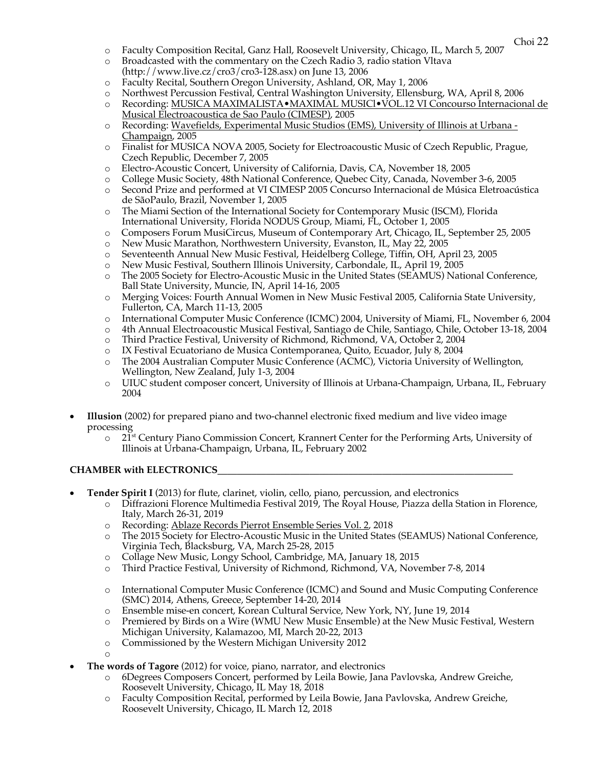- o Faculty Composition Recital, Ganz Hall, Roosevelt University, Chicago, IL, March 5, 2007
- o Broadcasted with the commentary on the Czech Radio 3, radio station Vltava (http://www.live.cz/cro3/cro3-128.asx) on June 13, 2006
- o Faculty Recital, Southern Oregon University, Ashland, OR, May 1, 2006
- o Northwest Percussion Festival, Central Washington University, Ellensburg, WA, April 8, 2006
- o Recording: MUSICA MAXIMALISTA•MAXIMAL MUSICl•VOL.12 VI Concourso Internacional de Musical Electroacoustica de Sao Paulo (CIMESP), 2005
- o Recording: Wavefields, Experimental Music Studios (EMS), University of Illinois at Urbana Champaign, 2005
- o Finalist for MUSICA NOVA 2005, Society for Electroacoustic Music of Czech Republic, Prague, Czech Republic, December 7, 2005
- o Electro-Acoustic Concert, University of California, Davis, CA, November 18, 2005
- o College Music Society, 48th National Conference, Quebec City, Canada, November 3-6, 2005
- o Second Prize and performed at VI CIMESP 2005 Concurso Internacional de Música Eletroacústica de SãoPaulo, Brazil, November 1, 2005
- o The Miami Section of the International Society for Contemporary Music (ISCM), Florida International University, Florida NODUS Group, Miami, FL, October 1, 2005
- o Composers Forum MusiCircus, Museum of Contemporary Art, Chicago, IL, September 25, 2005
- o New Music Marathon, Northwestern University, Evanston, IL, May 22, 2005
- o Seventeenth Annual New Music Festival, Heidelberg College, Tiffin, OH, April 23, 2005
- o New Music Festival, Southern Illinois University, Carbondale, IL, April 19, 2005
- o The 2005 Society for Electro-Acoustic Music in the United States (SEAMUS) National Conference, Ball State University, Muncie, IN, April 14-16, 2005
- o Merging Voices: Fourth Annual Women in New Music Festival 2005, California State University, Fullerton, CA, March 11-13, 2005
- o International Computer Music Conference (ICMC) 2004, University of Miami, FL, November 6, 2004
- o 4th Annual Electroacoustic Musical Festival, Santiago de Chile, Santiago, Chile, October 13-18, 2004
- o Third Practice Festival, University of Richmond, Richmond, VA, October 2, 2004
- o IX Festival Ecuatoriano de Musica Contemporanea, Quito, Ecuador, July 8, 2004
- o The 2004 Australian Computer Music Conference (ACMC), Victoria University of Wellington, Wellington, New Zealand, July 1-3, 2004
- o UIUC student composer concert, University of Illinois at Urbana-Champaign, Urbana, IL, February 2004
- **Illusion** (2002) for prepared piano and two-channel electronic fixed medium and live video image processing
	- $\circ$  21<sup>st</sup> Century Piano Commission Concert, Krannert Center for the Performing Arts, University of Illinois at Urbana-Champaign, Urbana, IL, February 2002

### **CHAMBER with ELECTRONICS**

- **Tender Spirit I** (2013) for flute, clarinet, violin, cello, piano, percussion, and electronics
	- o Diffrazioni Florence Multimedia Festival 2019, The Royal House, Piazza della Station in Florence, Italy, March 26-31, 2019
	- o Recording: Ablaze Records Pierrot Ensemble Series Vol. 2, 2018
	- o The 2015 Society for Electro-Acoustic Music in the United States (SEAMUS) National Conference, Virginia Tech, Blacksburg, VA, March 25-28, 2015
	- o Collage New Music, Longy School, Cambridge, MA, January 18, 2015
	- o Third Practice Festival, University of Richmond, Richmond, VA, November 7-8, 2014
	- o International Computer Music Conference (ICMC) and Sound and Music Computing Conference (SMC) 2014, Athens, Greece, September 14-20, 2014
	- o Ensemble mise-en concert, Korean Cultural Service, New York, NY, June 19, 2014
	- o Premiered by Birds on a Wire (WMU New Music Ensemble) at the New Music Festival, Western Michigan University, Kalamazoo, MI, March 20-22, 2013
	- o Commissioned by the Western Michigan University 2012
	- o
- **The words of Tagore** (2012) for voice, piano, narrator, and electronics
	- o 6Degrees Composers Concert, performed by Leila Bowie, Jana Pavlovska, Andrew Greiche, Roosevelt University, Chicago, IL May 18, 2018
	- o Faculty Composition Recital, performed by Leila Bowie, Jana Pavlovska, Andrew Greiche, Roosevelt University, Chicago, IL March 12, 2018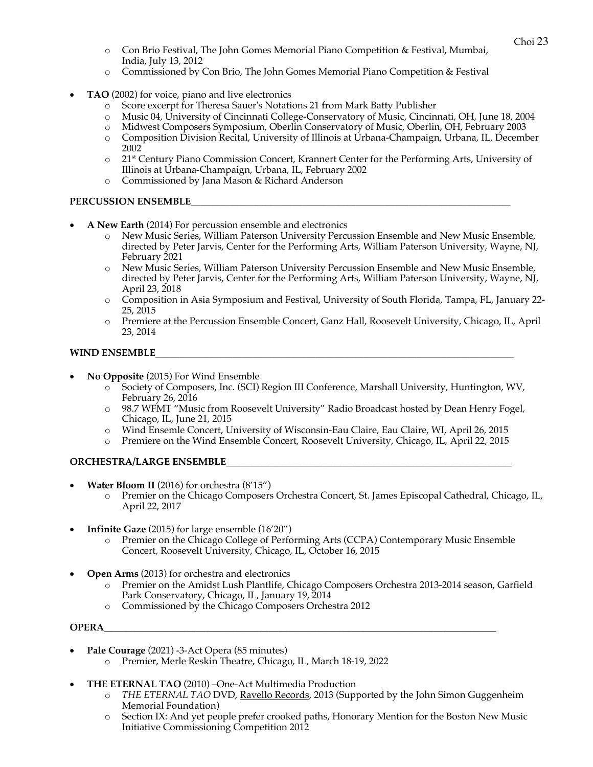- o Con Brio Festival, The John Gomes Memorial Piano Competition & Festival, Mumbai, India, July 13, 2012
- o Commissioned by Con Brio, The John Gomes Memorial Piano Competition & Festival
- **TAO** (2002) for voice, piano and live electronics
	- o Score excerpt for Theresa Sauer's Notations 21 from Mark Batty Publisher
	- o Music 04, University of Cincinnati College-Conservatory of Music, Cincinnati, OH, June 18, 2004
	- o Midwest Composers Symposium, Oberlin Conservatory of Music, Oberlin, OH, February 2003
	- o Composition Division Recital, University of Illinois at Urbana-Champaign, Urbana, IL, December 2002
	- o 21st Century Piano Commission Concert, Krannert Center for the Performing Arts, University of Illinois at Urbana-Champaign, Urbana, IL, February 2002
	- o Commissioned by Jana Mason & Richard Anderson

## PERCUSSION ENSEMBLE

- **A New Earth** (2014) For percussion ensemble and electronics
	- o New Music Series, William Paterson University Percussion Ensemble and New Music Ensemble, directed by Peter Jarvis, Center for the Performing Arts, William Paterson University, Wayne, NJ, February 2021
	- o New Music Series, William Paterson University Percussion Ensemble and New Music Ensemble, directed by Peter Jarvis, Center for the Performing Arts, William Paterson University, Wayne, NJ, April 23, 2018
	- o Composition in Asia Symposium and Festival, University of South Florida, Tampa, FL, January 22- 25, 2015
	- o Premiere at the Percussion Ensemble Concert, Ganz Hall, Roosevelt University, Chicago, IL, April 23, 2014

## **WIND ENSEMBLE\_\_\_\_\_\_\_\_\_\_\_\_\_\_\_\_\_\_\_\_\_\_\_\_\_\_\_\_\_\_\_\_\_\_\_\_\_\_\_\_\_\_\_\_\_\_\_\_\_\_\_\_\_\_\_\_\_\_\_\_\_\_\_\_\_\_\_\_\_\_\_\_\_\_**

- **No Opposite** (2015) For Wind Ensemble
	- o Society of Composers, Inc. (SCI) Region III Conference, Marshall University, Huntington, WV, February 26, 2016
	- o 98.7 WFMT "Music from Roosevelt University" Radio Broadcast hosted by Dean Henry Fogel, Chicago, IL, June 21, 2015
	- o Wind Ensemle Concert, University of Wisconsin-Eau Claire, Eau Claire, WI, April 26, 2015
	- o Premiere on the Wind Ensemble Concert, Roosevelt University, Chicago, IL, April 22, 2015

# **ORCHESTRA/LARGE ENSEMBLE\_\_\_\_\_\_\_\_\_\_\_\_\_\_\_\_\_\_\_\_\_\_\_\_\_\_\_\_\_\_\_\_\_\_\_\_\_\_\_\_\_\_\_\_\_\_\_\_\_\_\_\_\_\_\_\_\_\_\_**

- **Water Bloom II** (2016) for orchestra (8'15")
	- o Premier on the Chicago Composers Orchestra Concert, St. James Episcopal Cathedral, Chicago, IL, April 22, 2017
- **Infinite Gaze** (2015) for large ensemble (16'20")
	- o Premier on the Chicago College of Performing Arts (CCPA) Contemporary Music Ensemble Concert, Roosevelt University, Chicago, IL, October 16, 2015
- **Open Arms** (2013) for orchestra and electronics
	- o Premier on the Amidst Lush Plantlife, Chicago Composers Orchestra 2013-2014 season, Garfield Park Conservatory, Chicago, IL, January 19, 2014
	- o Commissioned by the Chicago Composers Orchestra 2012

### **OPERA\_\_\_\_\_\_\_\_\_\_\_\_\_\_\_\_\_\_\_\_\_\_\_\_\_\_\_\_\_\_\_\_\_\_\_\_\_\_\_\_\_\_\_\_\_\_\_\_\_\_\_\_\_\_\_\_\_\_\_\_\_\_\_\_\_\_\_\_\_\_\_\_\_\_\_\_\_\_\_\_\_**

- **Pale Courage** (2021) -3-Act Opera (85 minutes)
	- o Premier, Merle Reskin Theatre, Chicago, IL, March 18-19, 2022
- **THE ETERNAL TAO** (2010) –One-Act Multimedia Production
	- o *THE ETERNAL TAO* DVD, Ravello Records, 2013 (Supported by the John Simon Guggenheim Memorial Foundation)
	- o Section IX: And yet people prefer crooked paths, Honorary Mention for the Boston New Music Initiative Commissioning Competition 2012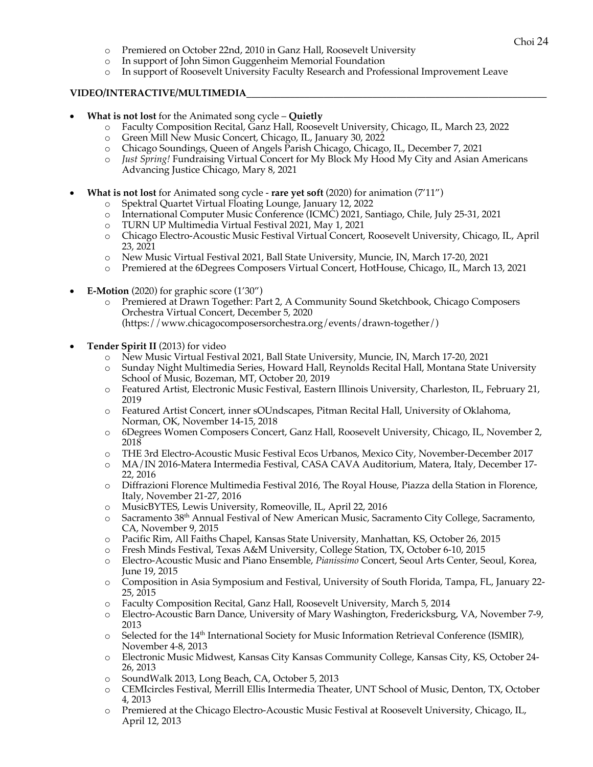- o Premiered on October 22nd, 2010 in Ganz Hall, Roosevelt University
- o In support of John Simon Guggenheim Memorial Foundation
- o In support of Roosevelt University Faculty Research and Professional Improvement Leave

#### **VIDEO/INTERACTIVE/MULTIMEDIA\_\_\_\_\_\_\_\_\_\_\_\_\_\_\_\_\_\_\_\_\_\_\_\_\_\_\_\_\_\_\_\_\_\_\_\_\_\_\_\_\_\_\_\_\_\_\_\_\_\_\_\_\_\_\_\_\_\_\_\_\_\_**

- **What is not lost** for the Animated song cycle **Quietly**
	- o Faculty Composition Recital, Ganz Hall, Roosevelt University, Chicago, IL, March 23, 2022
	- o Green Mill New Music Concert, Chicago, IL, January 30, 2022
	- o Chicago Soundings, Queen of Angels Parish Chicago, Chicago, IL, December 7, 2021
	- o *Just Spring!* Fundraising Virtual Concert for My Block My Hood My City and Asian Americans Advancing Justice Chicago, Mary 8, 2021
- **What is not lost** for Animated song cycle **rare yet soft** (2020) for animation (7'11")
	- o Spektral Quartet Virtual Floating Lounge, January 12, 2022
	- o International Computer Music Conference (ICMC) 2021, Santiago, Chile, July 25-31, 2021
	- o TURN UP Multimedia Virtual Festival 2021, May 1, 2021
	- o Chicago Electro-Acoustic Music Festival Virtual Concert, Roosevelt University, Chicago, IL, April 23, 2021
	- o New Music Virtual Festival 2021, Ball State University, Muncie, IN, March 17-20, 2021
	- o Premiered at the 6Degrees Composers Virtual Concert, HotHouse, Chicago, IL, March 13, 2021
- **E-Motion** (2020) for graphic score (1'30")
	- o Premiered at Drawn Together: Part 2, A Community Sound Sketchbook, Chicago Composers Orchestra Virtual Concert, December 5, 2020 (https://www.chicagocomposersorchestra.org/events/drawn-together/)
- **Tender Spirit II** (2013) for video
	- o New Music Virtual Festival 2021, Ball State University, Muncie, IN, March 17-20, 2021
	- o Sunday Night Multimedia Series, Howard Hall, Reynolds Recital Hall, Montana State University School of Music, Bozeman, MT, October 20, 2019
	- o Featured Artist, Electronic Music Festival, Eastern Illinois University, Charleston, IL, February 21, 2019
	- o Featured Artist Concert, inner sOUndscapes, Pitman Recital Hall, University of Oklahoma, Norman, OK, November 14-15, 2018
	- o 6Degrees Women Composers Concert, Ganz Hall, Roosevelt University, Chicago, IL, November 2, 2018
	- o THE 3rd Electro-Acoustic Music Festival Ecos Urbanos, Mexico City, November-December 2017
	- o MA/IN 2016-Matera Intermedia Festival, CASA CAVA Auditorium, Matera, Italy, December 17- 22, 2016
	- o Diffrazioni Florence Multimedia Festival 2016, The Royal House, Piazza della Station in Florence, Italy, November 21-27, 2016
	- o MusicBYTES, Lewis University, Romeoville, IL, April 22, 2016
	- o Sacramento 38th Annual Festival of New American Music, Sacramento City College, Sacramento, CA, November 9, 2015
	- o Pacific Rim, All Faiths Chapel, Kansas State University, Manhattan, KS, October 26, 2015
	- o Fresh Minds Festival, Texas A&M University, College Station, TX, October 6-10, 2015
	- o Electro-Acoustic Music and Piano Ensemble, *Pianissimo* Concert, Seoul Arts Center, Seoul, Korea, June 19, 2015
	- o Composition in Asia Symposium and Festival, University of South Florida, Tampa, FL, January 22- 25, 2015
	- o Faculty Composition Recital, Ganz Hall, Roosevelt University, March 5, 2014
	- o Electro-Acoustic Barn Dance, University of Mary Washington, Fredericksburg, VA, November 7-9, 2013
	- $\circ$  Selected for the 14<sup>th</sup> International Society for Music Information Retrieval Conference (ISMIR), November 4-8, 2013
	- o Electronic Music Midwest, Kansas City Kansas Community College, Kansas City, KS, October 24- 26, 2013
	-
	- o SoundWalk 2013, Long Beach, CA, October 5, 2013 o CEMIcircles Festival, Merrill Ellis Intermedia Theater, UNT School of Music, Denton, TX, October 4, 2013
	- o Premiered at the Chicago Electro-Acoustic Music Festival at Roosevelt University, Chicago, IL, April 12, 2013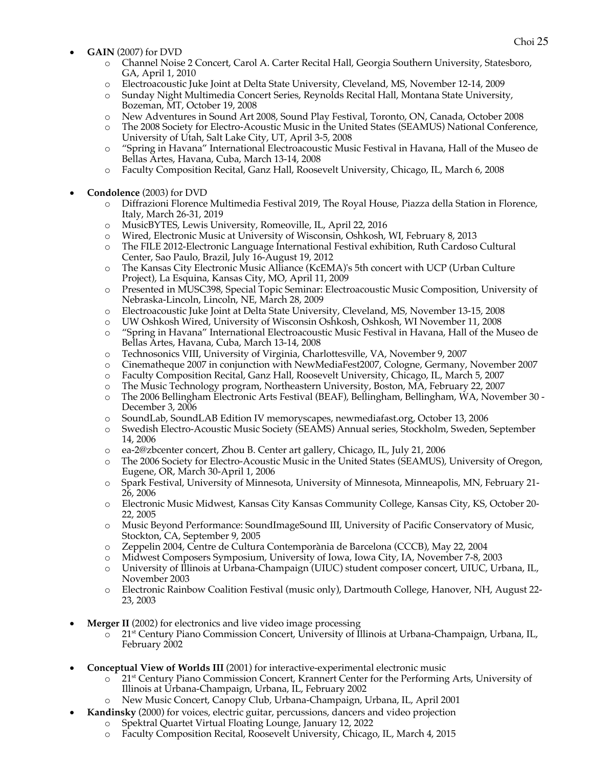- Choi <sup>25</sup> **GAIN** (2007) for DVD
	- o Channel Noise 2 Concert, Carol A. Carter Recital Hall, Georgia Southern University, Statesboro, GA, April 1, 2010
	- o Electroacoustic Juke Joint at Delta State University, Cleveland, MS, November 12-14, 2009
	- o Sunday Night Multimedia Concert Series, Reynolds Recital Hall, Montana State University, Bozeman, MT, October 19, 2008
	- o New Adventures in Sound Art 2008, Sound Play Festival, Toronto, ON, Canada, October 2008
	- o The 2008 Society for Electro-Acoustic Music in the United States (SEAMUS) National Conference, University of Utah, Salt Lake City, UT, April 3-5, 2008
	- o "Spring in Havana" International Electroacoustic Music Festival in Havana, Hall of the Museo de Bellas Artes, Havana, Cuba, March 13-14, 2008
	- o Faculty Composition Recital, Ganz Hall, Roosevelt University, Chicago, IL, March 6, 2008
- **Condolence** (2003) for DVD
	- o Diffrazioni Florence Multimedia Festival 2019, The Royal House, Piazza della Station in Florence, Italy, March 26-31, 2019
	- o MusicBYTES, Lewis University, Romeoville, IL, April 22, 2016
	- o Wired, Electronic Music at University of Wisconsin, Oshkosh, WI, February 8, 2013
	- o The FILE 2012-Electronic Language International Festival exhibition, Ruth Cardoso Cultural Center, Sao Paulo, Brazil, July 16-August 19, 2012
	- o The Kansas City Electronic Music Alliance (KcEMA)'s 5th concert with UCP (Urban Culture Project), La Esquina, Kansas City, MO, April 11, 2009
	- o Presented in MUSC398, Special Topic Seminar: Electroacoustic Music Composition, University of Nebraska-Lincoln, Lincoln, NE, March 28, 2009
	- o Electroacoustic Juke Joint at Delta State University, Cleveland, MS, November 13-15, 2008
	- o UW Oshkosh Wired, University of Wisconsin Oshkosh, Oshkosh, WI November 11, 2008
	- o "Spring in Havana" International Electroacoustic Music Festival in Havana, Hall of the Museo de Bellas Artes, Havana, Cuba, March 13-14, 2008
	- o Technosonics VIII, University of Virginia, Charlottesville, VA, November 9, 2007
	- o Cinematheque 2007 in conjunction with NewMediaFest2007, Cologne, Germany, November 2007
	- o Faculty Composition Recital, Ganz Hall, Roosevelt University, Chicago, IL, March 5, 2007
	- o The Music Technology program, Northeastern University, Boston, MA, February 22, 2007
	- o The 2006 Bellingham Electronic Arts Festival (BEAF), Bellingham, Bellingham, WA, November 30 December 3, 2006
	- o SoundLab, SoundLAB Edition IV memoryscapes, newmediafast.org, October 13, 2006
	- o Swedish Electro-Acoustic Music Society (SEAMS) Annual series, Stockholm, Sweden, September 14, 2006
	- o ea-2@zbcenter concert, Zhou B. Center art gallery, Chicago, IL, July 21, 2006
	- o The 2006 Society for Electro-Acoustic Music in the United States (SEAMUS), University of Oregon, Eugene, OR, March 30-April 1, 2006
	- o Spark Festival, University of Minnesota, University of Minnesota, Minneapolis, MN, February 21- 26, 2006
	- o Electronic Music Midwest, Kansas City Kansas Community College, Kansas City, KS, October 20- 22, 2005
	- o Music Beyond Performance: SoundImageSound III, University of Pacific Conservatory of Music, Stockton, CA, September 9, 2005
	- o Zeppelin 2004, Centre de Cultura Contemporània de Barcelona (CCCB), May 22, 2004
	- o Midwest Composers Symposium, University of Iowa, Iowa City, IA, November 7-8, 2003
	- o University of Illinois at Urbana-Champaign (UIUC) student composer concert, UIUC, Urbana, IL, November 2003
	- o Electronic Rainbow Coalition Festival (music only), Dartmouth College, Hanover, NH, August 22- 23, 2003
- **Merger II** (2002) for electronics and live video image processing
	- o 21st Century Piano Commission Concert, University of Illinois at Urbana-Champaign, Urbana, IL, February 2002
- **Conceptual View of Worlds III** (2001) for interactive-experimental electronic music
	- o 21st Century Piano Commission Concert, Krannert Center for the Performing Arts, University of Illinois at Urbana-Champaign, Urbana, IL, February 2002
	- o New Music Concert, Canopy Club, Urbana-Champaign, Urbana, IL, April 2001
	- **Kandinsky** (2000) for voices, electric guitar, percussions, dancers and video projection
		- o Spektral Quartet Virtual Floating Lounge, January 12, 2022
		- o Faculty Composition Recital, Roosevelt University, Chicago, IL, March 4, 2015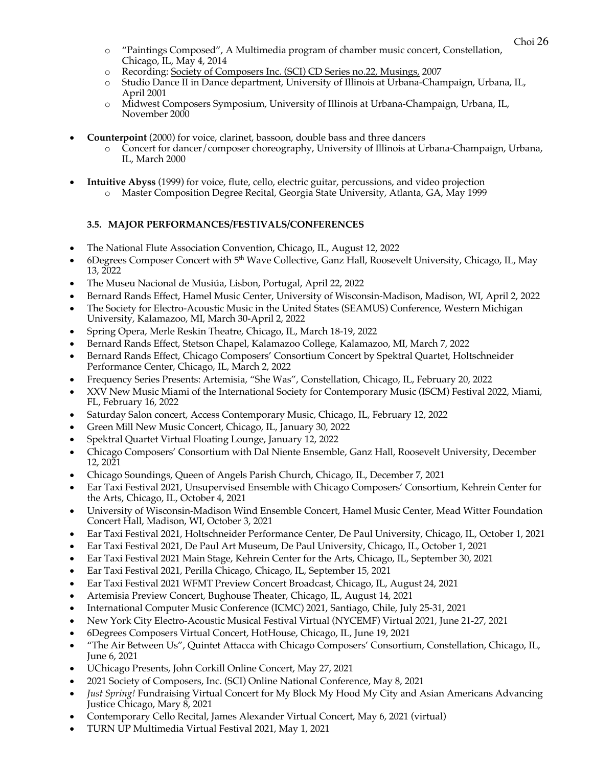- o "Paintings Composed", A Multimedia program of chamber music concert, Constellation, Chicago, IL, May 4, 2014
- o Recording: Society of Composers Inc. (SCI) CD Series no.22, Musings, 2007
- o Studio Dance II in Dance department, University of Illinois at Urbana-Champaign, Urbana, IL, April 2001
- o Midwest Composers Symposium, University of Illinois at Urbana-Champaign, Urbana, IL, November 2000
- **Counterpoint** (2000) for voice, clarinet, bassoon, double bass and three dancers
	- o Concert for dancer/composer choreography, University of Illinois at Urbana-Champaign, Urbana, IL, March 2000
- **Intuitive Abyss** (1999) for voice, flute, cello, electric guitar, percussions, and video projection
	- o Master Composition Degree Recital, Georgia State University, Atlanta, GA, May 1999

## **3.5. MAJOR PERFORMANCES/FESTIVALS/CONFERENCES**

- The National Flute Association Convention, Chicago, IL, August 12, 2022
- 6Degrees Composer Concert with 5th Wave Collective, Ganz Hall, Roosevelt University, Chicago, IL, May 13, 2022
- The Museu Nacional de Musiúa, Lisbon, Portugal, April 22, 2022
- Bernard Rands Effect, Hamel Music Center, University of Wisconsin-Madison, Madison, WI, April 2, 2022
- The Society for Electro-Acoustic Music in the United States (SEAMUS) Conference, Western Michigan University, Kalamazoo, MI, March 30-April 2, 2022
- Spring Opera, Merle Reskin Theatre, Chicago, IL, March 18-19, 2022
- Bernard Rands Effect, Stetson Chapel, Kalamazoo College, Kalamazoo, MI, March 7, 2022
- Bernard Rands Effect, Chicago Composers' Consortium Concert by Spektral Quartet, Holtschneider Performance Center, Chicago, IL, March 2, 2022
- Frequency Series Presents: Artemisia, "She Was", Constellation, Chicago, IL, February 20, 2022
- XXV New Music Miami of the International Society for Contemporary Music (ISCM) Festival 2022, Miami, FL, February 16, 2022
- Saturday Salon concert, Access Contemporary Music, Chicago, IL, February 12, 2022
- Green Mill New Music Concert, Chicago, IL, January 30, 2022
- Spektral Quartet Virtual Floating Lounge, January 12, 2022
- Chicago Composers' Consortium with Dal Niente Ensemble, Ganz Hall, Roosevelt University, December 12, 2021
- Chicago Soundings, Queen of Angels Parish Church, Chicago, IL, December 7, 2021
- Ear Taxi Festival 2021, Unsupervised Ensemble with Chicago Composers' Consortium, Kehrein Center for the Arts, Chicago, IL, October 4, 2021
- University of Wisconsin-Madison Wind Ensemble Concert, Hamel Music Center, Mead Witter Foundation Concert Hall, Madison, WI, October 3, 2021
- Ear Taxi Festival 2021, Holtschneider Performance Center, De Paul University, Chicago, IL, October 1, 2021
- Ear Taxi Festival 2021, De Paul Art Museum, De Paul University, Chicago, IL, October 1, 2021
- Ear Taxi Festival 2021 Main Stage, Kehrein Center for the Arts, Chicago, IL, September 30, 2021
- Ear Taxi Festival 2021, Perilla Chicago, Chicago, IL, September 15, 2021
- Ear Taxi Festival 2021 WFMT Preview Concert Broadcast, Chicago, IL, August 24, 2021
- Artemisia Preview Concert, Bughouse Theater, Chicago, IL, August 14, 2021
- International Computer Music Conference (ICMC) 2021, Santiago, Chile, July 25-31, 2021
- New York City Electro-Acoustic Musical Festival Virtual (NYCEMF) Virtual 2021, June 21-27, 2021
- 6Degrees Composers Virtual Concert, HotHouse, Chicago, IL, June 19, 2021
- "The Air Between Us", Quintet Attacca with Chicago Composers' Consortium, Constellation, Chicago, IL, June 6, 2021
- UChicago Presents, John Corkill Online Concert, May 27, 2021
- 2021 Society of Composers, Inc. (SCI) Online National Conference, May 8, 2021
- *Just Spring!* Fundraising Virtual Concert for My Block My Hood My City and Asian Americans Advancing Justice Chicago, Mary 8, 2021
- Contemporary Cello Recital, James Alexander Virtual Concert, May 6, 2021 (virtual)
- TURN UP Multimedia Virtual Festival 2021, May 1, 2021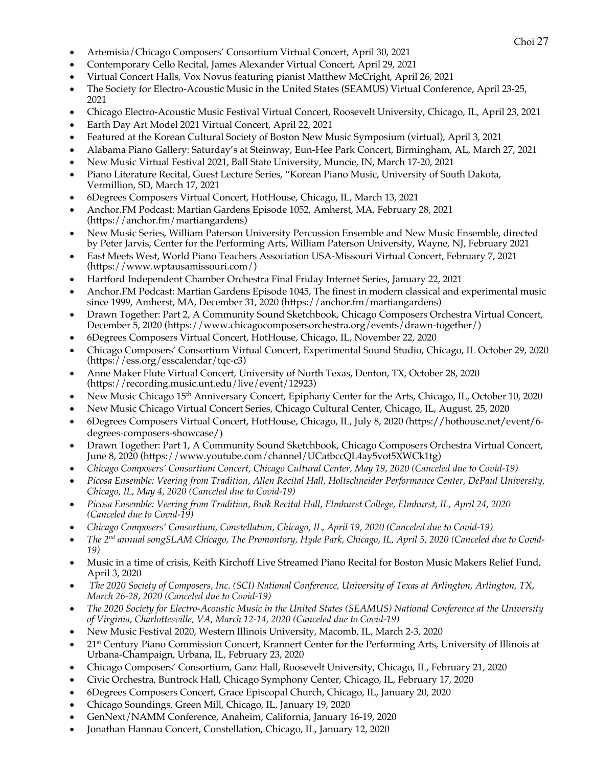- Choi <sup>27</sup> Artemisia/Chicago Composers' Consortium Virtual Concert, April 30, 2021
- Contemporary Cello Recital, James Alexander Virtual Concert, April 29, 2021
- Virtual Concert Halls, Vox Novus featuring pianist Matthew McCright, April 26, 2021
- The Society for Electro-Acoustic Music in the United States (SEAMUS) Virtual Conference, April 23-25, 2021
- Chicago Electro-Acoustic Music Festival Virtual Concert, Roosevelt University, Chicago, IL, April 23, 2021
- Earth Day Art Model 2021 Virtual Concert, April 22, 2021
- Featured at the Korean Cultural Society of Boston New Music Symposium (virtual), April 3, 2021
- Alabama Piano Gallery: Saturday's at Steinway, Eun-Hee Park Concert, Birmingham, AL, March 27, 2021
- New Music Virtual Festival 2021, Ball State University, Muncie, IN, March 17-20, 2021
- Piano Literature Recital, Guest Lecture Series, "Korean Piano Music, University of South Dakota, Vermillion, SD, March 17, 2021
- 6Degrees Composers Virtual Concert, HotHouse, Chicago, IL, March 13, 2021
- Anchor.FM Podcast: Martian Gardens Episode 1052, Amherst, MA, February 28, 2021 (https://anchor.fm/martiangardens)
- New Music Series, William Paterson University Percussion Ensemble and New Music Ensemble, directed by Peter Jarvis, Center for the Performing Arts, William Paterson University, Wayne, NJ, February 2021
- East Meets West, World Piano Teachers Association USA-Missouri Virtual Concert, February 7, 2021 (https://www.wptausamissouri.com/)
- Hartford Independent Chamber Orchestra Final Friday Internet Series, January 22, 2021
- Anchor.FM Podcast: Martian Gardens Episode 1045, The finest in modern classical and experimental music since 1999, Amherst, MA, December 31, 2020 (https://anchor.fm/martiangardens)
- Drawn Together: Part 2, A Community Sound Sketchbook, Chicago Composers Orchestra Virtual Concert, December 5, 2020 (https://www.chicagocomposersorchestra.org/events/drawn-together/)
- 6Degrees Composers Virtual Concert, HotHouse, Chicago, IL, November 22, 2020
- Chicago Composers' Consortium Virtual Concert, Experimental Sound Studio, Chicago, IL October 29, 2020 (https://ess.org/esscalendar/tqc-c3)
- Anne Maker Flute Virtual Concert, University of North Texas, Denton, TX, October 28, 2020 (https://recording.music.unt.edu/live/event/12923)
- New Music Chicago 15<sup>th</sup> Anniversary Concert, Epiphany Center for the Arts, Chicago, IL, October 10, 2020
- New Music Chicago Virtual Concert Series, Chicago Cultural Center, Chicago, IL, August, 25, 2020
- 6Degrees Composers Virtual Concert, HotHouse, Chicago, IL, July 8, 2020 *(*https://hothouse.net/event/6 degrees-composers-showcase/)
- Drawn Together: Part 1, A Community Sound Sketchbook, Chicago Composers Orchestra Virtual Concert, June 8, 2020 (https://www.youtube.com/channel/UCatbccQL4ay5vot5XWCk1tg)
- *Chicago Composers' Consortium Concert, Chicago Cultural Center, May 19, 2020 (Canceled due to Covid-19)*
- *Picosa Ensemble: Veering from Tradition, Allen Recital Hall, Holtschneider Performance Center, DePaul University, Chicago, IL, May 4, 2020 (Canceled due to Covid-19)*
- *Picosa Ensemble: Veering from Tradition, Buik Recital Hall, Elmhurst College, Elmhurst, IL, April 24, 2020 (Canceled due to Covid-19)*
- *Chicago Composers' Consortium, Constellation, Chicago, IL, April 19, 2020 (Canceled due to Covid-19)*
- *The 2nd annual songSLAM Chicago, The Promontory, Hyde Park, Chicago, IL, April 5, 2020 (Canceled due to Covid-19)*
- Music in a time of crisis, Keith Kirchoff Live Streamed Piano Recital for Boston Music Makers Relief Fund, April 3, 2020
- *The 2020 Society of Composers, Inc. (SCI) National Conference, University of Texas at Arlington, Arlington, TX, March 26-28, 2020 (Canceled due to Covid-19)*
- *The 2020 Society for Electro-Acoustic Music in the United States (SEAMUS) National Conference at the University of Virginia, Charlottesville, VA, March 12-14, 2020 (Canceled due to Covid-19)*
- New Music Festival 2020, Western Illinois University, Macomb, IL, March 2-3, 2020
- 21<sup>st</sup> Century Piano Commission Concert, Krannert Center for the Performing Arts, University of Illinois at Urbana-Champaign, Urbana, IL, February 23, 2020
- Chicago Composers' Consortium, Ganz Hall, Roosevelt University, Chicago, IL, February 21, 2020
- Civic Orchestra, Buntrock Hall, Chicago Symphony Center, Chicago, IL, February 17, 2020
- 6Degrees Composers Concert, Grace Episcopal Church, Chicago, IL, January 20, 2020
- Chicago Soundings, Green Mill, Chicago, IL, January 19, 2020
- GenNext/NAMM Conference, Anaheim, California, January 16-19, 2020
- Jonathan Hannau Concert, Constellation, Chicago, IL, January 12, 2020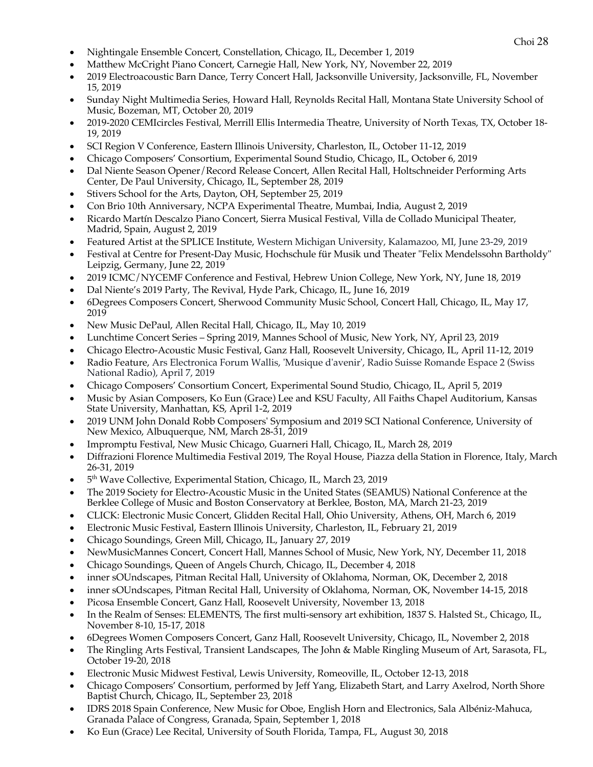- 
- Choi <sup>28</sup> Nightingale Ensemble Concert, Constellation, Chicago, IL, December 1, 2019
- Matthew McCright Piano Concert, Carnegie Hall, New York, NY, November 22, 2019
- 2019 Electroacoustic Barn Dance, Terry Concert Hall, Jacksonville University, Jacksonville, FL, November 15, 2019
- Sunday Night Multimedia Series, Howard Hall, Reynolds Recital Hall, Montana State University School of Music, Bozeman, MT, October 20, 2019
- 2019-2020 CEMIcircles Festival, Merrill Ellis Intermedia Theatre, University of North Texas, TX, October 18- 19, 2019
- SCI Region V Conference, Eastern Illinois University, Charleston, IL, October 11-12, 2019
- Chicago Composers' Consortium, Experimental Sound Studio, Chicago, IL, October 6, 2019
- Dal Niente Season Opener/Record Release Concert, Allen Recital Hall, Holtschneider Performing Arts Center, De Paul University, Chicago, IL, September 28, 2019
- Stivers School for the Arts, Dayton, OH, September 25, 2019
- Con Brio 10th Anniversary, NCPA Experimental Theatre, Mumbai, India, August 2, 2019
- Ricardo Martín Descalzo Piano Concert, Sierra Musical Festival, Villa de Collado Municipal Theater, Madrid, Spain, August 2, 2019
- Featured Artist at the SPLICE Institute, Western Michigan University, Kalamazoo, MI, June 23-29, 2019
- Festival at Centre for Present-Day Music, Hochschule für Musik und Theater "Felix Mendelssohn Bartholdy" Leipzig, Germany, June 22, 2019
- 2019 ICMC/NYCEMF Conference and Festival, Hebrew Union College, New York, NY, June 18, 2019
- Dal Niente's 2019 Party, The Revival, Hyde Park, Chicago, IL, June 16, 2019
- 6Degrees Composers Concert, Sherwood Community Music School, Concert Hall, Chicago, IL, May 17, 2019
- New Music DePaul, Allen Recital Hall, Chicago, IL, May 10, 2019
- Lunchtime Concert Series Spring 2019, Mannes School of Music, New York, NY, April 23, 2019
- Chicago Electro-Acoustic Music Festival, Ganz Hall, Roosevelt University, Chicago, IL, April 11-12, 2019
- Radio Feature, Ars Electronica Forum Wallis, 'Musique d'avenir', Radio Suisse Romande Espace 2 (Swiss National Radio), April 7, 2019
- Chicago Composers' Consortium Concert, Experimental Sound Studio, Chicago, IL, April 5, 2019
- Music by Asian Composers, Ko Eun (Grace) Lee and KSU Faculty, All Faiths Chapel Auditorium, Kansas State University, Manhattan, KS, April 1-2, 2019
- 2019 UNM John Donald Robb Composers' Symposium and 2019 SCI National Conference, University of New Mexico, Albuquerque, NM, March 28-31, 2019
- Impromptu Festival, New Music Chicago, Guarneri Hall, Chicago, IL, March 28, 2019
- Diffrazioni Florence Multimedia Festival 2019, The Royal House, Piazza della Station in Florence, Italy, March 26-31, 2019
- 5<sup>th</sup> Wave Collective, Experimental Station, Chicago, IL, March 23, 2019
- The 2019 Society for Electro-Acoustic Music in the United States (SEAMUS) National Conference at the Berklee College of Music and Boston Conservatory at Berklee, Boston, MA, March 21-23, 2019
- CLICK: Electronic Music Concert, Glidden Recital Hall, Ohio University, Athens, OH, March 6, 2019
- Electronic Music Festival, Eastern Illinois University, Charleston, IL, February 21, 2019
- Chicago Soundings, Green Mill, Chicago, IL, January 27, 2019
- NewMusicMannes Concert, Concert Hall, Mannes School of Music, New York, NY, December 11, 2018
- Chicago Soundings, Queen of Angels Church, Chicago, IL, December 4, 2018
- inner sOUndscapes, Pitman Recital Hall, University of Oklahoma, Norman, OK, December 2, 2018
- inner sOUndscapes, Pitman Recital Hall, University of Oklahoma, Norman, OK, November 14-15, 2018
- Picosa Ensemble Concert, Ganz Hall, Roosevelt University, November 13, 2018
- In the Realm of Senses: ELEMENTS, The first multi-sensory art exhibition, 1837 S. Halsted St., Chicago, IL, November 8-10, 15-17, 2018
- 6Degrees Women Composers Concert, Ganz Hall, Roosevelt University, Chicago, IL, November 2, 2018
- The Ringling Arts Festival, Transient Landscapes, The John & Mable Ringling Museum of Art, Sarasota, FL, October 19-20, 2018
- Electronic Music Midwest Festival, Lewis University, Romeoville, IL, October 12-13, 2018
- Chicago Composers' Consortium, performed by Jeff Yang, Elizabeth Start, and Larry Axelrod, North Shore Baptist Church, Chicago, IL, September 23, 2018
- IDRS 2018 Spain Conference, New Music for Oboe, English Horn and Electronics, Sala Albéniz-Mahuca, Granada Palace of Congress, Granada, Spain, September 1, 2018
- Ko Eun (Grace) Lee Recital, University of South Florida, Tampa, FL, August 30, 2018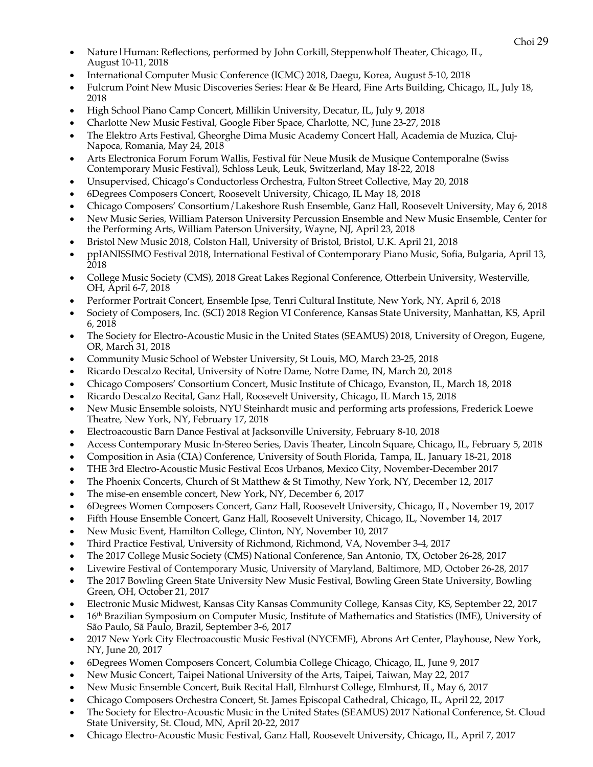- Choi <sup>29</sup> Nature|Human: Reflections, performed by John Corkill, Steppenwholf Theater, Chicago, IL, August 10-11, 2018
- International Computer Music Conference (ICMC) 2018, Daegu, Korea, August 5-10, 2018
- Fulcrum Point New Music Discoveries Series: Hear & Be Heard, Fine Arts Building, Chicago, IL, July 18, 2018
- High School Piano Camp Concert, Millikin University, Decatur, IL, July 9, 2018
- Charlotte New Music Festival, Google Fiber Space, Charlotte, NC, June 23-27, 2018
- The Elektro Arts Festival, Gheorghe Dima Music Academy Concert Hall, Academia de Muzica, Cluj-Napoca, Romania, May 24, 2018
- Arts Electronica Forum Forum Wallis, Festival für Neue Musik de Musique Contemporalne (Swiss Contemporary Music Festival), Schloss Leuk, Leuk, Switzerland, May 18-22, 2018
- Unsupervised, Chicago's Conductorless Orchestra, Fulton Street Collective, May 20, 2018
- 6Degrees Composers Concert, Roosevelt University, Chicago, IL May 18, 2018
- Chicago Composers' Consortium/Lakeshore Rush Ensemble, Ganz Hall, Roosevelt University, May 6, 2018
- New Music Series, William Paterson University Percussion Ensemble and New Music Ensemble, Center for the Performing Arts, William Paterson University, Wayne, NJ, April 23, 2018
- Bristol New Music 2018, Colston Hall, University of Bristol, Bristol, U.K. April 21, 2018
- ppIANISSIMO Festival 2018, International Festival of Contemporary Piano Music, Sofia, Bulgaria, April 13, 2018
- College Music Society (CMS), 2018 Great Lakes Regional Conference, Otterbein University, Westerville, OH, April 6-7, 2018
- Performer Portrait Concert, Ensemble Ipse, Tenri Cultural Institute, New York, NY, April 6, 2018
- Society of Composers, Inc. (SCI) 2018 Region VI Conference, Kansas State University, Manhattan, KS, April 6, 2018
- The Society for Electro-Acoustic Music in the United States (SEAMUS) 2018, University of Oregon, Eugene, OR, March 31, 2018
- Community Music School of Webster University, St Louis, MO, March 23-25, 2018
- Ricardo Descalzo Recital, University of Notre Dame, Notre Dame, IN, March 20, 2018
- Chicago Composers' Consortium Concert, Music Institute of Chicago, Evanston, IL, March 18, 2018
- Ricardo Descalzo Recital, Ganz Hall, Roosevelt University, Chicago, IL March 15, 2018
- New Music Ensemble soloists, NYU Steinhardt music and performing arts professions, Frederick Loewe Theatre, New York, NY, February 17, 2018
- Electroacoustic Barn Dance Festival at Jacksonville University, February 8-10, 2018
- Access Contemporary Music In-Stereo Series, Davis Theater, Lincoln Square, Chicago, IL, February 5, 2018
- Composition in Asia (CIA) Conference, University of South Florida, Tampa, IL, January 18-21, 2018
- THE 3rd Electro-Acoustic Music Festival Ecos Urbanos, Mexico City, November-December 2017
- The Phoenix Concerts, Church of St Matthew & St Timothy, New York, NY, December 12, 2017
- The mise-en ensemble concert, New York, NY, December 6, 2017
- 6Degrees Women Composers Concert, Ganz Hall, Roosevelt University, Chicago, IL, November 19, 2017
- Fifth House Ensemble Concert, Ganz Hall, Roosevelt University, Chicago, IL, November 14, 2017
- New Music Event, Hamilton College, Clinton, NY, November 10, 2017
- Third Practice Festival, University of Richmond, Richmond, VA, November 3-4, 2017
- The 2017 College Music Society (CMS) National Conference, San Antonio, TX, October 26-28, 2017
- Livewire Festival of Contemporary Music, University of Maryland, Baltimore, MD, October 26-28, 2017
- The 2017 Bowling Green State University New Music Festival, Bowling Green State University, Bowling Green, OH, October 21, 2017
- Electronic Music Midwest, Kansas City Kansas Community College, Kansas City, KS, September 22, 2017
- 16th Brazilian Symposium on Computer Music, Institute of Mathematics and Statistics (IME), University of São Paulo, Sã Paulo, Brazil, September 3-6, 2017
- 2017 New York City Electroacoustic Music Festival (NYCEMF), Abrons Art Center, Playhouse, New York, NY, June 20, 2017
- 6Degrees Women Composers Concert, Columbia College Chicago, Chicago, IL, June 9, 2017
- New Music Concert, Taipei National University of the Arts, Taipei, Taiwan, May 22, 2017
- New Music Ensemble Concert, Buik Recital Hall, Elmhurst College, Elmhurst, IL, May 6, 2017
- Chicago Composers Orchestra Concert, St. James Episcopal Cathedral, Chicago, IL, April 22, 2017
- The Society for Electro-Acoustic Music in the United States (SEAMUS) 2017 National Conference, St. Cloud State University, St. Cloud, MN, April 20-22, 2017
- Chicago Electro-Acoustic Music Festival, Ganz Hall, Roosevelt University, Chicago, IL, April 7, 2017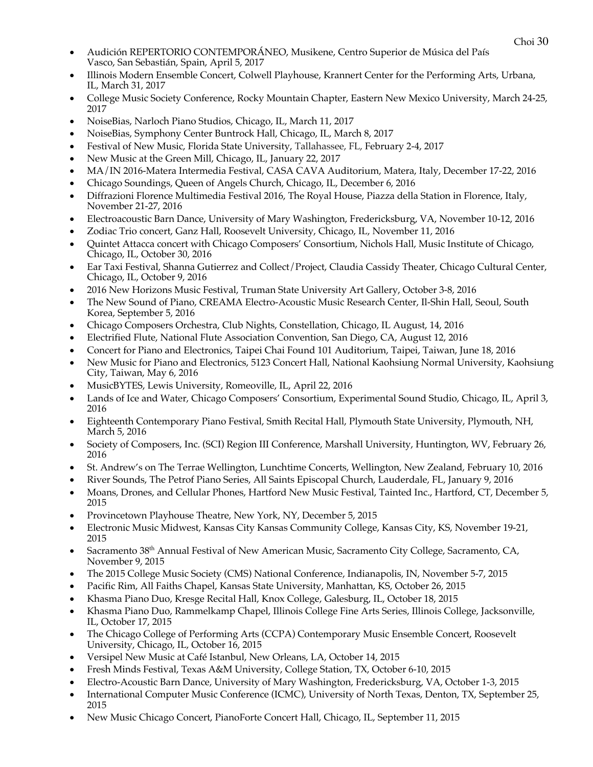- Choi <sup>30</sup> Audición REPERTORIO CONTEMPORÁNEO, Musikene, Centro Superior de Música del País Vasco, San Sebastián, Spain, April 5, 2017
- Illinois Modern Ensemble Concert, Colwell Playhouse, Krannert Center for the Performing Arts, Urbana, IL, March 31, 2017
- College Music Society Conference, Rocky Mountain Chapter, Eastern New Mexico University, March 24-25, 2017
- NoiseBias, Narloch Piano Studios, Chicago, IL, March 11, 2017
- NoiseBias, Symphony Center Buntrock Hall, Chicago, IL, March 8, 2017
- Festival of New Music, Florida State University, Tallahassee, FL, February 2-4, 2017
- New Music at the Green Mill, Chicago, IL, January 22, 2017
- MA/IN 2016-Matera Intermedia Festival, CASA CAVA Auditorium, Matera, Italy, December 17-22, 2016
- Chicago Soundings, Queen of Angels Church, Chicago, IL, December 6, 2016
- Diffrazioni Florence Multimedia Festival 2016, The Royal House, Piazza della Station in Florence, Italy, November 21-27, 2016
- Electroacoustic Barn Dance, University of Mary Washington, Fredericksburg, VA, November 10-12, 2016
- Zodiac Trio concert, Ganz Hall, Roosevelt University, Chicago, IL, November 11, 2016
- Quintet Attacca concert with Chicago Composers' Consortium, Nichols Hall, Music Institute of Chicago, Chicago, IL, October 30, 2016
- Ear Taxi Festival, Shanna Gutierrez and Collect/Project, Claudia Cassidy Theater, Chicago Cultural Center, Chicago, IL, October 9, 2016
- 2016 New Horizons Music Festival, Truman State University Art Gallery, October 3-8, 2016
- The New Sound of Piano, CREAMA Electro-Acoustic Music Research Center, Il-Shin Hall, Seoul, South Korea, September 5, 2016
- Chicago Composers Orchestra, Club Nights, Constellation, Chicago, IL August, 14, 2016
- Electrified Flute, National Flute Association Convention, San Diego, CA, August 12, 2016
- Concert for Piano and Electronics, Taipei Chai Found 101 Auditorium, Taipei, Taiwan, June 18, 2016
- New Music for Piano and Electronics, 5123 Concert Hall, National Kaohsiung Normal University, Kaohsiung City, Taiwan, May 6, 2016
- MusicBYTES, Lewis University, Romeoville, IL, April 22, 2016
- Lands of Ice and Water, Chicago Composers' Consortium, Experimental Sound Studio, Chicago, IL, April 3, 2016
- Eighteenth Contemporary Piano Festival, Smith Recital Hall, Plymouth State University, Plymouth, NH, March 5, 2016
- Society of Composers, Inc. (SCI) Region III Conference, Marshall University, Huntington, WV, February 26, 2016
- St. Andrew's on The Terrae Wellington, Lunchtime Concerts, Wellington, New Zealand, February 10, 2016
- River Sounds, The Petrof Piano Series, All Saints Episcopal Church, Lauderdale, FL, January 9, 2016
- Moans, Drones, and Cellular Phones, Hartford New Music Festival, Tainted Inc., Hartford, CT, December 5, 2015
- Provincetown Playhouse Theatre, New York, NY, December 5, 2015
- Electronic Music Midwest, Kansas City Kansas Community College, Kansas City, KS, November 19-21, 2015
- Sacramento 38th Annual Festival of New American Music, Sacramento City College, Sacramento, CA, November 9, 2015
- The 2015 College Music Society (CMS) National Conference, Indianapolis, IN, November 5-7, 2015
- Pacific Rim, All Faiths Chapel, Kansas State University, Manhattan, KS, October 26, 2015
- Khasma Piano Duo, Kresge Recital Hall, Knox College, Galesburg, IL, October 18, 2015
- Khasma Piano Duo, Rammelkamp Chapel, Illinois College Fine Arts Series, Illinois College, Jacksonville, IL, October 17, 2015
- The Chicago College of Performing Arts (CCPA) Contemporary Music Ensemble Concert, Roosevelt University, Chicago, IL, October 16, 2015
- Versipel New Music at Café Istanbul, New Orleans, LA, October 14, 2015
- Fresh Minds Festival, Texas A&M University, College Station, TX, October 6-10, 2015
- Electro-Acoustic Barn Dance, University of Mary Washington, Fredericksburg, VA, October 1-3, 2015
- International Computer Music Conference (ICMC), University of North Texas, Denton, TX, September 25, 2015
- New Music Chicago Concert, PianoForte Concert Hall, Chicago, IL, September 11, 2015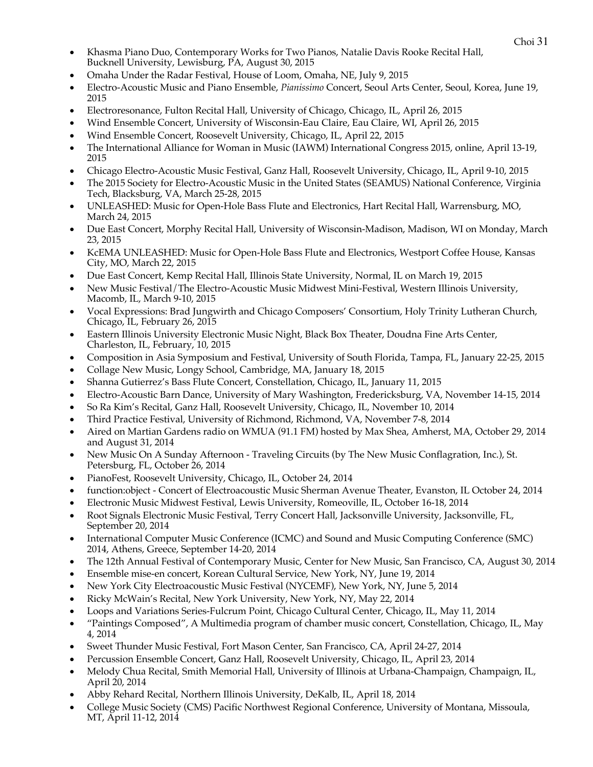- Choi <sup>31</sup> Khasma Piano Duo, Contemporary Works for Two Pianos, Natalie Davis Rooke Recital Hall, Bucknell University, Lewisburg, PA, August 30, 2015
- Omaha Under the Radar Festival, House of Loom, Omaha, NE, July 9, 2015
- Electro-Acoustic Music and Piano Ensemble, *Pianissimo* Concert, Seoul Arts Center, Seoul, Korea, June 19, 2015
- Electroresonance, Fulton Recital Hall, University of Chicago, Chicago, IL, April 26, 2015
- Wind Ensemble Concert, University of Wisconsin-Eau Claire, Eau Claire, WI, April 26, 2015
- Wind Ensemble Concert, Roosevelt University, Chicago, IL, April 22, 2015
- The International Alliance for Woman in Music (IAWM) International Congress 2015, online, April 13-19, 2015
- Chicago Electro-Acoustic Music Festival, Ganz Hall, Roosevelt University, Chicago, IL, April 9-10, 2015
- The 2015 Society for Electro-Acoustic Music in the United States (SEAMUS) National Conference, Virginia Tech, Blacksburg, VA, March 25-28, 2015
- UNLEASHED: Music for Open-Hole Bass Flute and Electronics, Hart Recital Hall, Warrensburg, MO, March 24, 2015
- Due East Concert, Morphy Recital Hall, University of Wisconsin-Madison, Madison, WI on Monday, March 23, 2015
- KcEMA UNLEASHED: Music for Open-Hole Bass Flute and Electronics, Westport Coffee House, Kansas City, MO, March 22, 2015
- Due East Concert, Kemp Recital Hall, Illinois State University, Normal, IL on March 19, 2015
- New Music Festival/The Electro-Acoustic Music Midwest Mini-Festival, Western Illinois University, Macomb, IL, March 9-10, 2015
- Vocal Expressions: Brad Jungwirth and Chicago Composers' Consortium, Holy Trinity Lutheran Church, Chicago, IL, February 26, 2015
- Eastern Illinois University Electronic Music Night, Black Box Theater, Doudna Fine Arts Center, Charleston, IL, February, 10, 2015
- Composition in Asia Symposium and Festival, University of South Florida, Tampa, FL, January 22-25, 2015
- Collage New Music, Longy School, Cambridge, MA, January 18, 2015
- Shanna Gutierrez's Bass Flute Concert, Constellation, Chicago, IL, January 11, 2015
- Electro-Acoustic Barn Dance, University of Mary Washington, Fredericksburg, VA, November 14-15, 2014
- So Ra Kim's Recital, Ganz Hall, Roosevelt University, Chicago, IL, November 10, 2014
- Third Practice Festival, University of Richmond, Richmond, VA, November 7-8, 2014
- Aired on Martian Gardens radio on WMUA (91.1 FM) hosted by Max Shea, Amherst, MA, October 29, 2014 and August 31, 2014
- New Music On A Sunday Afternoon Traveling Circuits (by The New Music Conflagration, Inc.), St. Petersburg, FL, October 26, 2014
- PianoFest, Roosevelt University, Chicago, IL, October 24, 2014
- function:object Concert of Electroacoustic Music Sherman Avenue Theater, Evanston, IL October 24, 2014
- Electronic Music Midwest Festival, Lewis University, Romeoville, IL, October 16-18, 2014
- Root Signals Electronic Music Festival, Terry Concert Hall, Jacksonville University, Jacksonville, FL, September 20, 2014
- International Computer Music Conference (ICMC) and Sound and Music Computing Conference (SMC) 2014, Athens, Greece, September 14-20, 2014
- The 12th Annual Festival of Contemporary Music, Center for New Music, San Francisco, CA, August 30, 2014
- Ensemble mise-en concert, Korean Cultural Service, New York, NY, June 19, 2014
- New York City Electroacoustic Music Festival (NYCEMF), New York, NY, June 5, 2014
- Ricky McWain's Recital, New York University, New York, NY, May 22, 2014
- Loops and Variations Series-Fulcrum Point, Chicago Cultural Center, Chicago, IL, May 11, 2014
- "Paintings Composed", A Multimedia program of chamber music concert, Constellation, Chicago, IL, May 4, 2014
- Sweet Thunder Music Festival, Fort Mason Center, San Francisco, CA, April 24-27, 2014
- Percussion Ensemble Concert, Ganz Hall, Roosevelt University, Chicago, IL, April 23, 2014
- Melody Chua Recital, Smith Memorial Hall, University of Illinois at Urbana-Champaign, Champaign, IL, April 20, 2014
- Abby Rehard Recital, Northern Illinois University, DeKalb, IL, April 18, 2014
- College Music Society (CMS) Pacific Northwest Regional Conference, University of Montana, Missoula, MT, April 11-12, 2014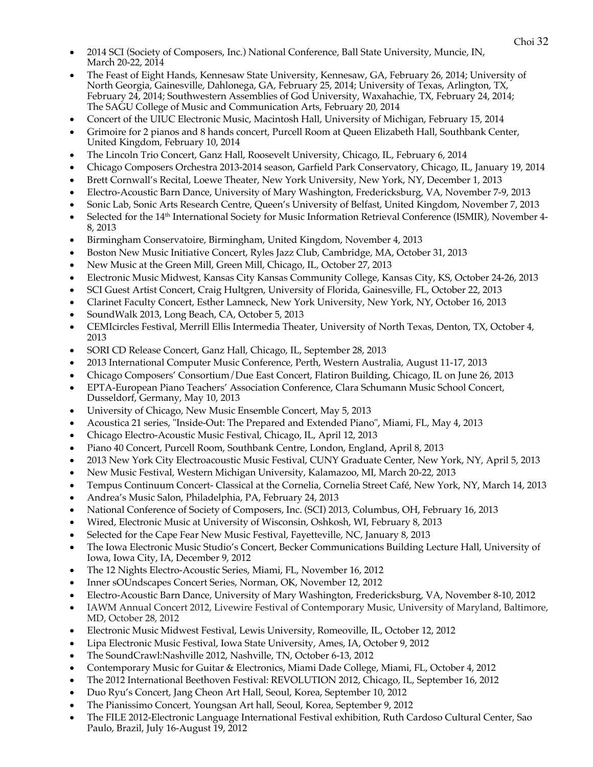- Choi <sup>32</sup> 2014 SCI (Society of Composers, Inc.) National Conference, Ball State University, Muncie, IN, March 20-22, 2014
- The Feast of Eight Hands, Kennesaw State University, Kennesaw, GA, February 26, 2014; University of North Georgia, Gainesville, Dahlonega, GA, February 25, 2014; University of Texas, Arlington, TX, February 24, 2014; Southwestern Assemblies of God University, Waxahachie, TX, February 24, 2014; The SAGU College of Music and Communication Arts, February 20, 2014
- Concert of the UIUC Electronic Music, Macintosh Hall, University of Michigan, February 15, 2014
- Grimoire for 2 pianos and 8 hands concert, Purcell Room at Queen Elizabeth Hall, Southbank Center, United Kingdom, February 10, 2014
- The Lincoln Trio Concert, Ganz Hall, Roosevelt University, Chicago, IL, February 6, 2014
- Chicago Composers Orchestra 2013-2014 season, Garfield Park Conservatory, Chicago, IL, January 19, 2014
- Brett Cornwall's Recital, Loewe Theater, New York University, New York, NY, December 1, 2013
- Electro-Acoustic Barn Dance, University of Mary Washington, Fredericksburg, VA, November 7-9, 2013
- Sonic Lab, Sonic Arts Research Centre, Queen's University of Belfast, United Kingdom, November 7, 2013
- Selected for the 14th International Society for Music Information Retrieval Conference (ISMIR), November 4- 8, 2013
- Birmingham Conservatoire, Birmingham, United Kingdom, November 4, 2013
- Boston New Music Initiative Concert, Ryles Jazz Club, Cambridge, MA, October 31, 2013
- New Music at the Green Mill, Green Mill, Chicago, IL, October 27, 2013
- Electronic Music Midwest, Kansas City Kansas Community College, Kansas City, KS, October 24-26, 2013
- SCI Guest Artist Concert, Craig Hultgren, University of Florida, Gainesville, FL, October 22, 2013
- Clarinet Faculty Concert, Esther Lamneck, New York University, New York, NY, October 16, 2013
- SoundWalk 2013, Long Beach, CA, October 5, 2013
- CEMIcircles Festival, Merrill Ellis Intermedia Theater, University of North Texas, Denton, TX, October 4, 2013
- SORI CD Release Concert, Ganz Hall, Chicago, IL, September 28, 2013
- 2013 International Computer Music Conference, Perth, Western Australia, August 11-17, 2013
- Chicago Composers' Consortium/Due East Concert, Flatiron Building, Chicago, IL on June 26, 2013
- EPTA-European Piano Teachers' Association Conference, Clara Schumann Music School Concert, Dusseldorf, Germany, May 10, 2013
- University of Chicago, New Music Ensemble Concert, May 5, 2013
- Acoustica 21 series, "Inside-Out: The Prepared and Extended Piano", Miami, FL, May 4, 2013
- Chicago Electro-Acoustic Music Festival, Chicago, IL, April 12, 2013
- Piano 40 Concert, Purcell Room, Southbank Centre, London, England, April 8, 2013
- 2013 New York City Electroacoustic Music Festival, CUNY Graduate Center, New York, NY, April 5, 2013
- New Music Festival, Western Michigan University, Kalamazoo, MI, March 20-22, 2013
- Tempus Continuum Concert- Classical at the Cornelia, Cornelia Street Café, New York, NY, March 14, 2013
- Andrea's Music Salon, Philadelphia, PA, February 24, 2013
- National Conference of Society of Composers, Inc. (SCI) 2013, Columbus, OH, February 16, 2013
- Wired, Electronic Music at University of Wisconsin, Oshkosh, WI, February 8, 2013
- Selected for the Cape Fear New Music Festival, Fayetteville, NC, January 8, 2013
- The Iowa Electronic Music Studio's Concert, Becker Communications Building Lecture Hall, University of Iowa, Iowa City, IA, December 9, 2012
- The 12 Nights Electro-Acoustic Series, Miami, FL, November 16, 2012
- Inner sOUndscapes Concert Series, Norman, OK, November 12, 2012
- Electro-Acoustic Barn Dance, University of Mary Washington, Fredericksburg, VA, November 8-10, 2012
- IAWM Annual Concert 2012, Livewire Festival of Contemporary Music, University of Maryland, Baltimore, MD, October 28, 2012
- Electronic Music Midwest Festival, Lewis University, Romeoville, IL, October 12, 2012
- Lipa Electronic Music Festival, Iowa State University, Ames, IA, October 9, 2012
- The SoundCrawl:Nashville 2012, Nashville, TN, October 6-13, 2012
- Contemporary Music for Guitar & Electronics, Miami Dade College, Miami, FL, October 4, 2012
- The 2012 International Beethoven Festival: REVOLUTION 2012, Chicago, IL, September 16, 2012
- Duo Ryu's Concert, Jang Cheon Art Hall, Seoul, Korea, September 10, 2012
- The Pianissimo Concert*,* Youngsan Art hall, Seoul, Korea, September 9, 2012
- The FILE 2012-Electronic Language International Festival exhibition, Ruth Cardoso Cultural Center, Sao Paulo, Brazil, July 16-August 19, 2012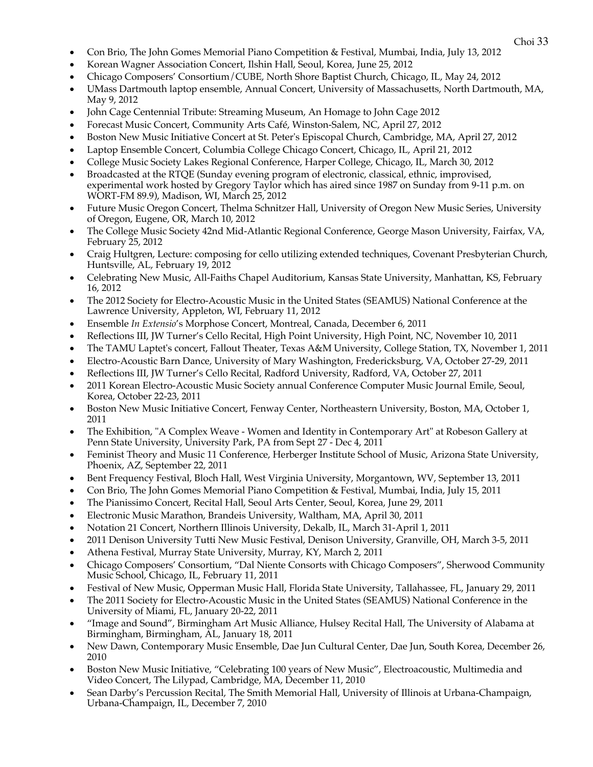- Choi <sup>33</sup> Con Brio, The John Gomes Memorial Piano Competition & Festival, Mumbai, India, July 13, 2012
- Korean Wagner Association Concert, Ilshin Hall, Seoul, Korea, June 25, 2012
- Chicago Composers' Consortium/CUBE, North Shore Baptist Church, Chicago, IL, May 24, 2012
- UMass Dartmouth laptop ensemble, Annual Concert, University of Massachusetts, North Dartmouth, MA, May 9, 2012
- John Cage Centennial Tribute: Streaming Museum, An Homage to John Cage 2012
- Forecast Music Concert, Community Arts Café, Winston-Salem, NC, April 27, 2012
- Boston New Music Initiative Concert at St. Peter's Episcopal Church, Cambridge, MA, April 27, 2012
- Laptop Ensemble Concert, Columbia College Chicago Concert, Chicago, IL, April 21, 2012
- College Music Society Lakes Regional Conference, Harper College, Chicago, IL, March 30, 2012
- Broadcasted at the RTQE (Sunday evening program of electronic, classical, ethnic, improvised, experimental work hosted by Gregory Taylor which has aired since 1987 on Sunday from 9-11 p.m. on WORT-FM 89.9), Madison, WI, March 25, 2012
- Future Music Oregon Concert, Thelma Schnitzer Hall, University of Oregon New Music Series, University of Oregon, Eugene, OR, March 10, 2012
- The College Music Society 42nd Mid-Atlantic Regional Conference, George Mason University, Fairfax, VA, February 25, 2012
- Craig Hultgren, Lecture: composing for cello utilizing extended techniques, Covenant Presbyterian Church, Huntsville, AL, February 19, 2012
- Celebrating New Music, All-Faiths Chapel Auditorium, Kansas State University, Manhattan, KS, February 16, 2012
- The 2012 Society for Electro-Acoustic Music in the United States (SEAMUS) National Conference at the Lawrence University, Appleton, WI, February 11, 2012
- Ensemble *In Extensio*'s Morphose Concert, Montreal, Canada, December 6, 2011
- Reflections III, JW Turner's Cello Recital, High Point University, High Point, NC, November 10, 2011
- The TAMU Laptet's concert, Fallout Theater, Texas A&M University, College Station, TX, November 1, 2011
- Electro-Acoustic Barn Dance, University of Mary Washington, Fredericksburg, VA, October 27-29, 2011
- Reflections III, JW Turner's Cello Recital, Radford University, Radford, VA, October 27, 2011
- 2011 Korean Electro-Acoustic Music Society annual Conference Computer Music Journal Emile, Seoul, Korea, October 22-23, 2011
- Boston New Music Initiative Concert, Fenway Center, Northeastern University, Boston, MA, October 1, 2011
- The Exhibition, "A Complex Weave Women and Identity in Contemporary Art" at Robeson Gallery at Penn State University, University Park, PA from Sept 27 - Dec 4, 2011
- Feminist Theory and Music 11 Conference, Herberger Institute School of Music, Arizona State University, Phoenix, AZ, September 22, 2011
- Bent Frequency Festival, Bloch Hall, West Virginia University, Morgantown, WV, September 13, 2011
- Con Brio, The John Gomes Memorial Piano Competition & Festival, Mumbai, India, July 15, 2011
- The Pianissimo Concert, Recital Hall, Seoul Arts Center, Seoul, Korea, June 29, 2011
- Electronic Music Marathon, Brandeis University, Waltham, MA, April 30, 2011
- Notation 21 Concert, Northern Illinois University, Dekalb, IL, March 31-April 1, 2011
- 2011 Denison University Tutti New Music Festival, Denison University, Granville, OH, March 3-5, 2011
- Athena Festival, Murray State University, Murray, KY, March 2, 2011
- Chicago Composers' Consortium, "Dal Niente Consorts with Chicago Composers", Sherwood Community Music School, Chicago, IL, February 11, 2011
- Festival of New Music, Opperman Music Hall, Florida State University, Tallahassee, FL, January 29, 2011
- The 2011 Society for Electro-Acoustic Music in the United States (SEAMUS) National Conference in the University of Miami, FL, January 20-22, 2011
- "Image and Sound", Birmingham Art Music Alliance, Hulsey Recital Hall, The University of Alabama at Birmingham, Birmingham, AL, January 18, 2011
- New Dawn, Contemporary Music Ensemble, Dae Jun Cultural Center, Dae Jun, South Korea, December 26, 2010
- Boston New Music Initiative, "Celebrating 100 years of New Music", Electroacoustic, Multimedia and Video Concert, The Lilypad, Cambridge, MA, December 11, 2010
- Sean Darby's Percussion Recital, The Smith Memorial Hall, University of Illinois at Urbana-Champaign, Urbana-Champaign, IL, December 7, 2010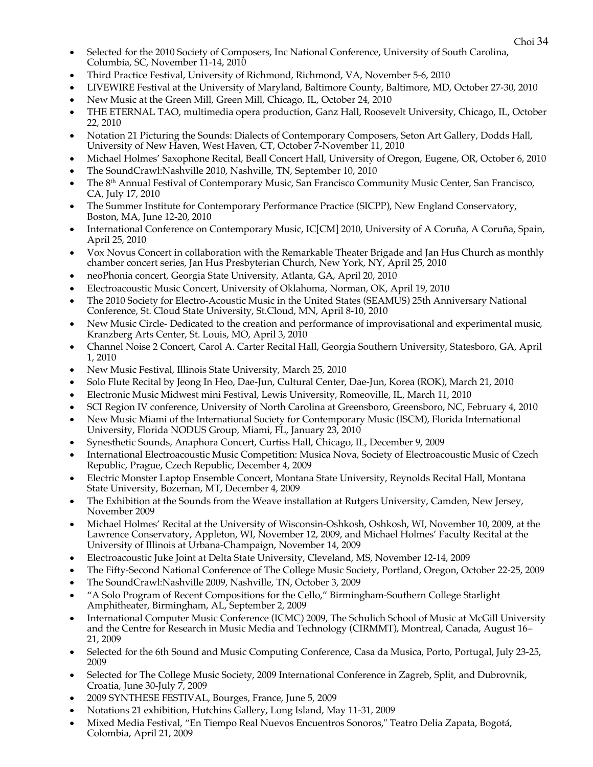- Choi <sup>34</sup> Selected for the 2010 Society of Composers, Inc National Conference, University of South Carolina, Columbia, SC, November 11-14, 2010
- Third Practice Festival, University of Richmond, Richmond, VA, November 5-6, 2010
- LIVEWIRE Festival at the University of Maryland, Baltimore County, Baltimore, MD, October 27-30, 2010
- New Music at the Green Mill, Green Mill, Chicago, IL, October 24, 2010
- THE ETERNAL TAO, multimedia opera production, Ganz Hall, Roosevelt University, Chicago, IL, October 22, 2010
- Notation 21 Picturing the Sounds: Dialects of Contemporary Composers, Seton Art Gallery, Dodds Hall, University of New Haven, West Haven, CT, October 7-November 11, 2010
- Michael Holmes' Saxophone Recital, Beall Concert Hall, University of Oregon, Eugene, OR, October 6, 2010
- The SoundCrawl:Nashville 2010, Nashville, TN, September 10, 2010
- The 8<sup>th</sup> Annual Festival of Contemporary Music, San Francisco Community Music Center, San Francisco, CA, July 17, 2010
- The Summer Institute for Contemporary Performance Practice (SICPP), New England Conservatory, Boston, MA, June 12-20, 2010
- International Conference on Contemporary Music, IC[CM] 2010, University of A Coruña, A Coruña, Spain, April 25, 2010
- Vox Novus Concert in collaboration with the Remarkable Theater Brigade and Jan Hus Church as monthly chamber concert series, Jan Hus Presbyterian Church, New York, NY, April 25, 2010
- neoPhonia concert, Georgia State University, Atlanta, GA, April 20, 2010
- Electroacoustic Music Concert, University of Oklahoma, Norman, OK, April 19, 2010
- The 2010 Society for Electro-Acoustic Music in the United States (SEAMUS) 25th Anniversary National Conference, St. Cloud State University, St.Cloud, MN, April 8-10, 2010
- New Music Circle- Dedicated to the creation and performance of improvisational and experimental music, Kranzberg Arts Center, St. Louis, MO, April 3, 2010
- Channel Noise 2 Concert, Carol A. Carter Recital Hall, Georgia Southern University, Statesboro, GA, April 1, 2010
- New Music Festival, Illinois State University, March 25, 2010
- Solo Flute Recital by Jeong In Heo, Dae-Jun, Cultural Center, Dae-Jun, Korea (ROK), March 21, 2010
- Electronic Music Midwest mini Festival, Lewis University, Romeoville, IL, March 11, 2010
- SCI Region IV conference, University of North Carolina at Greensboro, Greensboro, NC, February 4, 2010
- New Music Miami of the International Society for Contemporary Music (ISCM), Florida International University, Florida NODUS Group, Miami, FL, January 23, 2010
- Synesthetic Sounds, Anaphora Concert, Curtiss Hall, Chicago, IL, December 9, 2009
- International Electroacoustic Music Competition: Musica Nova, Society of Electroacoustic Music of Czech Republic, Prague, Czech Republic, December 4, 2009
- Electric Monster Laptop Ensemble Concert, Montana State University, Reynolds Recital Hall, Montana State University, Bozeman, MT, December 4, 2009
- The Exhibition at the Sounds from the Weave installation at Rutgers University, Camden, New Jersey, November 2009
- Michael Holmes' Recital at the University of Wisconsin-Oshkosh, Oshkosh, WI, November 10, 2009, at the Lawrence Conservatory, Appleton, WI, November 12, 2009, and Michael Holmes' Faculty Recital at the University of Illinois at Urbana-Champaign, November 14, 2009
- Electroacoustic Juke Joint at Delta State University, Cleveland, MS, November 12-14, 2009
- The Fifty-Second National Conference of The College Music Society, Portland, Oregon, October 22-25, 2009
- The SoundCrawl:Nashville 2009, Nashville, TN, October 3, 2009
- "A Solo Program of Recent Compositions for the Cello," Birmingham-Southern College Starlight Amphitheater, Birmingham, AL, September 2, 2009
- International Computer Music Conference (ICMC) 2009, The Schulich School of Music at McGill University and the Centre for Research in Music Media and Technology (CIRMMT), Montreal, Canada, August 16– 21, 2009
- Selected for the 6th Sound and Music Computing Conference, Casa da Musica, Porto, Portugal, July 23-25, 2009
- Selected for The College Music Society, 2009 International Conference in Zagreb, Split, and Dubrovnik, Croatia, June 30-July 7, 2009
- 2009 SYNTHESE FESTIVAL, Bourges, France, June 5, 2009
- Notations 21 exhibition, Hutchins Gallery, Long Island, May 11-31, 2009
- Mixed Media Festival, "En Tiempo Real Nuevos Encuentros Sonoros," Teatro Delia Zapata, Bogotá, Colombia, April 21, 2009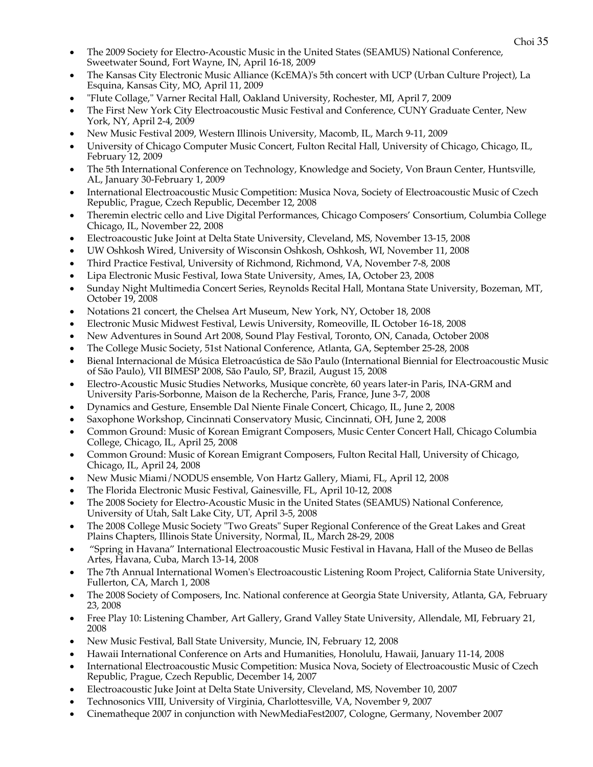- Choi <sup>35</sup> The 2009 Society for Electro-Acoustic Music in the United States (SEAMUS) National Conference, Sweetwater Sound, Fort Wayne, IN, April 16-18, 2009
- The Kansas City Electronic Music Alliance (KcEMA)'s 5th concert with UCP (Urban Culture Project), La Esquina, Kansas City, MO, April 11, 2009
- "Flute Collage," Varner Recital Hall, Oakland University, Rochester, MI, April 7, 2009
- The First New York City Electroacoustic Music Festival and Conference, CUNY Graduate Center, New York, NY, April 2-4, 2009
- New Music Festival 2009, Western Illinois University, Macomb, IL, March 9-11, 2009
- University of Chicago Computer Music Concert, Fulton Recital Hall, University of Chicago, Chicago, IL, February 12, 2009
- The 5th International Conference on Technology, Knowledge and Society, Von Braun Center, Huntsville, AL, January 30-February 1, 2009
- International Electroacoustic Music Competition: Musica Nova, Society of Electroacoustic Music of Czech Republic, Prague, Czech Republic, December 12, 2008
- Theremin electric cello and Live Digital Performances, Chicago Composers' Consortium, Columbia College Chicago, IL, November 22, 2008
- Electroacoustic Juke Joint at Delta State University, Cleveland, MS, November 13-15, 2008
- UW Oshkosh Wired, University of Wisconsin Oshkosh, Oshkosh, WI, November 11, 2008
- Third Practice Festival, University of Richmond, Richmond, VA, November 7-8, 2008
- Lipa Electronic Music Festival, Iowa State University, Ames, IA, October 23, 2008
- Sunday Night Multimedia Concert Series, Reynolds Recital Hall, Montana State University, Bozeman, MT, October 19, 2008
- Notations 21 concert, the Chelsea Art Museum, New York, NY, October 18, 2008
- Electronic Music Midwest Festival, Lewis University, Romeoville, IL October 16-18, 2008
- New Adventures in Sound Art 2008, Sound Play Festival, Toronto, ON, Canada, October 2008
- The College Music Society, 51st National Conference, Atlanta, GA, September 25-28, 2008
- Bienal Internacional de Música Eletroacústica de São Paulo (International Biennial for Electroacoustic Music of São Paulo), VII BIMESP 2008, São Paulo, SP, Brazil, August 15, 2008
- Electro-Acoustic Music Studies Networks, Musique concrète, 60 years later-in Paris, INA-GRM and University Paris-Sorbonne, Maison de la Recherche, Paris, France, June 3-7, 2008
- Dynamics and Gesture, Ensemble Dal Niente Finale Concert, Chicago, IL, June 2, 2008
- Saxophone Workshop, Cincinnati Conservatory Music, Cincinnati, OH, June 2, 2008
- Common Ground: Music of Korean Emigrant Composers, Music Center Concert Hall, Chicago Columbia College, Chicago, IL, April 25, 2008
- Common Ground: Music of Korean Emigrant Composers, Fulton Recital Hall, University of Chicago, Chicago, IL, April 24, 2008
- New Music Miami/NODUS ensemble, Von Hartz Gallery, Miami, FL, April 12, 2008
- The Florida Electronic Music Festival, Gainesville, FL, April 10-12, 2008
- The 2008 Society for Electro-Acoustic Music in the United States (SEAMUS) National Conference, University of Utah, Salt Lake City, UT, April 3-5, 2008
- The 2008 College Music Society "Two Greats" Super Regional Conference of the Great Lakes and Great Plains Chapters, Illinois State University, Normal, IL, March 28-29, 2008
- "Spring in Havana" International Electroacoustic Music Festival in Havana, Hall of the Museo de Bellas Artes, Havana, Cuba, March 13-14, 2008
- The 7th Annual International Women's Electroacoustic Listening Room Project, California State University, Fullerton, CA, March 1, 2008
- The 2008 Society of Composers, Inc. National conference at Georgia State University, Atlanta, GA, February 23, 2008
- Free Play 10: Listening Chamber, Art Gallery, Grand Valley State University, Allendale, MI, February 21, 2008
- New Music Festival, Ball State University, Muncie, IN, February 12, 2008
- Hawaii International Conference on Arts and Humanities, Honolulu, Hawaii, January 11-14, 2008
- International Electroacoustic Music Competition: Musica Nova, Society of Electroacoustic Music of Czech Republic, Prague, Czech Republic, December 14, 2007
- Electroacoustic Juke Joint at Delta State University, Cleveland, MS, November 10, 2007
- Technosonics VIII, University of Virginia, Charlottesville, VA, November 9, 2007
- Cinematheque 2007 in conjunction with NewMediaFest2007, Cologne, Germany, November 2007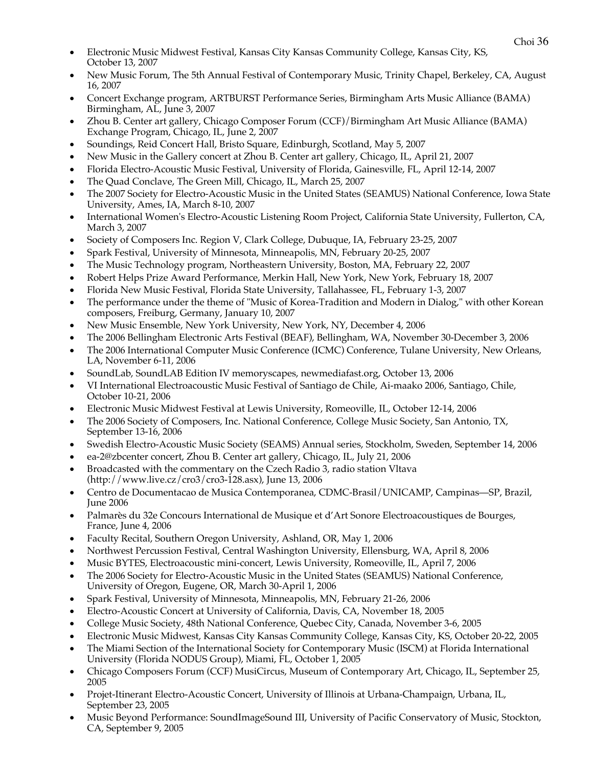- Choi <sup>36</sup> Electronic Music Midwest Festival, Kansas City Kansas Community College, Kansas City, KS, October 13, 2007
- New Music Forum, The 5th Annual Festival of Contemporary Music, Trinity Chapel, Berkeley, CA, August 16, 2007
- Concert Exchange program, ARTBURST Performance Series, Birmingham Arts Music Alliance (BAMA) Birmingham, AL, June 3, 2007
- Zhou B. Center art gallery, Chicago Composer Forum (CCF)/Birmingham Art Music Alliance (BAMA) Exchange Program, Chicago, IL, June 2, 2007
- Soundings, Reid Concert Hall, Bristo Square, Edinburgh, Scotland, May 5, 2007
- New Music in the Gallery concert at Zhou B. Center art gallery, Chicago, IL, April 21, 2007
- Florida Electro-Acoustic Music Festival, University of Florida, Gainesville, FL, April 12-14, 2007
- The Quad Conclave, The Green Mill, Chicago, IL, March 25, 2007
- The 2007 Society for Electro-Acoustic Music in the United States (SEAMUS) National Conference, Iowa State University, Ames, IA, March 8-10, 2007
- International Women's Electro-Acoustic Listening Room Project, California State University, Fullerton, CA, March 3, 2007
- Society of Composers Inc. Region V, Clark College, Dubuque, IA, February 23-25, 2007
- Spark Festival, University of Minnesota, Minneapolis, MN, February 20-25, 2007
- The Music Technology program, Northeastern University, Boston, MA, February 22, 2007
- Robert Helps Prize Award Performance, Merkin Hall, New York, New York, February 18, 2007
- Florida New Music Festival, Florida State University, Tallahassee, FL, February 1-3, 2007
- The performance under the theme of "Music of Korea-Tradition and Modern in Dialog," with other Korean composers, Freiburg, Germany, January 10, 2007
- New Music Ensemble, New York University, New York, NY, December 4, 2006
- The 2006 Bellingham Electronic Arts Festival (BEAF), Bellingham, WA, November 30-December 3, 2006
- The 2006 International Computer Music Conference (ICMC) Conference, Tulane University, New Orleans, LA, November 6-11, 2006
- SoundLab, SoundLAB Edition IV memoryscapes, newmediafast.org, October 13, 2006
- VI International Electroacoustic Music Festival of Santiago de Chile, Ai-maako 2006, Santiago, Chile, October 10-21, 2006
- Electronic Music Midwest Festival at Lewis University, Romeoville, IL, October 12-14, 2006
- The 2006 Society of Composers, Inc. National Conference, College Music Society, San Antonio, TX, September 13-16, 2006
- Swedish Electro-Acoustic Music Society (SEAMS) Annual series, Stockholm, Sweden, September 14, 2006
- ea-2@zbcenter concert, Zhou B. Center art gallery, Chicago, IL, July 21, 2006
- Broadcasted with the commentary on the Czech Radio 3, radio station Vltava (http://www.live.cz/cro3/cro3-128.asx), June 13, 2006
- Centro de Documentacao de Musica Contemporanea, CDMC-Brasil/UNICAMP, Campinas—SP, Brazil, June 2006
- Palmarès du 32e Concours International de Musique et d'Art Sonore Electroacoustiques de Bourges, France, June 4, 2006
- Faculty Recital, Southern Oregon University, Ashland, OR, May 1, 2006
- Northwest Percussion Festival, Central Washington University, Ellensburg, WA, April 8, 2006
- Music BYTES, Electroacoustic mini-concert, Lewis University, Romeoville, IL, April 7, 2006
- The 2006 Society for Electro-Acoustic Music in the United States (SEAMUS) National Conference, University of Oregon, Eugene, OR, March 30-April 1, 2006
- Spark Festival, University of Minnesota, Minneapolis, MN, February 21-26, 2006
- Electro-Acoustic Concert at University of California, Davis, CA, November 18, 2005
- College Music Society, 48th National Conference, Quebec City, Canada, November 3-6, 2005
- Electronic Music Midwest, Kansas City Kansas Community College, Kansas City, KS, October 20-22, 2005
- The Miami Section of the International Society for Contemporary Music (ISCM) at Florida International University (Florida NODUS Group), Miami, FL, October 1, 2005
- Chicago Composers Forum (CCF) MusiCircus, Museum of Contemporary Art, Chicago, IL, September 25, 2005
- Projet-Itinerant Electro-Acoustic Concert, University of Illinois at Urbana-Champaign, Urbana, IL, September 23, 2005
- Music Beyond Performance: SoundImageSound III, University of Pacific Conservatory of Music, Stockton, CA, September 9, 2005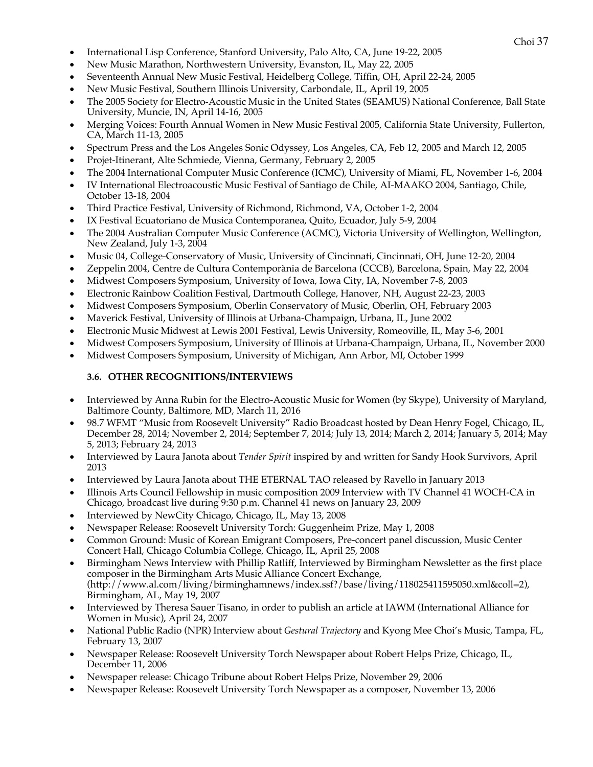- Choi <sup>37</sup> International Lisp Conference, Stanford University, Palo Alto, CA, June 19-22, 2005
- New Music Marathon, Northwestern University, Evanston, IL, May 22, 2005
- Seventeenth Annual New Music Festival, Heidelberg College, Tiffin, OH, April 22-24, 2005
- New Music Festival, Southern Illinois University, Carbondale, IL, April 19, 2005
- The 2005 Society for Electro-Acoustic Music in the United States (SEAMUS) National Conference, Ball State University, Muncie, IN, April 14-16, 2005
- Merging Voices: Fourth Annual Women in New Music Festival 2005, California State University, Fullerton, CA, March 11-13, 2005
- Spectrum Press and the Los Angeles Sonic Odyssey, Los Angeles, CA, Feb 12, 2005 and March 12, 2005
- Projet-Itinerant, Alte Schmiede, Vienna, Germany, February 2, 2005
- The 2004 International Computer Music Conference (ICMC), University of Miami, FL, November 1-6, 2004
- IV International Electroacoustic Music Festival of Santiago de Chile, AI-MAAKO 2004, Santiago, Chile, October 13-18, 2004
- Third Practice Festival, University of Richmond, Richmond, VA, October 1-2, 2004
- IX Festival Ecuatoriano de Musica Contemporanea, Quito, Ecuador, July 5-9, 2004
- The 2004 Australian Computer Music Conference (ACMC), Victoria University of Wellington, Wellington, New Zealand, July 1-3, 2004
- Music 04, College-Conservatory of Music, University of Cincinnati, Cincinnati, OH, June 12-20, 2004
- Zeppelin 2004, Centre de Cultura Contemporània de Barcelona (CCCB), Barcelona, Spain, May 22, 2004
- Midwest Composers Symposium, University of Iowa, Iowa City, IA, November 7-8, 2003
- Electronic Rainbow Coalition Festival, Dartmouth College, Hanover, NH, August 22-23, 2003
- Midwest Composers Symposium, Oberlin Conservatory of Music, Oberlin, OH, February 2003
- Maverick Festival, University of Illinois at Urbana-Champaign, Urbana, IL, June 2002
- Electronic Music Midwest at Lewis 2001 Festival, Lewis University, Romeoville, IL, May 5-6, 2001
- Midwest Composers Symposium, University of Illinois at Urbana-Champaign, Urbana, IL, November 2000
- Midwest Composers Symposium, University of Michigan, Ann Arbor, MI, October 1999

## **3.6. OTHER RECOGNITIONS/INTERVIEWS**

- Interviewed by Anna Rubin for the Electro-Acoustic Music for Women (by Skype), University of Maryland, Baltimore County, Baltimore, MD, March 11, 2016
- 98.7 WFMT "Music from Roosevelt University" Radio Broadcast hosted by Dean Henry Fogel, Chicago, IL, December 28, 2014; November 2, 2014; September 7, 2014; July 13, 2014; March 2, 2014; January 5, 2014; May 5, 2013; February 24, 2013
- Interviewed by Laura Janota about *Tender Spirit* inspired by and written for Sandy Hook Survivors, April 2013
- Interviewed by Laura Janota about THE ETERNAL TAO released by Ravello in January 2013
- Illinois Arts Council Fellowship in music composition 2009 Interview with TV Channel 41 WOCH-CA in Chicago, broadcast live during 9:30 p.m. Channel 41 news on January 23, 2009
- Interviewed by NewCity Chicago, Chicago, IL, May 13, 2008
- Newspaper Release: Roosevelt University Torch: Guggenheim Prize, May 1, 2008
- Common Ground: Music of Korean Emigrant Composers, Pre-concert panel discussion, Music Center Concert Hall, Chicago Columbia College, Chicago, IL, April 25, 2008
- Birmingham News Interview with Phillip Ratliff, Interviewed by Birmingham Newsletter as the first place composer in the Birmingham Arts Music Alliance Concert Exchange, (http://www.al.com/living/birminghamnews/index.ssf?/base/living/118025411595050.xml&coll=2), Birmingham, AL, May 19, 2007
- Interviewed by Theresa Sauer Tisano, in order to publish an article at IAWM (International Alliance for Women in Music), April 24, 2007
- National Public Radio (NPR) Interview about *Gestural Trajectory* and Kyong Mee Choi's Music, Tampa, FL, February 13, 2007
- Newspaper Release: Roosevelt University Torch Newspaper about Robert Helps Prize, Chicago, IL, December 11, 2006
- Newspaper release: Chicago Tribune about Robert Helps Prize, November 29, 2006
- Newspaper Release: Roosevelt University Torch Newspaper as a composer, November 13, 2006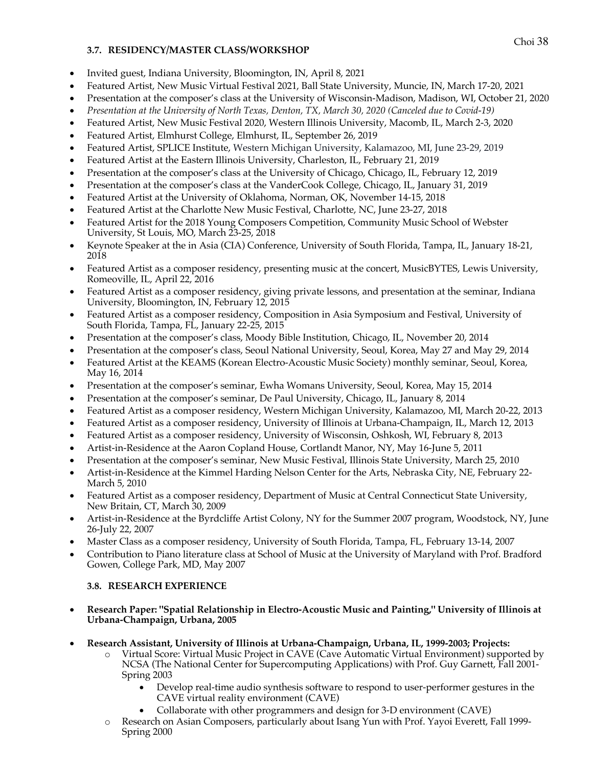### **3.7. RESIDENCY/MASTER CLASS/WORKSHOP**

- Invited guest, Indiana University, Bloomington, IN, April 8, 2021
- Featured Artist, New Music Virtual Festival 2021, Ball State University, Muncie, IN, March 17-20, 2021
- Presentation at the composer's class at the University of Wisconsin-Madison, Madison, WI, October 21, 2020
- *Presentation at the University of North Texas, Denton, TX, March 30, 2020 (Canceled due to Covid-19)*
- Featured Artist, New Music Festival 2020, Western Illinois University, Macomb, IL, March 2-3, 2020
- Featured Artist, Elmhurst College, Elmhurst, IL, September 26, 2019
- Featured Artist, SPLICE Institute, Western Michigan University, Kalamazoo, MI, June 23-29, 2019
- Featured Artist at the Eastern Illinois University, Charleston, IL, February 21, 2019
- Presentation at the composer's class at the University of Chicago, Chicago, IL, February 12, 2019
- Presentation at the composer's class at the VanderCook College, Chicago, IL, January 31, 2019
- Featured Artist at the University of Oklahoma, Norman, OK, November 14-15, 2018
- Featured Artist at the Charlotte New Music Festival, Charlotte, NC, June 23-27, 2018
- Featured Artist for the 2018 Young Composers Competition, Community Music School of Webster University, St Louis, MO, March 23-25, 2018
- Keynote Speaker at the in Asia (CIA) Conference, University of South Florida, Tampa, IL, January 18-21, 2018
- Featured Artist as a composer residency, presenting music at the concert, MusicBYTES, Lewis University, Romeoville, IL, April 22, 2016
- Featured Artist as a composer residency, giving private lessons, and presentation at the seminar, Indiana University, Bloomington, IN, February 12, 2015
- Featured Artist as a composer residency, Composition in Asia Symposium and Festival, University of South Florida, Tampa, FL, January 22-25, 2015
- Presentation at the composer's class, Moody Bible Institution, Chicago, IL, November 20, 2014
- Presentation at the composer's class, Seoul National University, Seoul, Korea, May 27 and May 29, 2014
- Featured Artist at the KEAMS (Korean Electro-Acoustic Music Society) monthly seminar, Seoul, Korea, May 16, 2014
- Presentation at the composer's seminar, Ewha Womans University, Seoul, Korea, May 15, 2014
- Presentation at the composer's seminar, De Paul University, Chicago, IL, January 8, 2014
- Featured Artist as a composer residency, Western Michigan University, Kalamazoo, MI, March 20-22, 2013
- Featured Artist as a composer residency, University of Illinois at Urbana-Champaign, IL, March 12, 2013
- Featured Artist as a composer residency, University of Wisconsin, Oshkosh, WI, February 8, 2013
- Artist-in-Residence at the Aaron Copland House, Cortlandt Manor, NY, May 16-June 5, 2011
- Presentation at the composer's seminar, New Music Festival, Illinois State University, March 25, 2010
- Artist-in-Residence at the Kimmel Harding Nelson Center for the Arts, Nebraska City, NE, February 22- March 5, 2010
- Featured Artist as a composer residency, Department of Music at Central Connecticut State University, New Britain, CT, March 30, 2009
- Artist-in-Residence at the Byrdcliffe Artist Colony, NY for the Summer 2007 program, Woodstock, NY, June 26-July 22, 2007
- Master Class as a composer residency, University of South Florida, Tampa, FL, February 13-14, 2007
- Contribution to Piano literature class at School of Music at the University of Maryland with Prof. Bradford Gowen, College Park, MD, May 2007

# **3.8. RESEARCH EXPERIENCE**

- **Research Paper: "Spatial Relationship in Electro-Acoustic Music and Painting," University of Illinois at Urbana-Champaign, Urbana, 2005**
- **Research Assistant, University of Illinois at Urbana-Champaign, Urbana, IL, 1999-2003; Projects:**
	- o Virtual Score: Virtual Music Project in CAVE (Cave Automatic Virtual Environment) supported by NCSA (The National Center for Supercomputing Applications) with Prof. Guy Garnett, Fall 2001- Spring 2003
		- Develop real-time audio synthesis software to respond to user-performer gestures in the CAVE virtual reality environment (CAVE)
		- Collaborate with other programmers and design for 3-D environment (CAVE)
	- o Research on Asian Composers, particularly about Isang Yun with Prof. Yayoi Everett, Fall 1999- Spring 2000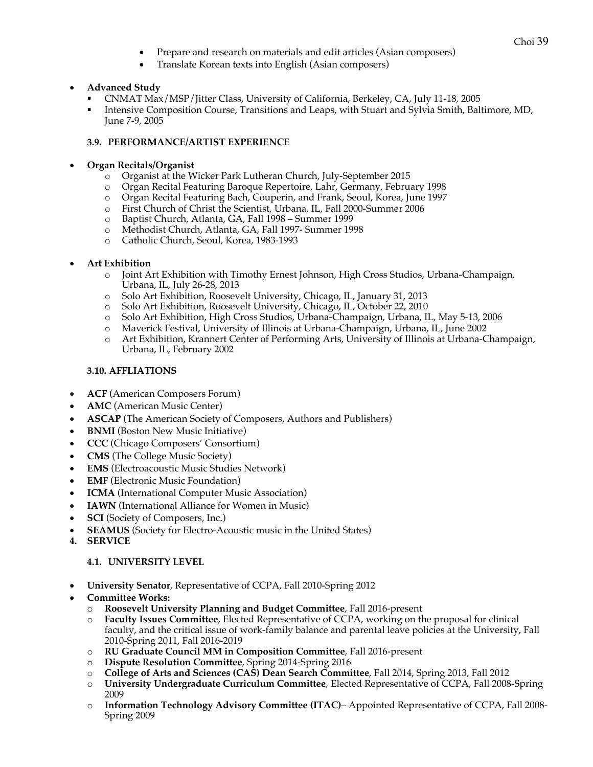- Choi <sup>39</sup> Prepare and research on materials and edit articles (Asian composers)
- Translate Korean texts into English (Asian composers)

### • **Advanced Study**

- § CNMAT Max/MSP/Jitter Class, University of California, Berkeley, CA, July 11-18, 2005
- § Intensive Composition Course, Transitions and Leaps, with Stuart and Sylvia Smith, Baltimore, MD, June 7-9, 2005

### **3.9. PERFORMANCE/ARTIST EXPERIENCE**

#### • **Organ Recitals/Organist**

- o Organist at the Wicker Park Lutheran Church, July-September 2015
- o Organ Recital Featuring Baroque Repertoire, Lahr, Germany, February 1998<br>
o Organ Recital Featuring Bach, Couperin, and Frank, Seoul. Korea. Iune 1997
- Organ Recital Featuring Bach, Couperin, and Frank, Seoul, Korea, June 1997
- o First Church of Christ the Scientist, Urbana, IL, Fall 2000-Summer 2006
- Baptist Church, Atlanta, GA, Fall 1998 Summer 1999
- o Methodist Church, Atlanta, GA, Fall 1997- Summer 1998
- o Catholic Church, Seoul, Korea, 1983-1993

### • **Art Exhibition**

- o Joint Art Exhibition with Timothy Ernest Johnson, High Cross Studios, Urbana-Champaign, Urbana, IL, July 26-28, 2013
- o Solo Art Exhibition, Roosevelt University, Chicago, IL, January 31, 2013
- o Solo Art Exhibition, Roosevelt University, Chicago, IL, October 22, 2010
- o Solo Art Exhibition, High Cross Studios, Urbana-Champaign, Urbana, IL, May 5-13, 2006
- o Maverick Festival, University of Illinois at Urbana-Champaign, Urbana, IL, June 2002
- o Art Exhibition, Krannert Center of Performing Arts, University of Illinois at Urbana-Champaign, Urbana, IL, February 2002

### **3.10. AFFLIATIONS**

- **ACF** (American Composers Forum)
- **AMC** (American Music Center)
- **ASCAP** (The American Society of Composers, Authors and Publishers)
- **BNMI** (Boston New Music Initiative)
- **CCC** (Chicago Composers' Consortium)
- **CMS** (The College Music Society)
- **EMS** (Electroacoustic Music Studies Network)
- **EMF** (Electronic Music Foundation)
- **ICMA** (International Computer Music Association)
- **IAWN** (International Alliance for Women in Music)
- **SCI** (Society of Composers, Inc.)
- **SEAMUS** (Society for Electro-Acoustic music in the United States)
- **4. SERVICE**

#### **4.1. UNIVERSITY LEVEL**

- **University Senator**, Representative of CCPA, Fall 2010-Spring 2012
- **Committee Works:**
	- o **Roosevelt University Planning and Budget Committee**, Fall 2016-present
	- o **Faculty Issues Committee**, Elected Representative of CCPA, working on the proposal for clinical faculty, and the critical issue of work-family balance and parental leave policies at the University, Fall 2010-Spring 2011, Fall 2016-2019
	- o **RU Graduate Council MM in Composition Committee**, Fall 2016-present
	- o **Dispute Resolution Committee**, Spring 2014-Spring 2016
	- o **College of Arts and Sciences (CAS) Dean Search Committee**, Fall 2014, Spring 2013, Fall 2012
	- o **University Undergraduate Curriculum Committee**, Elected Representative of CCPA, Fall 2008-Spring 2009
	- o **Information Technology Advisory Committee (ITAC)** Appointed Representative of CCPA, Fall 2008- Spring 2009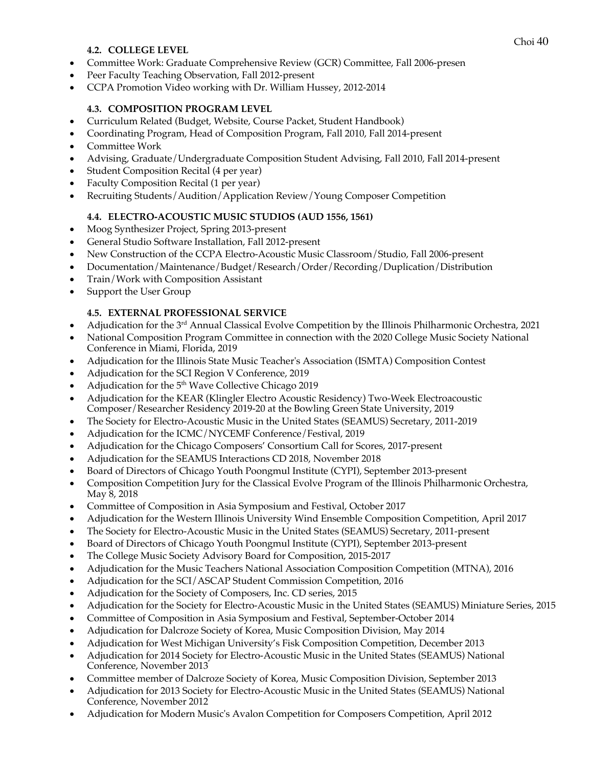## **4.2. COLLEGE LEVEL**

- Committee Work: Graduate Comprehensive Review (GCR) Committee, Fall 2006-presen
- Peer Faculty Teaching Observation, Fall 2012-present
- CCPA Promotion Video working with Dr. William Hussey, 2012-2014

# **4.3. COMPOSITION PROGRAM LEVEL**

- Curriculum Related (Budget, Website, Course Packet, Student Handbook)
- Coordinating Program, Head of Composition Program, Fall 2010, Fall 2014-present
- Committee Work
- Advising, Graduate/Undergraduate Composition Student Advising, Fall 2010, Fall 2014-present
- Student Composition Recital (4 per year)
- Faculty Composition Recital (1 per year)
- Recruiting Students/Audition/Application Review/Young Composer Competition

## **4.4. ELECTRO-ACOUSTIC MUSIC STUDIOS (AUD 1556, 1561)**

- Moog Synthesizer Project, Spring 2013-present
- General Studio Software Installation, Fall 2012-present
- New Construction of the CCPA Electro-Acoustic Music Classroom/Studio, Fall 2006-present
- Documentation/Maintenance/Budget/Research/Order/Recording/Duplication/Distribution
- Train/Work with Composition Assistant
- Support the User Group

## **4.5. EXTERNAL PROFESSIONAL SERVICE**

- Adjudication for the 3rd Annual Classical Evolve Competition by the Illinois Philharmonic Orchestra, 2021
- National Composition Program Committee in connection with the 2020 College Music Society National Conference in Miami, Florida, 2019
- Adjudication for the Illinois State Music Teacher's Association (ISMTA) Composition Contest
- Adjudication for the SCI Region V Conference, 2019
- Adjudication for the 5<sup>th</sup> Wave Collective Chicago 2019
- Adjudication for the KEAR (Klingler Electro Acoustic Residency) Two-Week Electroacoustic Composer/Researcher Residency 2019-20 at the Bowling Green State University, 2019
- The Society for Electro-Acoustic Music in the United States (SEAMUS) Secretary, 2011-2019
- Adjudication for the ICMC/NYCEMF Conference/Festival, 2019
- Adjudication for the Chicago Composers' Consortium Call for Scores, 2017-present
- Adjudication for the SEAMUS Interactions CD 2018, November 2018
- Board of Directors of Chicago Youth Poongmul Institute (CYPI), September 2013-present
- Composition Competition Jury for the Classical Evolve Program of the Illinois Philharmonic Orchestra, May 8, 2018
- Committee of Composition in Asia Symposium and Festival, October 2017
- Adjudication for the Western Illinois University Wind Ensemble Composition Competition, April 2017
- The Society for Electro-Acoustic Music in the United States (SEAMUS) Secretary, 2011-present
- Board of Directors of Chicago Youth Poongmul Institute (CYPI), September 2013-present
- The College Music Society Advisory Board for Composition, 2015-2017
- Adjudication for the Music Teachers National Association Composition Competition (MTNA), 2016
- Adjudication for the SCI/ASCAP Student Commission Competition, 2016
- Adjudication for the Society of Composers, Inc. CD series, 2015
- Adjudication for the Society for Electro-Acoustic Music in the United States (SEAMUS) Miniature Series, 2015
- Committee of Composition in Asia Symposium and Festival, September-October 2014
- Adjudication for Dalcroze Society of Korea, Music Composition Division, May 2014
- Adjudication for West Michigan University's Fisk Composition Competition, December 2013
- Adjudication for 2014 Society for Electro-Acoustic Music in the United States (SEAMUS) National Conference, November 2013
- Committee member of Dalcroze Society of Korea, Music Composition Division, September 2013
- Adjudication for 2013 Society for Electro-Acoustic Music in the United States (SEAMUS) National Conference, November 2012
- Adjudication for Modern Music's Avalon Competition for Composers Competition, April 2012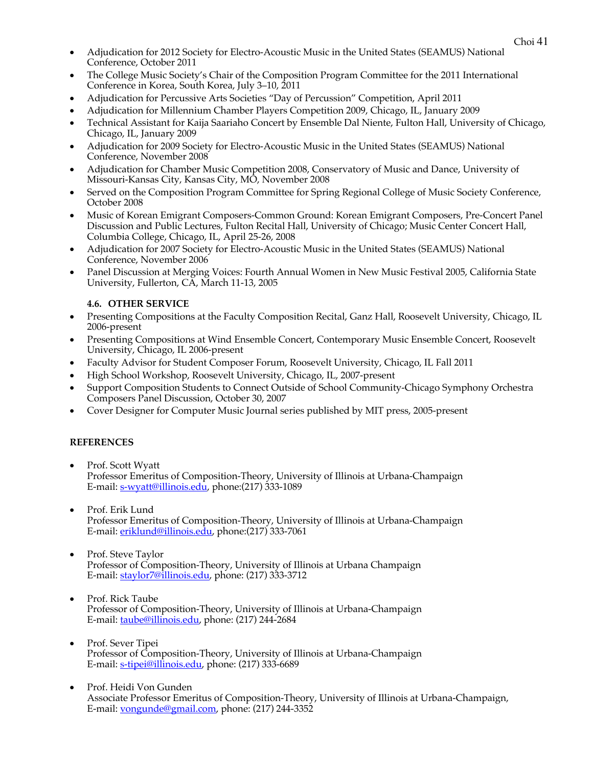- Choi <sup>41</sup> Adjudication for 2012 Society for Electro-Acoustic Music in the United States (SEAMUS) National Conference, October 2011
- The College Music Society's Chair of the Composition Program Committee for the 2011 International Conference in Korea, South Korea, July 3–10, 2011
- Adjudication for Percussive Arts Societies "Day of Percussion" Competition, April 2011
- Adjudication for Millennium Chamber Players Competition 2009, Chicago, IL, January 2009
- Technical Assistant for Kaija Saariaho Concert by Ensemble Dal Niente, Fulton Hall, University of Chicago, Chicago, IL, January 2009
- Adjudication for 2009 Society for Electro-Acoustic Music in the United States (SEAMUS) National Conference, November 2008
- Adjudication for Chamber Music Competition 2008, Conservatory of Music and Dance, University of Missouri-Kansas City, Kansas City, MO, November 2008
- Served on the Composition Program Committee for Spring Regional College of Music Society Conference, October 2008
- Music of Korean Emigrant Composers-Common Ground: Korean Emigrant Composers, Pre-Concert Panel Discussion and Public Lectures, Fulton Recital Hall, University of Chicago; Music Center Concert Hall, Columbia College, Chicago, IL, April 25-26, 2008
- Adjudication for 2007 Society for Electro-Acoustic Music in the United States (SEAMUS) National Conference, November 2006
- Panel Discussion at Merging Voices: Fourth Annual Women in New Music Festival 2005, California State University, Fullerton, CA, March 11-13, 2005

## **4.6. OTHER SERVICE**

- Presenting Compositions at the Faculty Composition Recital, Ganz Hall, Roosevelt University, Chicago, IL 2006-present
- Presenting Compositions at Wind Ensemble Concert, Contemporary Music Ensemble Concert, Roosevelt University, Chicago, IL 2006-present
- Faculty Advisor for Student Composer Forum, Roosevelt University, Chicago, IL Fall 2011
- High School Workshop, Roosevelt University, Chicago, IL, 2007-present
- Support Composition Students to Connect Outside of School Community-Chicago Symphony Orchestra Composers Panel Discussion, October 30, 2007
- Cover Designer for Computer Music Journal series published by MIT press, 2005-present

# **REFERENCES**

- Prof. Scott Wyatt Professor Emeritus of Composition-Theory, University of Illinois at Urbana-Champaign E-mail: s-wyatt@illinois.edu, phone:(217) 333-1089
- Prof. Erik Lund Professor Emeritus of Composition-Theory, University of Illinois at Urbana-Champaign E-mail: eriklund@illinois.edu, phone:(217) 333-7061
- Prof. Steve Taylor Professor of Composition-Theory, University of Illinois at Urbana Champaign E-mail: staylor7@illinois.edu, phone: (217) 333-3712
- Prof. Rick Taube Professor of Composition-Theory, University of Illinois at Urbana-Champaign E-mail: taube@illinois.edu, phone: (217) 244-2684
- Prof. Sever Tipei Professor of Composition-Theory, University of Illinois at Urbana-Champaign E-mail: s-tipei@illinois.edu, phone: (217) 333-6689
- Prof. Heidi Von Gunden Associate Professor Emeritus of Composition-Theory, University of Illinois at Urbana-Champaign, E-mail: vongunde@gmail.com, phone: (217) 244-3352